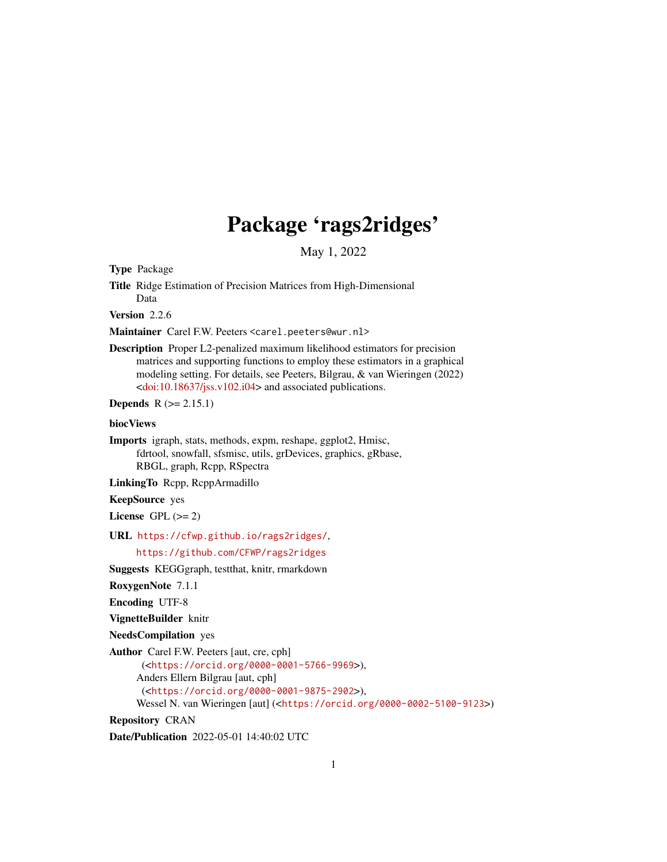# Package 'rags2ridges'

May 1, 2022

<span id="page-0-0"></span>Type Package

Title Ridge Estimation of Precision Matrices from High-Dimensional Data

Version 2.2.6

Maintainer Carel F.W. Peeters <carel.peeters@wur.nl>

Description Proper L2-penalized maximum likelihood estimators for precision matrices and supporting functions to employ these estimators in a graphical modeling setting. For details, see Peeters, Bilgrau, & van Wieringen (2022) [<doi:10.18637/jss.v102.i04>](https://doi.org/10.18637/jss.v102.i04) and associated publications.

**Depends**  $R (= 2.15.1)$ 

# biocViews

Imports igraph, stats, methods, expm, reshape, ggplot2, Hmisc, fdrtool, snowfall, sfsmisc, utils, grDevices, graphics, gRbase, RBGL, graph, Rcpp, RSpectra

LinkingTo Rcpp, RcppArmadillo

# KeepSource yes

License GPL  $(>= 2)$ 

URL <https://cfwp.github.io/rags2ridges/>,

<https://github.com/CFWP/rags2ridges>

Suggests KEGGgraph, testthat, knitr, rmarkdown

RoxygenNote 7.1.1

Encoding UTF-8

VignetteBuilder knitr

NeedsCompilation yes

Author Carel F.W. Peeters [aut, cre, cph]

(<<https://orcid.org/0000-0001-5766-9969>>),

Anders Ellern Bilgrau [aut, cph]

(<<https://orcid.org/0000-0001-9875-2902>>),

Wessel N. van Wieringen [aut] (<<https://orcid.org/0000-0002-5100-9123>>)

Repository CRAN

Date/Publication 2022-05-01 14:40:02 UTC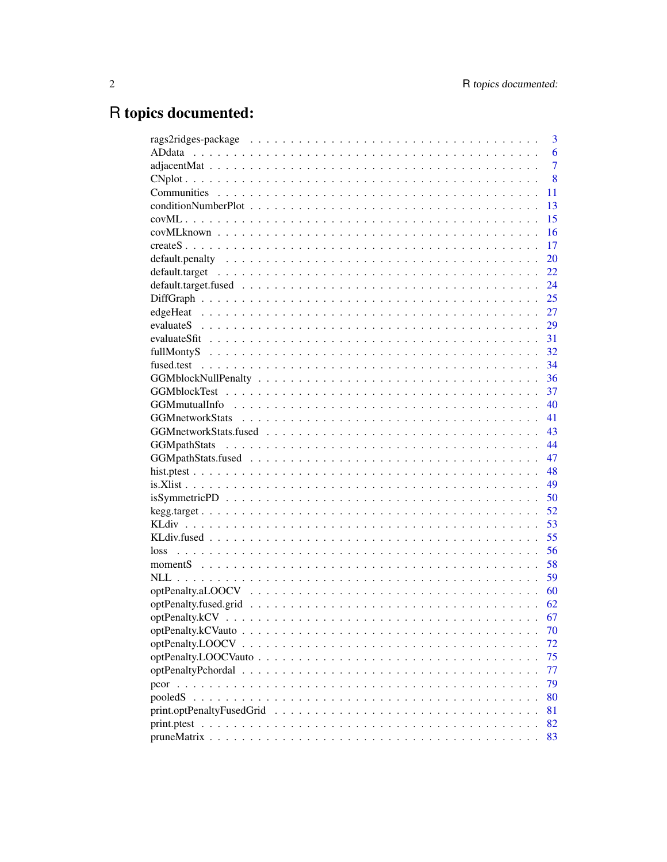# R topics documented:

| 3              |
|----------------|
| 6              |
| $\overline{7}$ |
| 8              |
| 11             |
| 13             |
| 15             |
| 16             |
| 17             |
| 20             |
| 22             |
| 24             |
| 25             |
| 27             |
|                |
| 31             |
| 32             |
| 34             |
| 36             |
| 37             |
| 40             |
| 41             |
| 43             |
| 44             |
| 47             |
| 48             |
| 49             |
| 50             |
| 52             |
| 53             |
| 55             |
| 56             |
| 58             |
| 59             |
| 60             |
| 62             |
| 67             |
| 70             |
| 72             |
| 75             |
| 77             |
| 79             |
| 80             |
| 81             |
| 82             |
| 83             |
|                |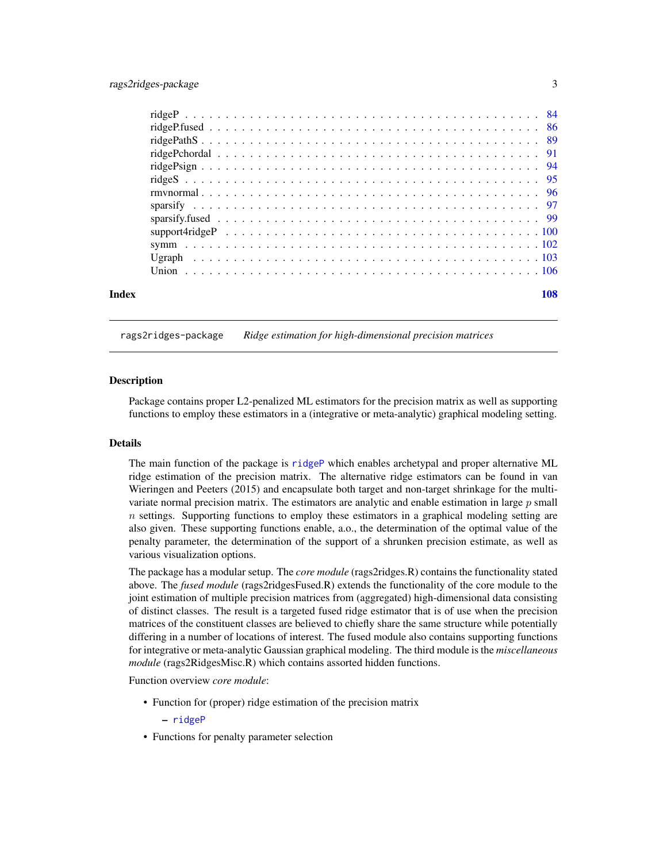<span id="page-2-0"></span>

|  |  |  |  |  |  |  |  |  |  |  |  |  |  |  |  |  |  | 108 |
|--|--|--|--|--|--|--|--|--|--|--|--|--|--|--|--|--|--|-----|
|  |  |  |  |  |  |  |  |  |  |  |  |  |  |  |  |  |  |     |
|  |  |  |  |  |  |  |  |  |  |  |  |  |  |  |  |  |  |     |
|  |  |  |  |  |  |  |  |  |  |  |  |  |  |  |  |  |  |     |
|  |  |  |  |  |  |  |  |  |  |  |  |  |  |  |  |  |  |     |
|  |  |  |  |  |  |  |  |  |  |  |  |  |  |  |  |  |  |     |
|  |  |  |  |  |  |  |  |  |  |  |  |  |  |  |  |  |  |     |
|  |  |  |  |  |  |  |  |  |  |  |  |  |  |  |  |  |  |     |
|  |  |  |  |  |  |  |  |  |  |  |  |  |  |  |  |  |  |     |
|  |  |  |  |  |  |  |  |  |  |  |  |  |  |  |  |  |  |     |
|  |  |  |  |  |  |  |  |  |  |  |  |  |  |  |  |  |  |     |
|  |  |  |  |  |  |  |  |  |  |  |  |  |  |  |  |  |  |     |
|  |  |  |  |  |  |  |  |  |  |  |  |  |  |  |  |  |  |     |
|  |  |  |  |  |  |  |  |  |  |  |  |  |  |  |  |  |  |     |
|  |  |  |  |  |  |  |  |  |  |  |  |  |  |  |  |  |  |     |

#### rags2ridges-package *Ridge estimation for high-dimensional precision matrices*

#### Description

Package contains proper L2-penalized ML estimators for the precision matrix as well as supporting functions to employ these estimators in a (integrative or meta-analytic) graphical modeling setting.

# Details

The main function of the package is [ridgeP](#page-83-1) which enables archetypal and proper alternative ML ridge estimation of the precision matrix. The alternative ridge estimators can be found in van Wieringen and Peeters (2015) and encapsulate both target and non-target shrinkage for the multivariate normal precision matrix. The estimators are analytic and enable estimation in large  $p$  small  $n$  settings. Supporting functions to employ these estimators in a graphical modeling setting are also given. These supporting functions enable, a.o., the determination of the optimal value of the penalty parameter, the determination of the support of a shrunken precision estimate, as well as various visualization options.

The package has a modular setup. The *core module* (rags2ridges.R) contains the functionality stated above. The *fused module* (rags2ridgesFused.R) extends the functionality of the core module to the joint estimation of multiple precision matrices from (aggregated) high-dimensional data consisting of distinct classes. The result is a targeted fused ridge estimator that is of use when the precision matrices of the constituent classes are believed to chiefly share the same structure while potentially differing in a number of locations of interest. The fused module also contains supporting functions for integrative or meta-analytic Gaussian graphical modeling. The third module is the *miscellaneous module* (rags2RidgesMisc.R) which contains assorted hidden functions.

Function overview *core module*:

• Function for (proper) ridge estimation of the precision matrix

– [ridgeP](#page-83-1)

• Functions for penalty parameter selection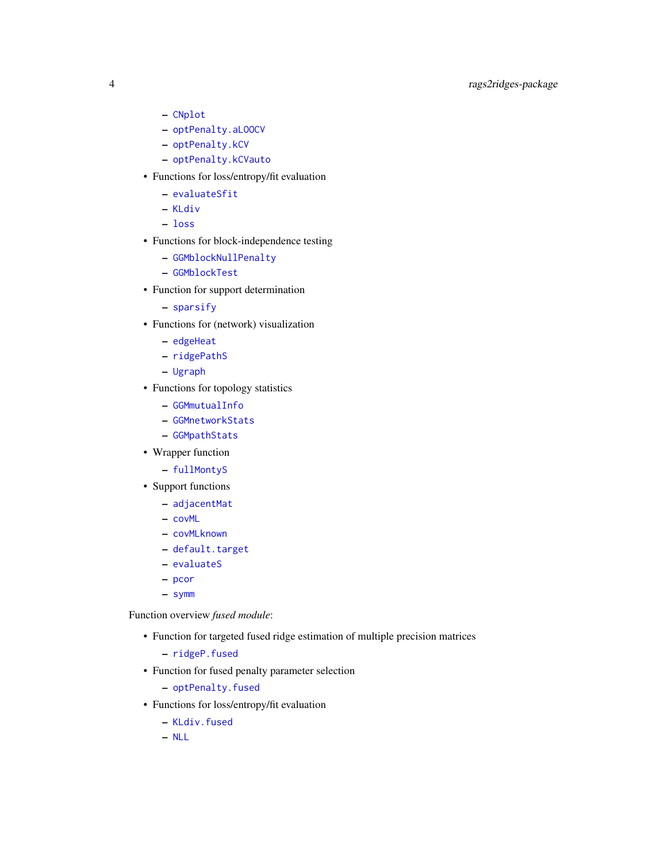# 4 rags2ridges-package

- [CNplot](#page-7-1)
- [optPenalty.aLOOCV](#page-59-1)
- [optPenalty.kCV](#page-66-1)
- [optPenalty.kCVauto](#page-69-1)
- Functions for loss/entropy/fit evaluation
	- [evaluateSfit](#page-30-1)
	- [KLdiv](#page-52-1)
	- [loss](#page-55-1)
- Functions for block-independence testing
	- [GGMblockNullPenalty](#page-35-1)
	- [GGMblockTest](#page-36-1)
- Function for support determination
	- [sparsify](#page-96-1)
- Functions for (network) visualization
	- [edgeHeat](#page-26-1)
	- [ridgePathS](#page-88-1)
	- [Ugraph](#page-102-1)
- Functions for topology statistics
	- [GGMmutualInfo](#page-39-1)
	- [GGMnetworkStats](#page-40-1)
	- [GGMpathStats](#page-43-1)
- Wrapper function
	- [fullMontyS](#page-31-1)
- Support functions
	- [adjacentMat](#page-6-1)
	- [covML](#page-14-1)
	- [covMLknown](#page-15-1)
	- [default.target](#page-21-1)
	- [evaluateS](#page-28-1)
	- [pcor](#page-78-1)
	- [symm](#page-101-1)

Function overview *fused module*:

- Function for targeted fused ridge estimation of multiple precision matrices
	- [ridgeP.fused](#page-85-1)
- Function for fused penalty parameter selection
	- [optPenalty.fused](#page-61-1)
- Functions for loss/entropy/fit evaluation
	- [KLdiv.fused](#page-54-1)
	- [NLL](#page-58-1)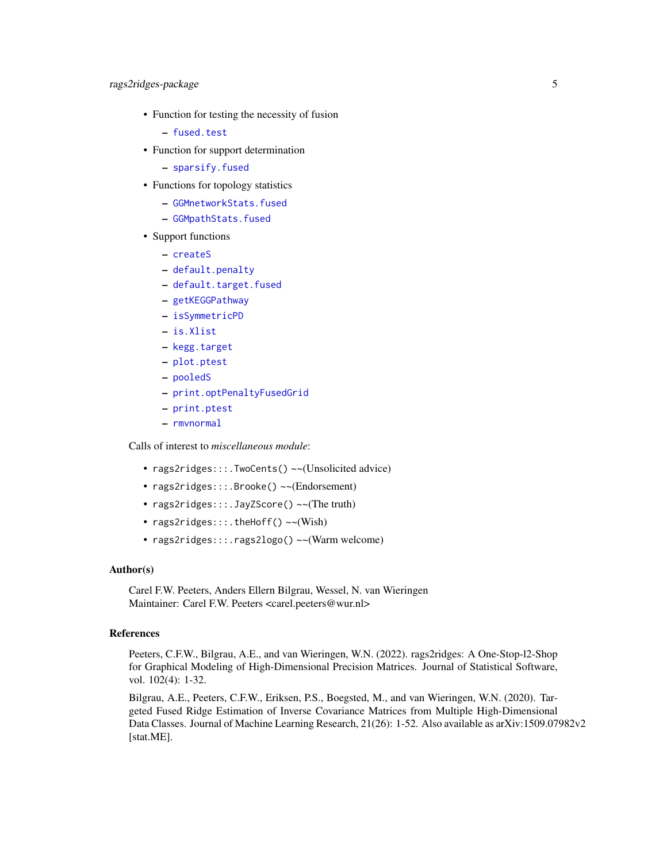- Function for testing the necessity of fusion
	- [fused.test](#page-33-1)
- Function for support determination
	- [sparsify.fused](#page-98-1)
- Functions for topology statistics
	- [GGMnetworkStats.fused](#page-42-1)
	- [GGMpathStats.fused](#page-46-1)
- Support functions
	- [createS](#page-16-1)
	- [default.penalty](#page-19-1)
	- [default.target.fused](#page-23-1)
	- [getKEGGPathway](#page-0-0)
	- [isSymmetricPD](#page-49-1)
	- [is.Xlist](#page-48-1)
	- [kegg.target](#page-51-1)
	- [plot.ptest](#page-47-1)
	- [pooledS](#page-79-1)
	- [print.optPenaltyFusedGrid](#page-80-1)
	- [print.ptest](#page-81-1)
	- [rmvnormal](#page-95-1)

Calls of interest to *miscellaneous module*:

- rags2ridges:::.TwoCents() ~~(Unsolicited advice)
- rags2ridges:::.Brooke() ~~(Endorsement)
- rags2ridges:::.JayZScore() ~~(The truth)
- rags2ridges:::.theHoff() ~~(Wish)
- rags2ridges:::.rags2logo() ~~(Warm welcome)

#### Author(s)

Carel F.W. Peeters, Anders Ellern Bilgrau, Wessel, N. van Wieringen Maintainer: Carel F.W. Peeters <carel.peeters@wur.nl>

#### References

Peeters, C.F.W., Bilgrau, A.E., and van Wieringen, W.N. (2022). rags2ridges: A One-Stop-l2-Shop for Graphical Modeling of High-Dimensional Precision Matrices. Journal of Statistical Software, vol. 102(4): 1-32.

Bilgrau, A.E., Peeters, C.F.W., Eriksen, P.S., Boegsted, M., and van Wieringen, W.N. (2020). Targeted Fused Ridge Estimation of Inverse Covariance Matrices from Multiple High-Dimensional Data Classes. Journal of Machine Learning Research, 21(26): 1-52. Also available as arXiv:1509.07982v2 [stat.ME].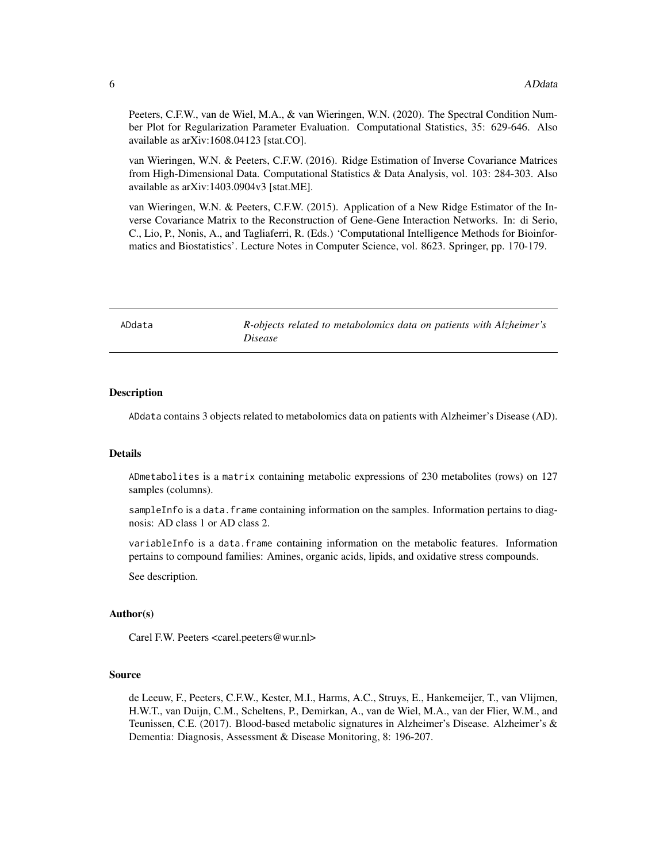<span id="page-5-0"></span>Peeters, C.F.W., van de Wiel, M.A., & van Wieringen, W.N. (2020). The Spectral Condition Number Plot for Regularization Parameter Evaluation. Computational Statistics, 35: 629-646. Also available as arXiv:1608.04123 [stat.CO].

van Wieringen, W.N. & Peeters, C.F.W. (2016). Ridge Estimation of Inverse Covariance Matrices from High-Dimensional Data. Computational Statistics & Data Analysis, vol. 103: 284-303. Also available as arXiv:1403.0904v3 [stat.ME].

van Wieringen, W.N. & Peeters, C.F.W. (2015). Application of a New Ridge Estimator of the Inverse Covariance Matrix to the Reconstruction of Gene-Gene Interaction Networks. In: di Serio, C., Lio, P., Nonis, A., and Tagliaferri, R. (Eds.) 'Computational Intelligence Methods for Bioinformatics and Biostatistics'. Lecture Notes in Computer Science, vol. 8623. Springer, pp. 170-179.

| ADdata | R-objects related to metabolomics data on patients with Alzheimer's |
|--------|---------------------------------------------------------------------|
|        | <i>Disease</i>                                                      |

### Description

ADdata contains 3 objects related to metabolomics data on patients with Alzheimer's Disease (AD).

#### Details

ADmetabolites is a matrix containing metabolic expressions of 230 metabolites (rows) on 127 samples (columns).

sampleInfo is a data. frame containing information on the samples. Information pertains to diagnosis: AD class 1 or AD class 2.

variableInfo is a data.frame containing information on the metabolic features. Information pertains to compound families: Amines, organic acids, lipids, and oxidative stress compounds.

See description.

#### Author(s)

Carel F.W. Peeters <carel.peeters@wur.nl>

#### Source

de Leeuw, F., Peeters, C.F.W., Kester, M.I., Harms, A.C., Struys, E., Hankemeijer, T., van Vlijmen, H.W.T., van Duijn, C.M., Scheltens, P., Demirkan, A., van de Wiel, M.A., van der Flier, W.M., and Teunissen, C.E. (2017). Blood-based metabolic signatures in Alzheimer's Disease. Alzheimer's & Dementia: Diagnosis, Assessment & Disease Monitoring, 8: 196-207.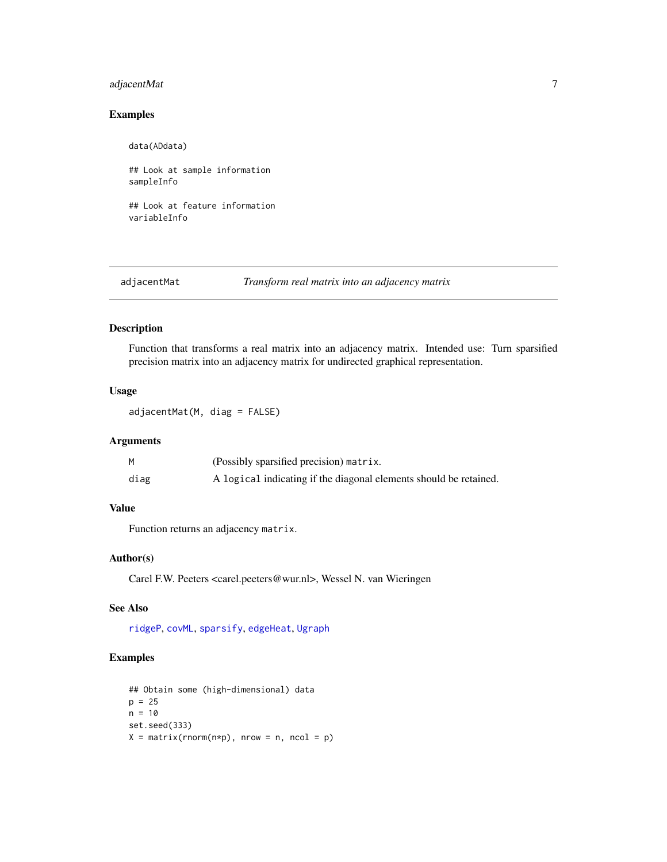# <span id="page-6-0"></span>adjacentMat 7

# Examples

data(ADdata)

## Look at sample information sampleInfo

## Look at feature information variableInfo

<span id="page-6-1"></span>adjacentMat *Transform real matrix into an adjacency matrix*

#### Description

Function that transforms a real matrix into an adjacency matrix. Intended use: Turn sparsified precision matrix into an adjacency matrix for undirected graphical representation.

#### Usage

adjacentMat(M, diag = FALSE)

# Arguments

|      | (Possibly sparsified precision) matrix.                           |
|------|-------------------------------------------------------------------|
| diag | A logical indicating if the diagonal elements should be retained. |

# Value

Function returns an adjacency matrix.

# Author(s)

Carel F.W. Peeters <carel.peeters@wur.nl>, Wessel N. van Wieringen

# See Also

[ridgeP](#page-83-1), [covML](#page-14-1), [sparsify](#page-96-1), [edgeHeat](#page-26-1), [Ugraph](#page-102-1)

# Examples

```
## Obtain some (high-dimensional) data
p = 25n = 10set.seed(333)
X = matrix(rnorm(n*p), nrow = n, ncol = p)
```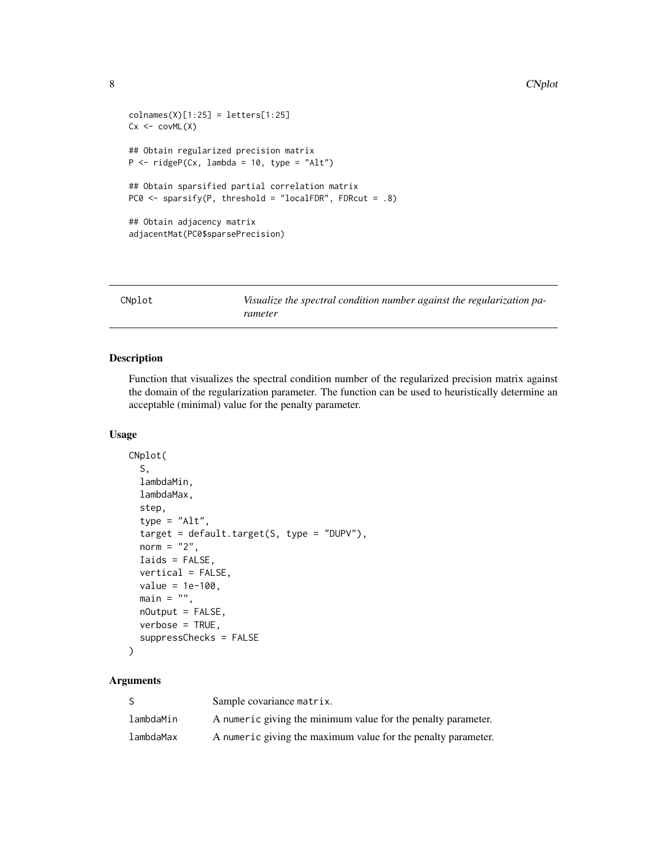```
collnames(X)[1:25] = letters[1:25]Cx < -covML(X)## Obtain regularized precision matrix
P \le - ridgeP(Cx, lambda = 10, type = "Alt")
## Obtain sparsified partial correlation matrix
PC0 <- sparsify(P, threshold = "localFDR", FDRcut = .8)
## Obtain adjacency matrix
adjacentMat(PC0$sparsePrecision)
```
<span id="page-7-1"></span>CNplot *Visualize the spectral condition number against the regularization parameter*

# Description

Function that visualizes the spectral condition number of the regularized precision matrix against the domain of the regularization parameter. The function can be used to heuristically determine an acceptable (minimal) value for the penalty parameter.

#### Usage

```
CNplot(
  S,
  lambdaMin,
  lambdaMax,
  step,
  type = "Alt",
  target = default.target(S, type = "DUPV"),
  norm = "2",Iaids = FALSE,
  vertical = FALSE,
  value = 1e-100,main = "",nOutput = FALSE,verbose = TRUE,
  suppressChecks = FALSE
)
```
#### Arguments

|           | Sample covariance matrix.                                     |
|-----------|---------------------------------------------------------------|
| lambdaMin | A numeric giving the minimum value for the penalty parameter. |
| lambdaMax | A numeric giving the maximum value for the penalty parameter. |

<span id="page-7-0"></span>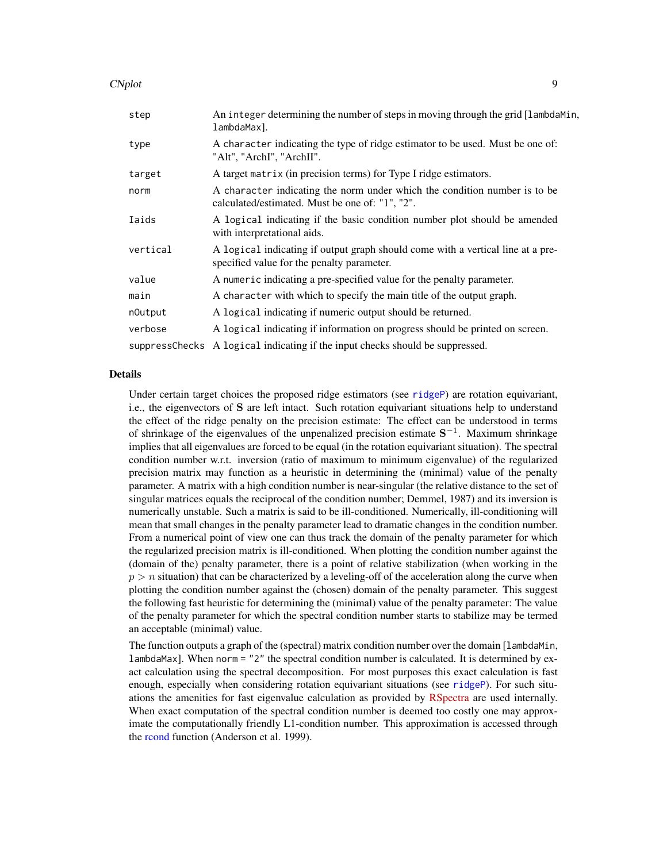#### CNplot the contract of the contract of the contract of the contract of the contract of the contract of the contract of the contract of the contract of the contract of the contract of the contract of the contract of the con

| step     | An integer determining the number of steps in moving through the grid [lambdaMin,<br>lambdaMax].                              |
|----------|-------------------------------------------------------------------------------------------------------------------------------|
| type     | A character indicating the type of ridge estimator to be used. Must be one of:<br>"Alt", "ArchI", "ArchII".                   |
| target   | A target matrix (in precision terms) for Type I ridge estimators.                                                             |
| norm     | A character indicating the norm under which the condition number is to be<br>calculated/estimated. Must be one of: "1", "2".  |
| Iaids    | A logical indicating if the basic condition number plot should be amended<br>with interpretational aids.                      |
| vertical | A logical indicating if output graph should come with a vertical line at a pre-<br>specified value for the penalty parameter. |
| value    | A numeric indicating a pre-specified value for the penalty parameter.                                                         |
| main     | A character with which to specify the main title of the output graph.                                                         |
| nOutput  | A logical indicating if numeric output should be returned.                                                                    |
| verbose  | A logical indicating if information on progress should be printed on screen.                                                  |
|          | suppressChecks A logical indicating if the input checks should be suppressed.                                                 |

#### Details

Under certain target choices the proposed ridge estimators (see [ridgeP](#page-83-1)) are rotation equivariant, i.e., the eigenvectors of S are left intact. Such rotation equivariant situations help to understand the effect of the ridge penalty on the precision estimate: The effect can be understood in terms of shrinkage of the eigenvalues of the unpenalized precision estimate  $S^{-1}$ . Maximum shrinkage implies that all eigenvalues are forced to be equal (in the rotation equivariant situation). The spectral condition number w.r.t. inversion (ratio of maximum to minimum eigenvalue) of the regularized precision matrix may function as a heuristic in determining the (minimal) value of the penalty parameter. A matrix with a high condition number is near-singular (the relative distance to the set of singular matrices equals the reciprocal of the condition number; Demmel, 1987) and its inversion is numerically unstable. Such a matrix is said to be ill-conditioned. Numerically, ill-conditioning will mean that small changes in the penalty parameter lead to dramatic changes in the condition number. From a numerical point of view one can thus track the domain of the penalty parameter for which the regularized precision matrix is ill-conditioned. When plotting the condition number against the (domain of the) penalty parameter, there is a point of relative stabilization (when working in the  $p > n$  situation) that can be characterized by a leveling-off of the acceleration along the curve when plotting the condition number against the (chosen) domain of the penalty parameter. This suggest the following fast heuristic for determining the (minimal) value of the penalty parameter: The value of the penalty parameter for which the spectral condition number starts to stabilize may be termed an acceptable (minimal) value.

The function outputs a graph of the (spectral) matrix condition number over the domain [lambdaMin, lambdaMax]. When norm = "2" the spectral condition number is calculated. It is determined by exact calculation using the spectral decomposition. For most purposes this exact calculation is fast enough, especially when considering rotation equivariant situations (see [ridgeP](#page-83-1)). For such situations the amenities for fast eigenvalue calculation as provided by [RSpectra](https://CRAN.R-project.org/package=RSpectra) are used internally. When exact computation of the spectral condition number is deemed too costly one may approximate the computationally friendly L1-condition number. This approximation is accessed through the [rcond](#page-0-0) function (Anderson et al. 1999).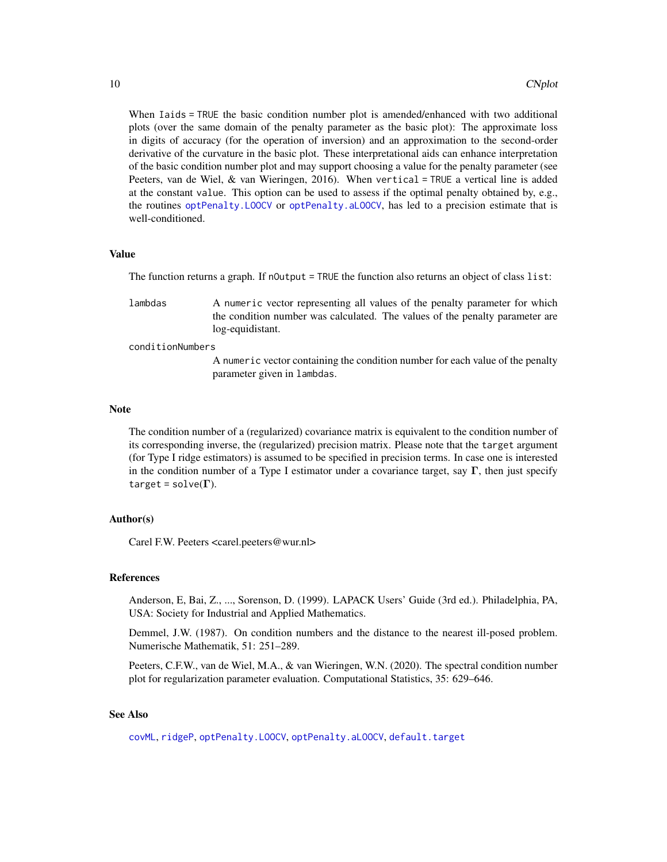When Iaids = TRUE the basic condition number plot is amended/enhanced with two additional plots (over the same domain of the penalty parameter as the basic plot): The approximate loss in digits of accuracy (for the operation of inversion) and an approximation to the second-order derivative of the curvature in the basic plot. These interpretational aids can enhance interpretation of the basic condition number plot and may support choosing a value for the penalty parameter (see Peeters, van de Wiel, & van Wieringen, 2016). When vertical = TRUE a vertical line is added at the constant value. This option can be used to assess if the optimal penalty obtained by, e.g., the routines [optPenalty.LOOCV](#page-71-1) or [optPenalty.aLOOCV](#page-59-1), has led to a precision estimate that is well-conditioned.

#### Value

The function returns a graph. If nOutput = TRUE the function also returns an object of class list:

lambdas A numeric vector representing all values of the penalty parameter for which the condition number was calculated. The values of the penalty parameter are log-equidistant.

conditionNumbers

A numeric vector containing the condition number for each value of the penalty parameter given in lambdas.

#### Note

The condition number of a (regularized) covariance matrix is equivalent to the condition number of its corresponding inverse, the (regularized) precision matrix. Please note that the target argument (for Type I ridge estimators) is assumed to be specified in precision terms. In case one is interested in the condition number of a Type I estimator under a covariance target, say  $\Gamma$ , then just specify target =  $solve(\Gamma)$ .

### Author(s)

Carel F.W. Peeters <carel.peeters@wur.nl>

#### References

Anderson, E, Bai, Z., ..., Sorenson, D. (1999). LAPACK Users' Guide (3rd ed.). Philadelphia, PA, USA: Society for Industrial and Applied Mathematics.

Demmel, J.W. (1987). On condition numbers and the distance to the nearest ill-posed problem. Numerische Mathematik, 51: 251–289.

Peeters, C.F.W., van de Wiel, M.A., & van Wieringen, W.N. (2020). The spectral condition number plot for regularization parameter evaluation. Computational Statistics, 35: 629–646.

# See Also

[covML](#page-14-1), [ridgeP](#page-83-1), [optPenalty.LOOCV](#page-71-1), [optPenalty.aLOOCV](#page-59-1), [default.target](#page-21-1)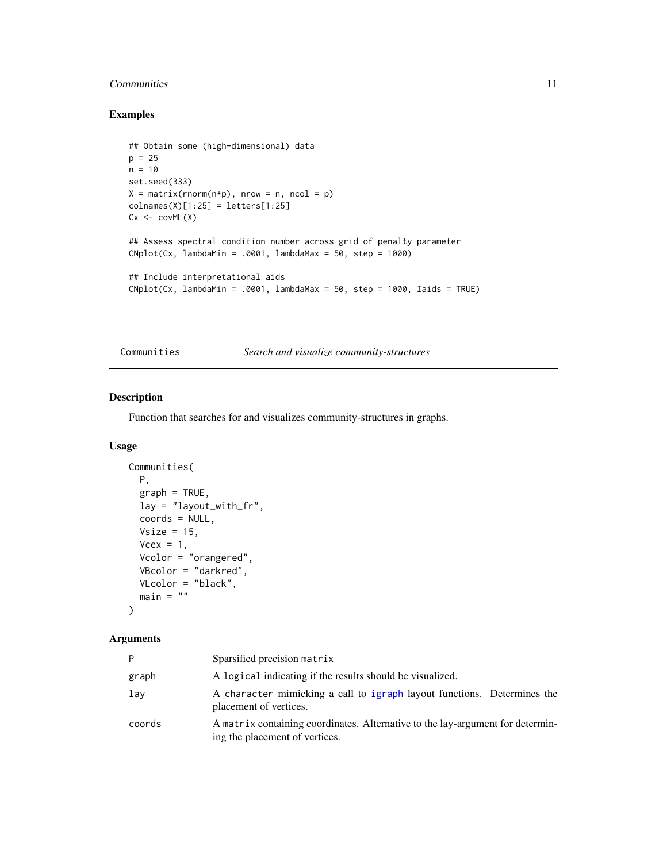# <span id="page-10-0"></span>Communities 11

# Examples

```
## Obtain some (high-dimensional) data
p = 25n = 10set.seed(333)
X = matrix(rnorm(n*p), nrow = n, ncol = p)collnames(X)[1:25] = letters[1:25]Cx < -covML(X)## Assess spectral condition number across grid of penalty parameter
Chplot(Cx, lambdaMin = .0001, lambdaMax = 50, step = 1000)## Include interpretational aids
Chplot(Cx, lambdaMin = .0001, lambdaMax = 50, step = 1000, Iaids = TRUE)
```
Communities *Search and visualize community-structures*

# Description

Function that searches for and visualizes community-structures in graphs.

# Usage

```
Communities(
 P,
 graph = TRUE,lay = "layout_with_fr",
 coords = NULL,Vsize = 15,
 Vcex = 1,
 Vcolor = "orangered",
 VBcolor = "darkred",
 VLcolor = "black",
 main = "")
```
#### Arguments

| P      | Sparsified precision matrix                                                                                      |
|--------|------------------------------------------------------------------------------------------------------------------|
| graph  | A logical indicating if the results should be visualized.                                                        |
| lay    | A character mimicking a call to igraph layout functions. Determines the<br>placement of vertices.                |
| coords | A matrix containing coordinates. Alternative to the lay-argument for determin-<br>ing the placement of vertices. |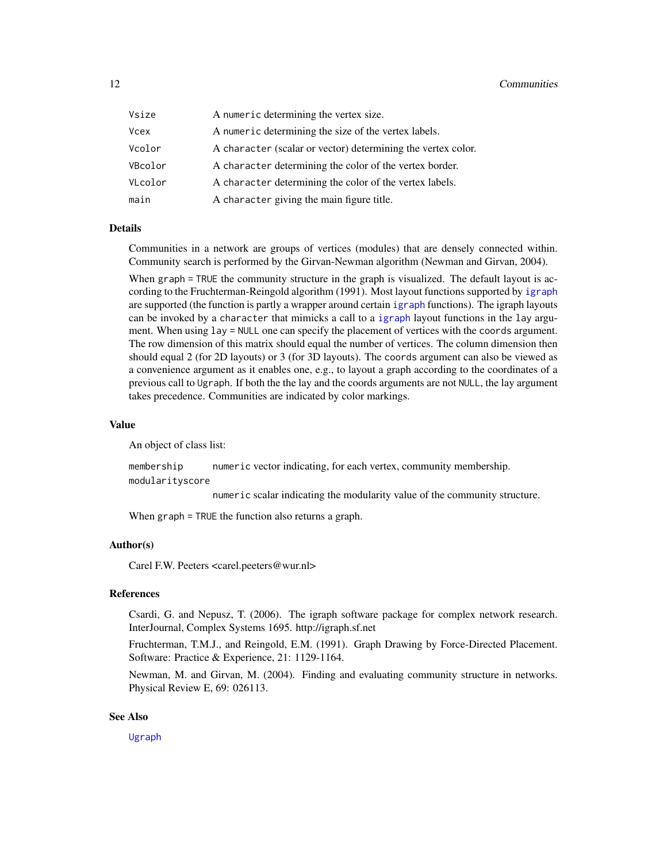| Vsize   | A numeric determining the vertex size.                       |
|---------|--------------------------------------------------------------|
| Vcex    | A numeric determining the size of the vertex labels.         |
| Vcolor  | A character (scalar or vector) determining the vertex color. |
| VBcolor | A character determining the color of the vertex border.      |
| VLcolor | A character determining the color of the vertex labels.      |
| main    | A character giving the main figure title.                    |

# Details

Communities in a network are groups of vertices (modules) that are densely connected within. Community search is performed by the Girvan-Newman algorithm (Newman and Girvan, 2004).

When graph = TRUE the community structure in the graph is visualized. The default layout is according to the Fruchterman-Reingold algorithm (1991). Most layout functions supported by [igraph](#page-0-0) are supported (the function is partly a wrapper around certain [igraph](#page-0-0) functions). The igraph layouts can be invoked by a character that mimicks a call to a [igraph](#page-0-0) layout functions in the lay argument. When using lay = NULL one can specify the placement of vertices with the coords argument. The row dimension of this matrix should equal the number of vertices. The column dimension then should equal 2 (for 2D layouts) or 3 (for 3D layouts). The coords argument can also be viewed as a convenience argument as it enables one, e.g., to layout a graph according to the coordinates of a previous call to Ugraph. If both the the lay and the coords arguments are not NULL, the lay argument takes precedence. Communities are indicated by color markings.

#### Value

An object of class list:

membership numeric vector indicating, for each vertex, community membership. modularityscore

numeric scalar indicating the modularity value of the community structure.

When graph = TRUE the function also returns a graph.

#### Author(s)

Carel F.W. Peeters <carel.peeters@wur.nl>

#### References

Csardi, G. and Nepusz, T. (2006). The igraph software package for complex network research. InterJournal, Complex Systems 1695. http://igraph.sf.net

Fruchterman, T.M.J., and Reingold, E.M. (1991). Graph Drawing by Force-Directed Placement. Software: Practice & Experience, 21: 1129-1164.

Newman, M. and Girvan, M. (2004). Finding and evaluating community structure in networks. Physical Review E, 69: 026113.

#### See Also

[Ugraph](#page-102-1)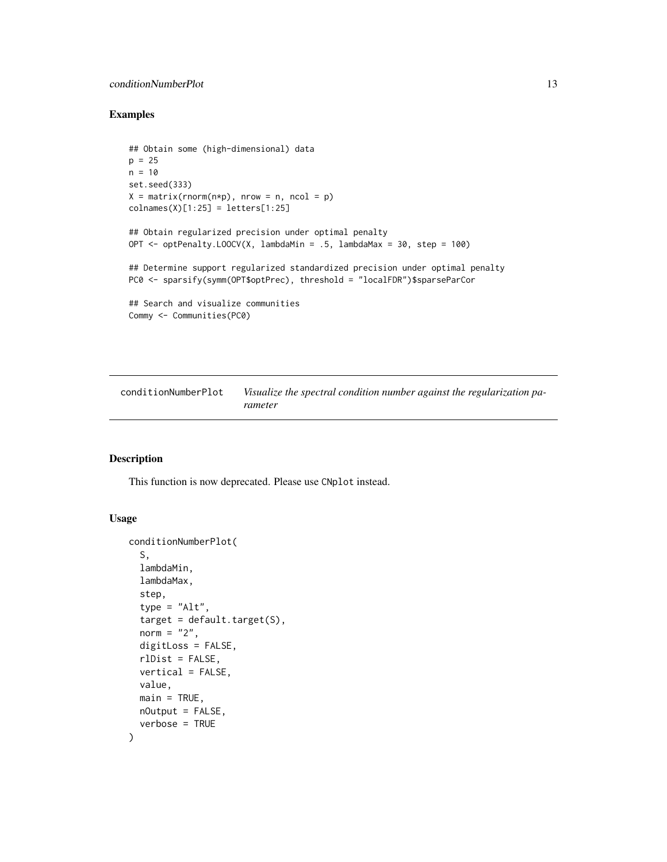# <span id="page-12-0"></span>conditionNumberPlot 13

#### Examples

```
## Obtain some (high-dimensional) data
p = 25n = 10set.seed(333)
X = matrix(rnorm(n*p), nrow = n, ncol = p)collnames(X)[1:25] = letters[1:25]## Obtain regularized precision under optimal penalty
OPT <- optPenalty.LOOCV(X, lambdaMin = .5, lambdaMax = 30, step = 100)
## Determine support regularized standardized precision under optimal penalty
PC0 <- sparsify(symm(OPT$optPrec), threshold = "localFDR")$sparseParCor
## Search and visualize communities
Commy <- Communities(PC0)
```
<span id="page-12-1"></span>conditionNumberPlot *Visualize the spectral condition number against the regularization parameter*

#### Description

This function is now deprecated. Please use CNplot instead.

#### Usage

```
conditionNumberPlot(
  S,
  lambdaMin,
  lambdaMax,
  step,
  type = "Alt",target = default.target(S),norm = "2",digitLoss = FALSE,
  rlDist = FALSE,
  vertical = FALSE,
  value,
 main = TRUE,
 nOutput = FALSE,verbose = TRUE
)
```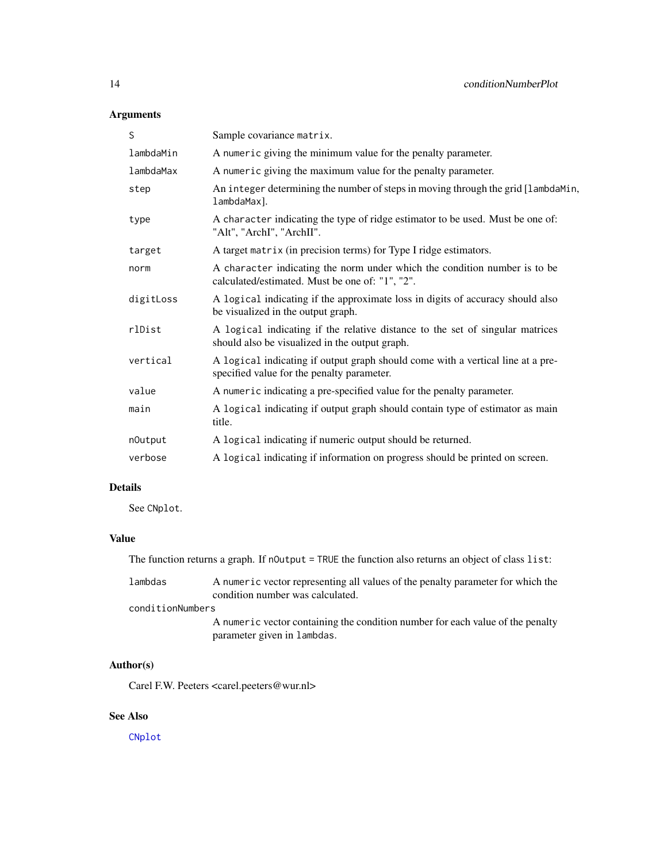# Arguments

| S         | Sample covariance matrix.                                                                                                       |
|-----------|---------------------------------------------------------------------------------------------------------------------------------|
| lambdaMin | A numeric giving the minimum value for the penalty parameter.                                                                   |
| lambdaMax | A numeric giving the maximum value for the penalty parameter.                                                                   |
| step      | An integer determining the number of steps in moving through the grid [lambdaMin,<br>lambdaMax].                                |
| type      | A character indicating the type of ridge estimator to be used. Must be one of:<br>"Alt", "ArchI", "ArchII".                     |
| target    | A target matrix (in precision terms) for Type I ridge estimators.                                                               |
| norm      | A character indicating the norm under which the condition number is to be<br>calculated/estimated. Must be one of: "1", "2".    |
| digitLoss | A logical indicating if the approximate loss in digits of accuracy should also<br>be visualized in the output graph.            |
| rlDist    | A logical indicating if the relative distance to the set of singular matrices<br>should also be visualized in the output graph. |
| vertical  | A logical indicating if output graph should come with a vertical line at a pre-<br>specified value for the penalty parameter.   |
| value     | A numeric indicating a pre-specified value for the penalty parameter.                                                           |
| main      | A logical indicating if output graph should contain type of estimator as main<br>title.                                         |
| nOutput   | A logical indicating if numeric output should be returned.                                                                      |
| verbose   | A logical indicating if information on progress should be printed on screen.                                                    |
|           |                                                                                                                                 |

# Details

See CNplot.

# Value

The function returns a graph. If nOutput = TRUE the function also returns an object of class list:

lambdas A numeric vector representing all values of the penalty parameter for which the condition number was calculated.

# conditionNumbers

A numeric vector containing the condition number for each value of the penalty parameter given in lambdas.

# Author(s)

Carel F.W. Peeters <carel.peeters@wur.nl>

# See Also

[CNplot](#page-7-1)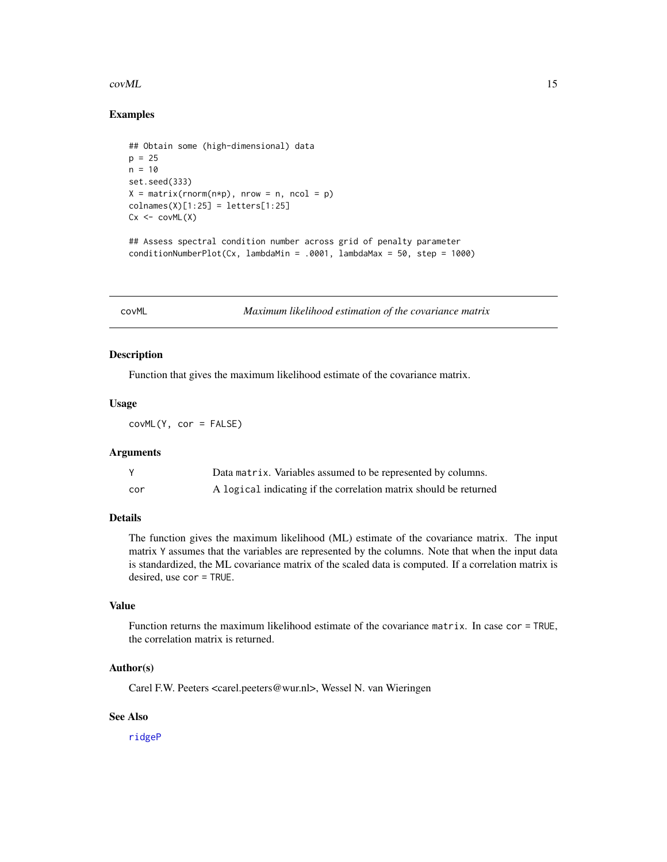#### <span id="page-14-0"></span> $covML$  15

# Examples

```
## Obtain some (high-dimensional) data
p = 25n = 10set.seed(333)
X = matrix(rnorm(n*p), nrow = n, ncol = p)collnames(X)[1:25] = letters[1:25]Cx \leftarrow \text{covML}(X)## Assess spectral condition number across grid of penalty parameter
conditionNumberPlot(Cx, lambdaMin = .0001, lambdaMax = 50, step = 1000)
```
<span id="page-14-1"></span>covML *Maximum likelihood estimation of the covariance matrix*

# Description

Function that gives the maximum likelihood estimate of the covariance matrix.

#### Usage

covML(Y, cor = FALSE)

#### Arguments

|     | Data matrix. Variables assumed to be represented by columns.      |
|-----|-------------------------------------------------------------------|
| cor | A logical indicating if the correlation matrix should be returned |

# Details

The function gives the maximum likelihood (ML) estimate of the covariance matrix. The input matrix Y assumes that the variables are represented by the columns. Note that when the input data is standardized, the ML covariance matrix of the scaled data is computed. If a correlation matrix is desired, use cor = TRUE.

# Value

Function returns the maximum likelihood estimate of the covariance matrix. In case cor = TRUE, the correlation matrix is returned.

#### Author(s)

Carel F.W. Peeters <carel.peeters@wur.nl>, Wessel N. van Wieringen

# See Also

[ridgeP](#page-83-1)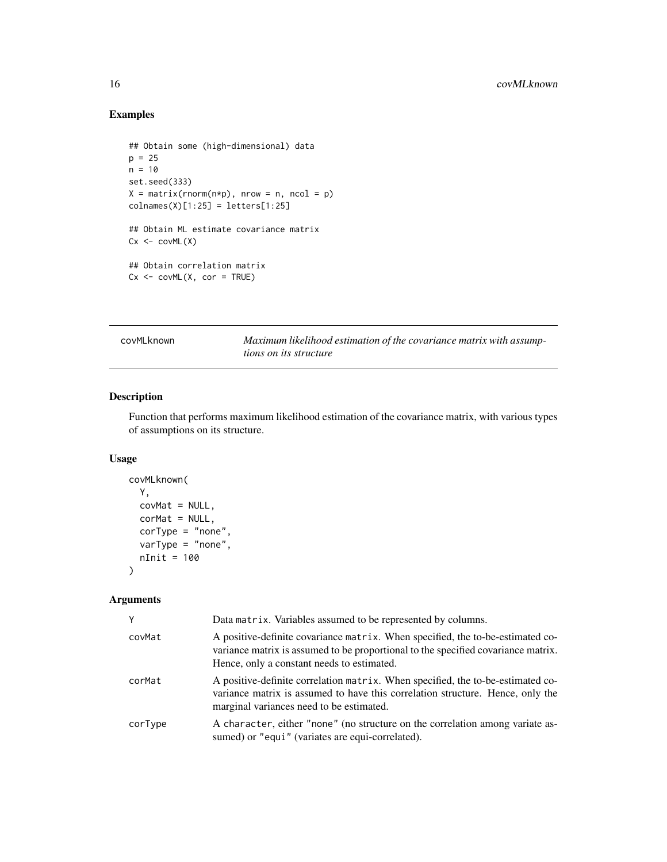# Examples

```
## Obtain some (high-dimensional) data
p = 25n = 10set.seed(333)
X = matrix(rnorm(n*p), nrow = n, ncol = p)collnames(X)[1:25] = letters[1:25]## Obtain ML estimate covariance matrix
Cx < -covML(X)## Obtain correlation matrix
Cx \leq -\text{covML}(X, \text{cor} = \text{TRUE})
```
<span id="page-15-1"></span>covMLknown *Maximum likelihood estimation of the covariance matrix with assumptions on its structure*

# Description

Function that performs maximum likelihood estimation of the covariance matrix, with various types of assumptions on its structure.

#### Usage

```
covMLknown(
 Y,
 covMat = NULL,corMat = NULL,corrype = "none",varType = "none",
 nInit = 100
)
```
#### Arguments

| Y       | Data matrix. Variables assumed to be represented by columns.                                                                                                                                                      |
|---------|-------------------------------------------------------------------------------------------------------------------------------------------------------------------------------------------------------------------|
| covMat  | A positive-definite covariance matrix. When specified, the to-be-estimated co-<br>variance matrix is assumed to be proportional to the specified covariance matrix.<br>Hence, only a constant needs to estimated. |
| corMat  | A positive-definite correlation matrix. When specified, the to-be-estimated co-<br>variance matrix is assumed to have this correlation structure. Hence, only the<br>marginal variances need to be estimated.     |
| corType | A character, either "none" (no structure on the correlation among variate as-<br>sumed) or "equi" (variates are equi-correlated).                                                                                 |

<span id="page-15-0"></span>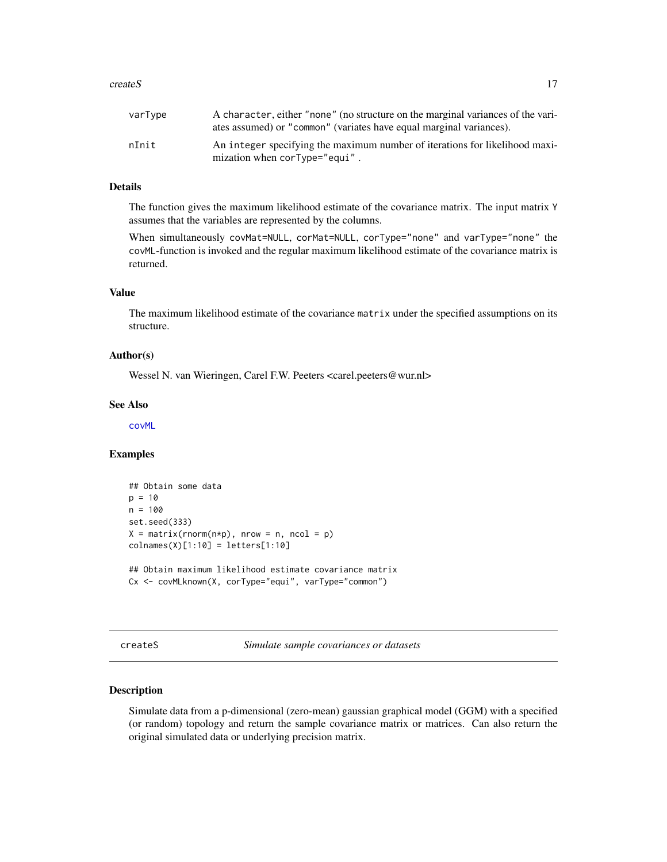#### <span id="page-16-0"></span>createS 17

| varType | A character, either "none" (no structure on the marginal variances of the vari-<br>ates assumed) or "common" (variates have equal marginal variances). |
|---------|--------------------------------------------------------------------------------------------------------------------------------------------------------|
| nInit   | An integer specifying the maximum number of iterations for likelihood maxi-<br>mization when cor Type="equi".                                          |

# Details

The function gives the maximum likelihood estimate of the covariance matrix. The input matrix Y assumes that the variables are represented by the columns.

When simultaneously covMat=NULL, corMat=NULL, corType="none" and varType="none" the covML-function is invoked and the regular maximum likelihood estimate of the covariance matrix is returned.

#### Value

The maximum likelihood estimate of the covariance matrix under the specified assumptions on its structure.

# Author(s)

Wessel N. van Wieringen, Carel F.W. Peeters <carel.peeters@wur.nl>

#### See Also

[covML](#page-14-1)

# Examples

```
## Obtain some data
p = 10n = 100set.seed(333)
X = matrix(rnorm(n*p), nrow = n, ncol = p)colnames(X)[1:10] = letters[1:10]
## Obtain maximum likelihood estimate covariance matrix
Cx <- covMLknown(X, corType="equi", varType="common")
```
<span id="page-16-1"></span>createS *Simulate sample covariances or datasets*

# Description

Simulate data from a p-dimensional (zero-mean) gaussian graphical model (GGM) with a specified (or random) topology and return the sample covariance matrix or matrices. Can also return the original simulated data or underlying precision matrix.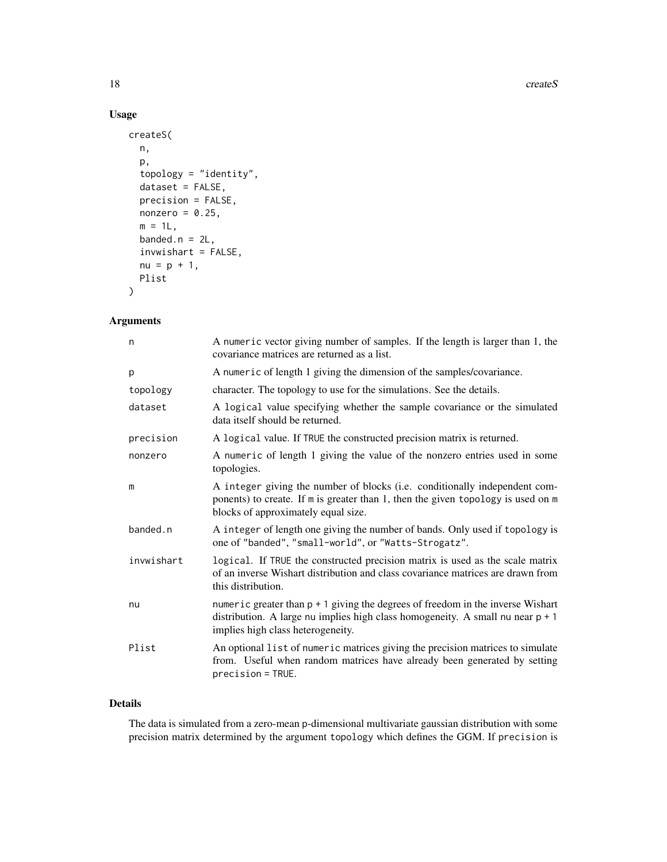#### 18 createS

# Usage

```
createS(
  n,
  p,
  topology = "identity",
  dataset = FALSE,precision = FALSE,
 nonzero = 0.25,
 m = 1L,
 banded.n = 2L,
  invwishart = FALSE,
 nu = p + 1,
 Plist
)
```
# Arguments

| n          | A numeric vector giving number of samples. If the length is larger than 1, the<br>covariance matrices are returned as a list.                                                                              |
|------------|------------------------------------------------------------------------------------------------------------------------------------------------------------------------------------------------------------|
| p          | A numeric of length 1 giving the dimension of the samples/covariance.                                                                                                                                      |
| topology   | character. The topology to use for the simulations. See the details.                                                                                                                                       |
| dataset    | A logical value specifying whether the sample covariance or the simulated<br>data itself should be returned.                                                                                               |
| precision  | A logical value. If TRUE the constructed precision matrix is returned.                                                                                                                                     |
| nonzero    | A numeric of length 1 giving the value of the nonzero entries used in some<br>topologies.                                                                                                                  |
| m          | A integer giving the number of blocks (i.e. conditionally independent com-<br>ponents) to create. If m is greater than 1, then the given topology is used on m<br>blocks of approximately equal size.      |
| banded.n   | A integer of length one giving the number of bands. Only used if topology is<br>one of "banded", "small-world", or "Watts-Strogatz".                                                                       |
| invwishart | logical. If TRUE the constructed precision matrix is used as the scale matrix<br>of an inverse Wishart distribution and class covariance matrices are drawn from<br>this distribution.                     |
| nu         | numeric greater than $p + 1$ giving the degrees of freedom in the inverse Wishart<br>distribution. A large nu implies high class homogeneity. A small nu near $p + 1$<br>implies high class heterogeneity. |
| Plist      | An optional list of numeric matrices giving the precision matrices to simulate<br>from. Useful when random matrices have already been generated by setting<br>precision = TRUE.                            |

# Details

The data is simulated from a zero-mean p-dimensional multivariate gaussian distribution with some precision matrix determined by the argument topology which defines the GGM. If precision is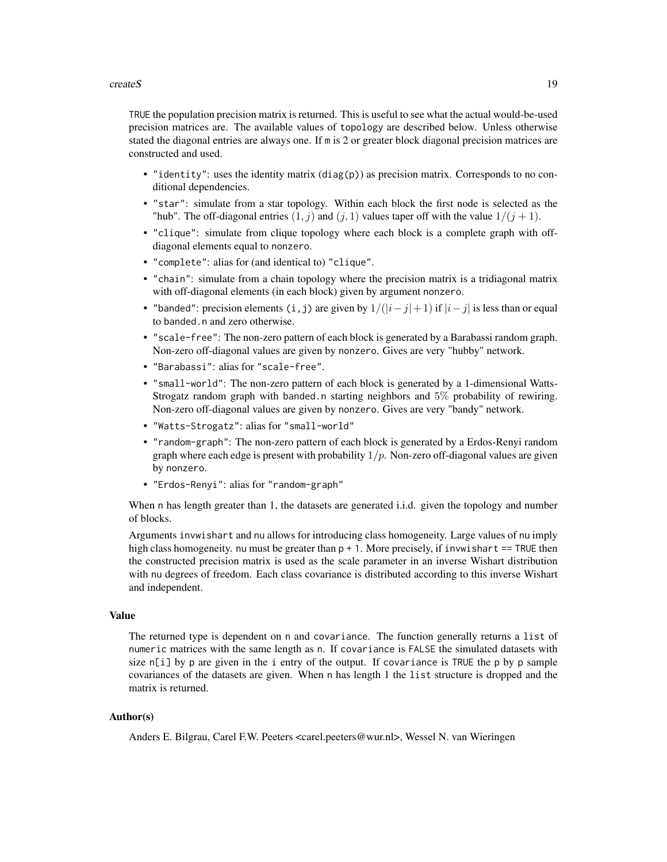#### $\alpha$ createS 19

TRUE the population precision matrix is returned. This is useful to see what the actual would-be-used precision matrices are. The available values of topology are described below. Unless otherwise stated the diagonal entries are always one. If m is 2 or greater block diagonal precision matrices are constructed and used.

- "identity": uses the identity matrix (diag(p)) as precision matrix. Corresponds to no conditional dependencies.
- "star": simulate from a star topology. Within each block the first node is selected as the "hub". The off-diagonal entries  $(1, j)$  and  $(j, 1)$  values taper off with the value  $1/(j + 1)$ .
- "clique": simulate from clique topology where each block is a complete graph with offdiagonal elements equal to nonzero.
- "complete": alias for (and identical to) "clique".
- "chain": simulate from a chain topology where the precision matrix is a tridiagonal matrix with off-diagonal elements (in each block) given by argument nonzero.
- "banded": precision elements (i,j) are given by  $1/(|i-j|+1)$  if  $|i-j|$  is less than or equal to banded.n and zero otherwise.
- "scale-free": The non-zero pattern of each block is generated by a Barabassi random graph. Non-zero off-diagonal values are given by nonzero. Gives are very "hubby" network.
- "Barabassi": alias for "scale-free".
- "small-world": The non-zero pattern of each block is generated by a 1-dimensional Watts-Strogatz random graph with banded.n starting neighbors and 5% probability of rewiring. Non-zero off-diagonal values are given by nonzero. Gives are very "bandy" network.
- "Watts-Strogatz": alias for "small-world"
- "random-graph": The non-zero pattern of each block is generated by a Erdos-Renyi random graph where each edge is present with probability  $1/p$ . Non-zero off-diagonal values are given by nonzero.
- "Erdos-Renyi": alias for "random-graph"

When n has length greater than 1, the datasets are generated i.i.d. given the topology and number of blocks.

Arguments invwishart and nu allows for introducing class homogeneity. Large values of nu imply high class homogeneity. nu must be greater than  $p + 1$ . More precisely, if invwishart == TRUE then the constructed precision matrix is used as the scale parameter in an inverse Wishart distribution with nu degrees of freedom. Each class covariance is distributed according to this inverse Wishart and independent.

# Value

The returned type is dependent on n and covariance. The function generally returns a list of numeric matrices with the same length as n. If covariance is FALSE the simulated datasets with size  $n[i]$  by p are given in the i entry of the output. If covariance is TRUE the p by p sample covariances of the datasets are given. When n has length 1 the list structure is dropped and the matrix is returned.

# Author(s)

Anders E. Bilgrau, Carel F.W. Peeters <carel.peeters@wur.nl>, Wessel N. van Wieringen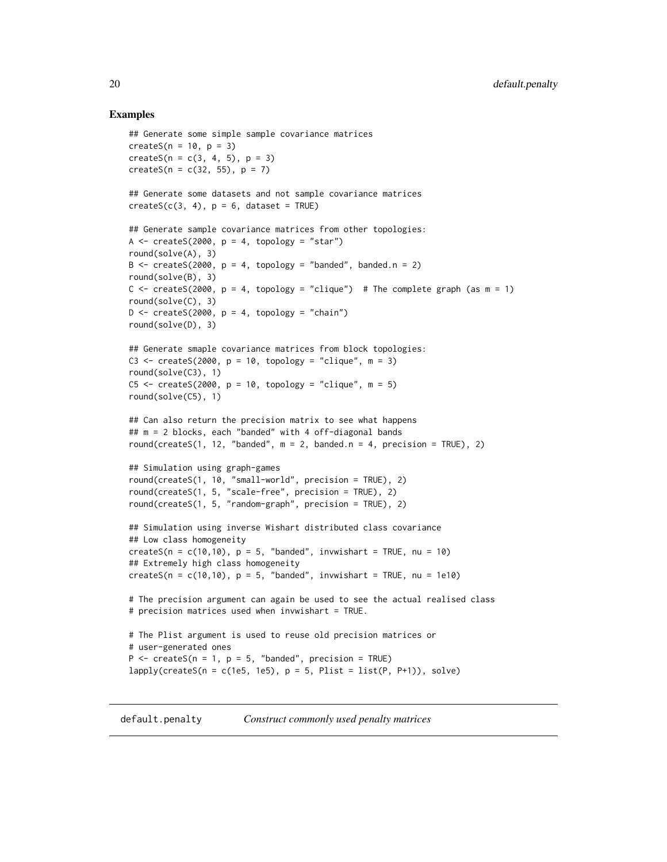#### Examples

```
## Generate some simple sample covariance matrices
createS(n = 10, p = 3)
createS(n = c(3, 4, 5), p = 3)createS(n = c(32, 55), p = 7)## Generate some datasets and not sample covariance matrices
createS(c(3, 4), p = 6, dataset = TRUE)## Generate sample covariance matrices from other topologies:
A \leq createS(2000, p = 4, topology = "star")
round(solve(A), 3)
B \le - createS(2000, p = 4, topology = "banded", banded.n = 2)
round(solve(B), 3)
C <- createS(2000, p = 4, topology = "clique") # The complete graph (as m = 1)
round(solve(C), 3)
D \le - createS(2000, p = 4, topology = "chain")
round(solve(D), 3)
## Generate smaple covariance matrices from block topologies:
C3 \le createS(2000, p = 10, topology = "clique", m = 3)
round(solve(C3), 1)
C5 \le createS(2000, p = 10, topology = "clique", m = 5)
round(solve(C5), 1)
## Can also return the precision matrix to see what happens
## m = 2 blocks, each "banded" with 4 off-diagonal bands
round(createS(1, 12, "banded", m = 2, banded.n = 4, precision = TRUE), 2)
## Simulation using graph-games
round(createS(1, 10, "small-world", precision = TRUE), 2)
round(createS(1, 5, "scale-free", precision = TRUE), 2)
round(createS(1, 5, "random-graph", precision = TRUE), 2)
## Simulation using inverse Wishart distributed class covariance
## Low class homogeneity
createS(n = c(10,10), p = 5, "banded", invwishart = TRUE, nu = 10)
## Extremely high class homogeneity
createS(n = c(10,10), p = 5, "banded", invwishart = TRUE, nu = 1e10)
# The precision argument can again be used to see the actual realised class
# precision matrices used when invwishart = TRUE.
# The Plist argument is used to reuse old precision matrices or
# user-generated ones
P \le - createS(n = 1, p = 5, "banded", precision = TRUE)
lapply(createS(n = c(1e5, 1e5), p = 5, Plist = list(P, P+1)), solve)
```
<span id="page-19-1"></span>default.penalty *Construct commonly used penalty matrices*

<span id="page-19-0"></span>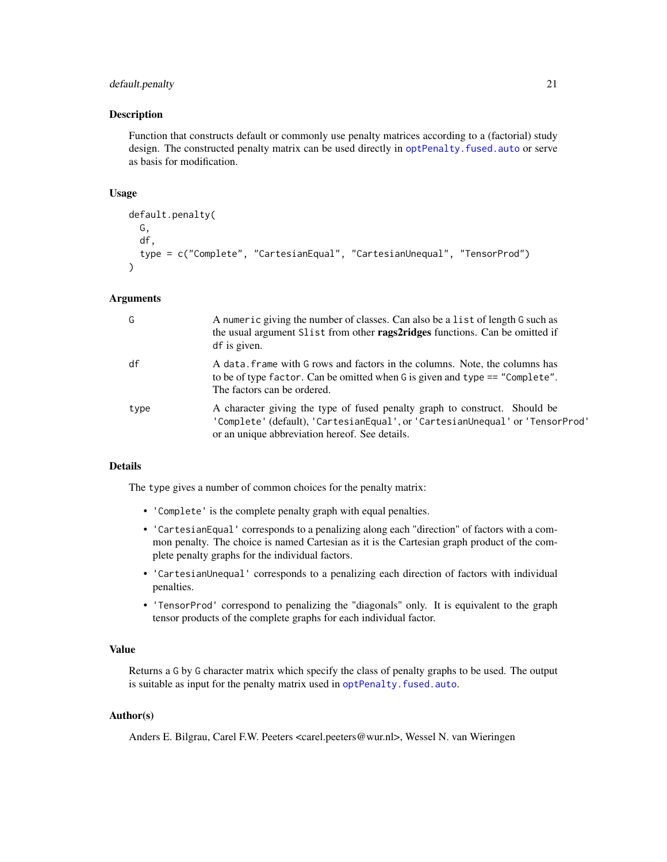# default.penalty 21

#### Description

Function that constructs default or commonly use penalty matrices according to a (factorial) study design. The constructed penalty matrix can be used directly in optPenalty. fused.auto or serve as basis for modification.

# Usage

```
default.penalty(
 G,
  df,
  type = c("Complete", "CartesianEqual", "CartesianUnequal", "TensorProd")
)
```
# Arguments

| G    | A numeric giving the number of classes. Can also be a list of length G such as<br>the usual argument Slist from other rags2ridges functions. Can be omitted if<br>df is given.                                |
|------|---------------------------------------------------------------------------------------------------------------------------------------------------------------------------------------------------------------|
| df   | A data, frame with G rows and factors in the columns. Note, the columns has<br>to be of type factor. Can be omitted when G is given and type == "Complete".<br>The factors can be ordered.                    |
| type | A character giving the type of fused penalty graph to construct. Should be<br>'Complete' (default), 'CartesianEqual', or 'CartesianUnequal' or 'TensorProd'<br>or an unique abbreviation hereof. See details. |

#### Details

The type gives a number of common choices for the penalty matrix:

- 'Complete' is the complete penalty graph with equal penalties.
- 'CartesianEqual' corresponds to a penalizing along each "direction" of factors with a common penalty. The choice is named Cartesian as it is the Cartesian graph product of the complete penalty graphs for the individual factors.
- 'CartesianUnequal' corresponds to a penalizing each direction of factors with individual penalties.
- 'TensorProd' correspond to penalizing the "diagonals" only. It is equivalent to the graph tensor products of the complete graphs for each individual factor.

#### Value

Returns a G by G character matrix which specify the class of penalty graphs to be used. The output is suitable as input for the penalty matrix used in [optPenalty.fused.auto](#page-61-1).

# Author(s)

Anders E. Bilgrau, Carel F.W. Peeters <carel.peeters@wur.nl>, Wessel N. van Wieringen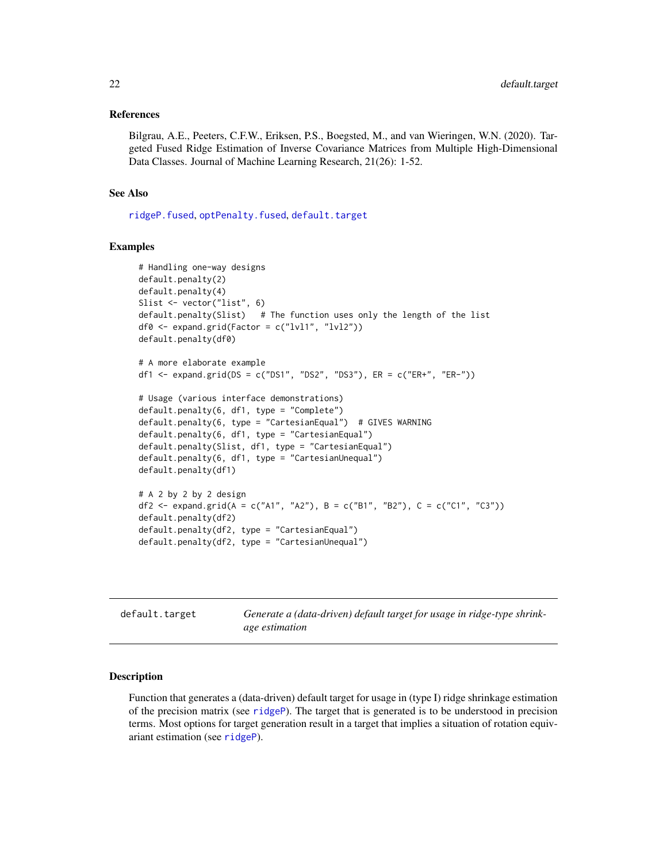#### <span id="page-21-0"></span>References

Bilgrau, A.E., Peeters, C.F.W., Eriksen, P.S., Boegsted, M., and van Wieringen, W.N. (2020). Targeted Fused Ridge Estimation of Inverse Covariance Matrices from Multiple High-Dimensional Data Classes. Journal of Machine Learning Research, 21(26): 1-52.

# See Also

[ridgeP.fused](#page-85-1), [optPenalty.fused](#page-61-1), [default.target](#page-21-1)

#### Examples

```
# Handling one-way designs
default.penalty(2)
default.penalty(4)
Slist <- vector("list", 6)
default.penalty(Slist) # The function uses only the length of the list
df0 \leq - expand.grid(Factor = c("lvl1", "lvl2"))
default.penalty(df0)
# A more elaborate example
df1 <- expand.grid(DS = c("DS1", "DS2", "DS3"), ER = c("ER+", "ER-"))
# Usage (various interface demonstrations)
default.penalty(6, df1, type = "Complete")
default.penalty(6, type = "CartesianEqual") # GIVES WARNING
default.penalty(6, df1, type = "CartesianEqual")
default.penalty(Slist, df1, type = "CartesianEqual")
default.penalty(6, df1, type = "CartesianUnequal")
default.penalty(df1)
# A 2 by 2 by 2 design
df2 <- expand.grid(A = c("A1", "A2"), B = c("B1", "B2"), C = c("C1", "C3"))
default.penalty(df2)
default.penalty(df2, type = "CartesianEqual")
default.penalty(df2, type = "CartesianUnequal")
```
<span id="page-21-1"></span>

| default.target | Generate a (data-driven) default target for usage in ridge-type shrink- |
|----------------|-------------------------------------------------------------------------|
|                | age estimation                                                          |

# Description

Function that generates a (data-driven) default target for usage in (type I) ridge shrinkage estimation of the precision matrix (see [ridgeP](#page-83-1)). The target that is generated is to be understood in precision terms. Most options for target generation result in a target that implies a situation of rotation equivariant estimation (see [ridgeP](#page-83-1)).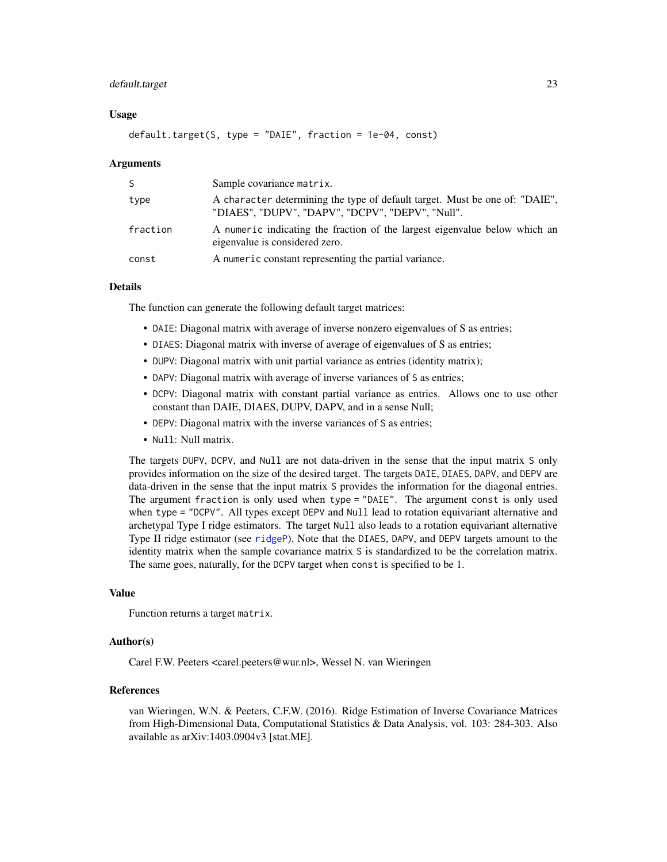#### default.target 23

#### Usage

default.target(S, type = "DAIE", fraction = 1e-04, const)

#### Arguments

| S        | Sample covariance matrix.                                                                                                       |
|----------|---------------------------------------------------------------------------------------------------------------------------------|
| type     | A character determining the type of default target. Must be one of: "DAIE",<br>"DIAES", "DUPV", "DAPV", "DCPV", "DEPV", "Null". |
| fraction | A numeric indicating the fraction of the largest eigenvalue below which an<br>eigenvalue is considered zero.                    |
| const    | A numeric constant representing the partial variance.                                                                           |

# Details

The function can generate the following default target matrices:

- DAIE: Diagonal matrix with average of inverse nonzero eigenvalues of S as entries;
- DIAES: Diagonal matrix with inverse of average of eigenvalues of S as entries;
- DUPV: Diagonal matrix with unit partial variance as entries (identity matrix);
- DAPV: Diagonal matrix with average of inverse variances of S as entries;
- DCPV: Diagonal matrix with constant partial variance as entries. Allows one to use other constant than DAIE, DIAES, DUPV, DAPV, and in a sense Null;
- DEPV: Diagonal matrix with the inverse variances of S as entries;
- Null: Null matrix.

The targets DUPV, DCPV, and Null are not data-driven in the sense that the input matrix S only provides information on the size of the desired target. The targets DAIE, DIAES, DAPV, and DEPV are data-driven in the sense that the input matrix S provides the information for the diagonal entries. The argument fraction is only used when type = "DAIE". The argument const is only used when type = "DCPV". All types except DEPV and Null lead to rotation equivariant alternative and archetypal Type I ridge estimators. The target Null also leads to a rotation equivariant alternative Type II ridge estimator (see [ridgeP](#page-83-1)). Note that the DIAES, DAPV, and DEPV targets amount to the identity matrix when the sample covariance matrix S is standardized to be the correlation matrix. The same goes, naturally, for the DCPV target when const is specified to be 1.

# Value

Function returns a target matrix.

### Author(s)

Carel F.W. Peeters <carel.peeters@wur.nl>, Wessel N. van Wieringen

# References

van Wieringen, W.N. & Peeters, C.F.W. (2016). Ridge Estimation of Inverse Covariance Matrices from High-Dimensional Data, Computational Statistics & Data Analysis, vol. 103: 284-303. Also available as arXiv:1403.0904v3 [stat.ME].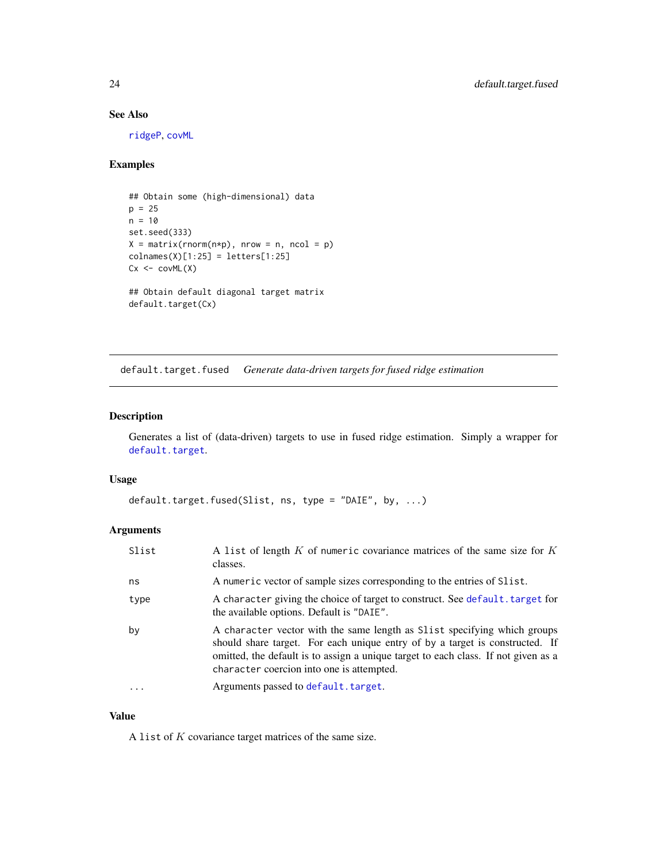# <span id="page-23-0"></span>See Also

[ridgeP](#page-83-1), [covML](#page-14-1)

# Examples

```
## Obtain some (high-dimensional) data
p = 25
n = 10
set.seed(333)
X = matrix(rnorm(n*p), nrow = n, ncol = p)colnames(X)[1:25] = letters[1:25]Cx < -covML(X)## Obtain default diagonal target matrix
default.target(Cx)
```
<span id="page-23-1"></span>default.target.fused *Generate data-driven targets for fused ridge estimation*

#### Description

Generates a list of (data-driven) targets to use in fused ridge estimation. Simply a wrapper for [default.target](#page-21-1).

### Usage

```
default.target.fused(Slist, ns, type = "DAIE", by, ...)
```
# Arguments

| Slist | A list of length $K$ of numeric covariance matrices of the same size for $K$<br>classes.                                                                                                                                                                                                    |
|-------|---------------------------------------------------------------------------------------------------------------------------------------------------------------------------------------------------------------------------------------------------------------------------------------------|
| ns    | A numeric vector of sample sizes corresponding to the entries of S1 ist.                                                                                                                                                                                                                    |
| type  | A character giving the choice of target to construct. See default. target for<br>the available options. Default is "DAIE".                                                                                                                                                                  |
| by    | A character vector with the same length as Slist specifying which groups<br>should share target. For each unique entry of by a target is constructed. If<br>omitted, the default is to assign a unique target to each class. If not given as a<br>character coercion into one is attempted. |
|       | Arguments passed to default. target.                                                                                                                                                                                                                                                        |

# Value

A list of  $K$  covariance target matrices of the same size.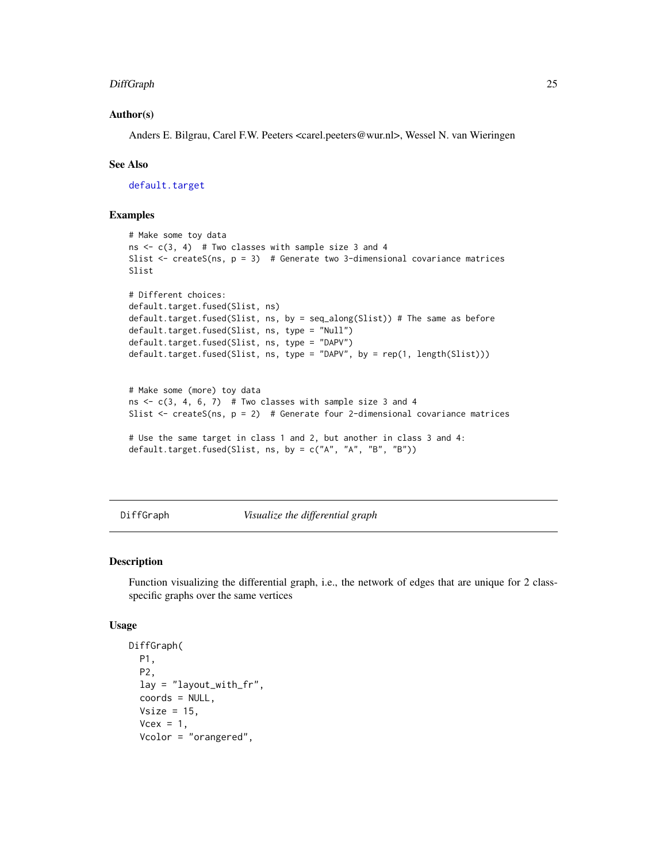#### <span id="page-24-0"></span>DiffGraph 25

### Author(s)

Anders E. Bilgrau, Carel F.W. Peeters <carel.peeters@wur.nl>, Wessel N. van Wieringen

#### See Also

[default.target](#page-21-1)

# Examples

```
# Make some toy data
ns \leq c(3, 4) # Two classes with sample size 3 and 4
Slist \le createS(ns, p = 3) # Generate two 3-dimensional covariance matrices
Slist
# Different choices:
default.target.fused(Slist, ns)
default.target.fused(Slist, ns, by = seq_along(Slist)) # The same as before
default.target.fused(Slist, ns, type = "Null")
default.target.fused(Slist, ns, type = "DAPV")
default.target.fused(Slist, ns, type = "DAPV", by = rep(1, length(Slist)))
# Make some (more) toy data
ns \leq c(3, 4, 6, 7) # Two classes with sample size 3 and 4
Slist \leq createS(ns, p = 2) # Generate four 2-dimensional covariance matrices
# Use the same target in class 1 and 2, but another in class 3 and 4:
default.target.fused(Slist, ns, by = c("A", "A", "B", "B"))
```
DiffGraph *Visualize the differential graph*

### Description

Function visualizing the differential graph, i.e., the network of edges that are unique for 2 classspecific graphs over the same vertices

#### Usage

```
DiffGraph(
 P1,
 P2,
  lay = "layout_with_fr",
  coords = NULL,
 Vsize = 15,
  Vcex = 1,
 Vcolor = "orangered",
```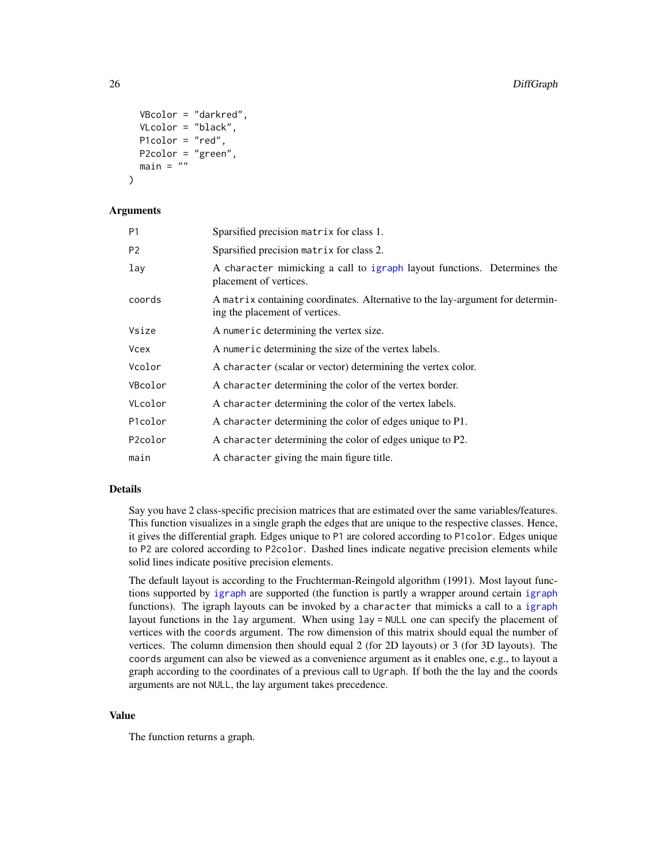```
VBcolor = "darkred",
  VLcolor = "black",
 P1color = "red",
 P2color = "green",
 main = "")
```
#### **Arguments**

| Sparsified precision matrix for class 1.                                                                         |
|------------------------------------------------------------------------------------------------------------------|
| Sparsified precision matrix for class 2.                                                                         |
| A character mimicking a call to igraph layout functions. Determines the<br>placement of vertices.                |
| A matrix containing coordinates. Alternative to the lay-argument for determin-<br>ing the placement of vertices. |
| A numeric determining the vertex size.                                                                           |
| A numeric determining the size of the vertex labels.                                                             |
| A character (scalar or vector) determining the vertex color.                                                     |
| A character determining the color of the vertex border.                                                          |
| A character determining the color of the vertex labels.                                                          |
| A character determining the color of edges unique to P1.                                                         |
| A character determining the color of edges unique to P2.                                                         |
| A character giving the main figure title.                                                                        |
|                                                                                                                  |

#### Details

Say you have 2 class-specific precision matrices that are estimated over the same variables/features. This function visualizes in a single graph the edges that are unique to the respective classes. Hence, it gives the differential graph. Edges unique to P1 are colored according to P1color. Edges unique to P2 are colored according to P2color. Dashed lines indicate negative precision elements while solid lines indicate positive precision elements.

The default layout is according to the Fruchterman-Reingold algorithm (1991). Most layout functions supported by [igraph](#page-0-0) are supported (the function is partly a wrapper around certain [igraph](#page-0-0) functions). The igraph layouts can be invoked by a character that mimicks a call to a [igraph](#page-0-0) layout functions in the lay argument. When using lay = NULL one can specify the placement of vertices with the coords argument. The row dimension of this matrix should equal the number of vertices. The column dimension then should equal 2 (for 2D layouts) or 3 (for 3D layouts). The coords argument can also be viewed as a convenience argument as it enables one, e.g., to layout a graph according to the coordinates of a previous call to Ugraph. If both the the lay and the coords arguments are not NULL, the lay argument takes precedence.

#### Value

The function returns a graph.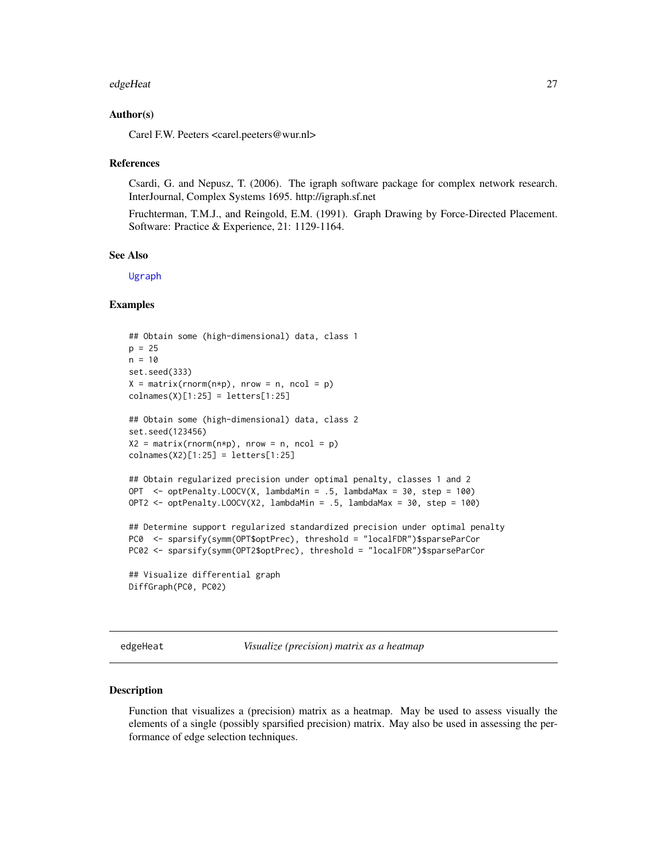#### <span id="page-26-0"></span>edgeHeat 27

#### Author(s)

Carel F.W. Peeters <carel.peeters@wur.nl>

#### References

Csardi, G. and Nepusz, T. (2006). The igraph software package for complex network research. InterJournal, Complex Systems 1695. http://igraph.sf.net

Fruchterman, T.M.J., and Reingold, E.M. (1991). Graph Drawing by Force-Directed Placement. Software: Practice & Experience, 21: 1129-1164.

#### See Also

[Ugraph](#page-102-1)

### Examples

```
## Obtain some (high-dimensional) data, class 1
p = 25n = 10set.seed(333)
X = matrix(rnorm(n*p), nrow = n, ncol = p)collnames(X)[1:25] = letters[1:25]## Obtain some (high-dimensional) data, class 2
set.seed(123456)
X2 = matrix(rnorm(n*p), nrow = n, ncol = p)colnames(X2)[1:25] = letters[1:25]
## Obtain regularized precision under optimal penalty, classes 1 and 2
OPT <- optPenalty.LOOCV(X, lambdaMin = .5, lambdaMax = 30, step = 100)
OPT2 <- optPenalty.LOOCV(X2, lambdaMin = .5, lambdaMax = 30, step = 100)
## Determine support regularized standardized precision under optimal penalty
PC0 <- sparsify(symm(OPT$optPrec), threshold = "localFDR")$sparseParCor
PC02 <- sparsify(symm(OPT2$optPrec), threshold = "localFDR")$sparseParCor
## Visualize differential graph
DiffGraph(PC0, PC02)
```
<span id="page-26-1"></span>edgeHeat *Visualize (precision) matrix as a heatmap*

#### Description

Function that visualizes a (precision) matrix as a heatmap. May be used to assess visually the elements of a single (possibly sparsified precision) matrix. May also be used in assessing the performance of edge selection techniques.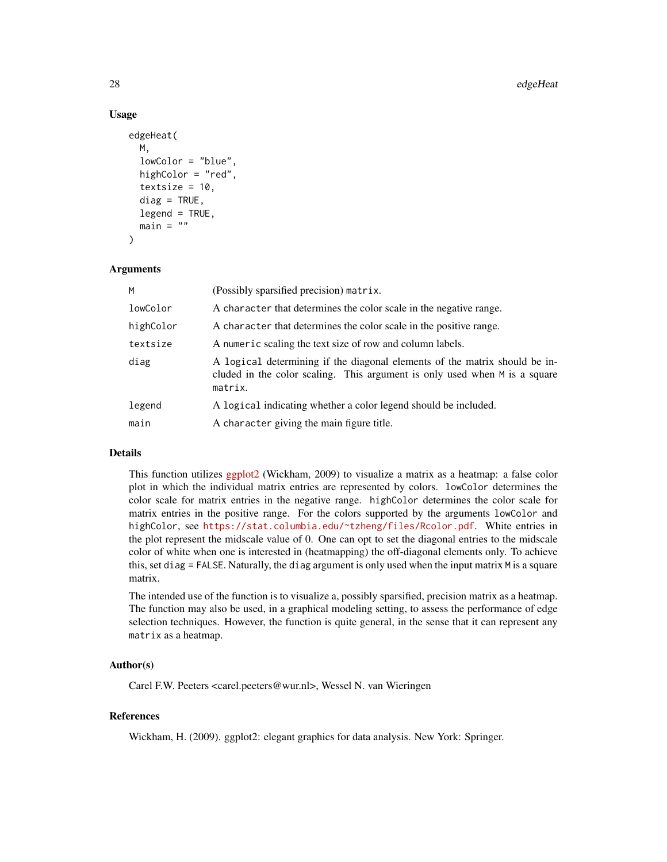#### 28 edgeHeat and the control of the control of the control of the control of the control of the control of the control of the control of the control of the control of the control of the control of the control of the control

#### Usage

```
edgeHeat(
 M,
  lowColor = "blue",
 highColor = "red",
  textsize = 10,
  diag = TRUE,legend = TRUE,main = "")
```
# Arguments

| M         | (Possibly sparsified precision) matrix.                                                                                                                             |
|-----------|---------------------------------------------------------------------------------------------------------------------------------------------------------------------|
| lowColor  | A character that determines the color scale in the negative range.                                                                                                  |
| highColor | A character that determines the color scale in the positive range.                                                                                                  |
| textsize  | A numeric scaling the text size of row and column labels.                                                                                                           |
| diag      | A logical determining if the diagonal elements of the matrix should be in-<br>cluded in the color scaling. This argument is only used when M is a square<br>matrix. |
| legend    | A logical indicating whether a color legend should be included.                                                                                                     |
| main      | A character giving the main figure title.                                                                                                                           |

#### Details

This function utilizes [ggplot2](https://cran.r-project.org/package=ggplot2) (Wickham, 2009) to visualize a matrix as a heatmap: a false color plot in which the individual matrix entries are represented by colors. lowColor determines the color scale for matrix entries in the negative range. highColor determines the color scale for matrix entries in the positive range. For the colors supported by the arguments lowColor and highColor, see <https://stat.columbia.edu/~tzheng/files/Rcolor.pdf>. White entries in the plot represent the midscale value of 0. One can opt to set the diagonal entries to the midscale color of white when one is interested in (heatmapping) the off-diagonal elements only. To achieve this, set diag = FALSE. Naturally, the diag argument is only used when the input matrix M is a square matrix.

The intended use of the function is to visualize a, possibly sparsified, precision matrix as a heatmap. The function may also be used, in a graphical modeling setting, to assess the performance of edge selection techniques. However, the function is quite general, in the sense that it can represent any matrix as a heatmap.

#### Author(s)

Carel F.W. Peeters <carel.peeters@wur.nl>, Wessel N. van Wieringen

# References

Wickham, H. (2009). ggplot2: elegant graphics for data analysis. New York: Springer.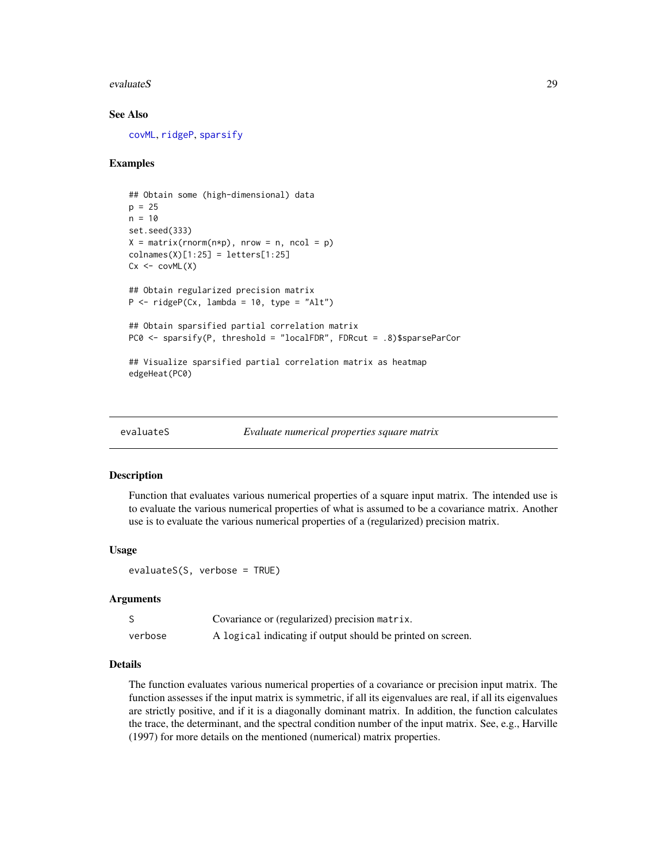#### <span id="page-28-0"></span>evaluateS 29

#### See Also

[covML](#page-14-1), [ridgeP](#page-83-1), [sparsify](#page-96-1)

# Examples

```
## Obtain some (high-dimensional) data
p = 25n = 10set.seed(333)
X = matrix(rnorm(n*p), nrow = n, ncol = p)collnames(X)[1:25] = letters[1:25]Cx \leftarrow \text{covML}(X)## Obtain regularized precision matrix
P \le - ridgeP(Cx, lambda = 10, type = "Alt")
## Obtain sparsified partial correlation matrix
PC0 <- sparsify(P, threshold = "localFDR", FDRcut = .8)$sparseParCor
## Visualize sparsified partial correlation matrix as heatmap
edgeHeat(PC0)
```
<span id="page-28-1"></span>

```
evaluateS Evaluate numerical properties square matrix
```
#### Description

Function that evaluates various numerical properties of a square input matrix. The intended use is to evaluate the various numerical properties of what is assumed to be a covariance matrix. Another use is to evaluate the various numerical properties of a (regularized) precision matrix.

#### Usage

```
evaluateS(S, verbose = TRUE)
```
#### Arguments

|         | Covariance or (regularized) precision matrix.               |
|---------|-------------------------------------------------------------|
| verbose | A logical indicating if output should be printed on screen. |

# Details

The function evaluates various numerical properties of a covariance or precision input matrix. The function assesses if the input matrix is symmetric, if all its eigenvalues are real, if all its eigenvalues are strictly positive, and if it is a diagonally dominant matrix. In addition, the function calculates the trace, the determinant, and the spectral condition number of the input matrix. See, e.g., Harville (1997) for more details on the mentioned (numerical) matrix properties.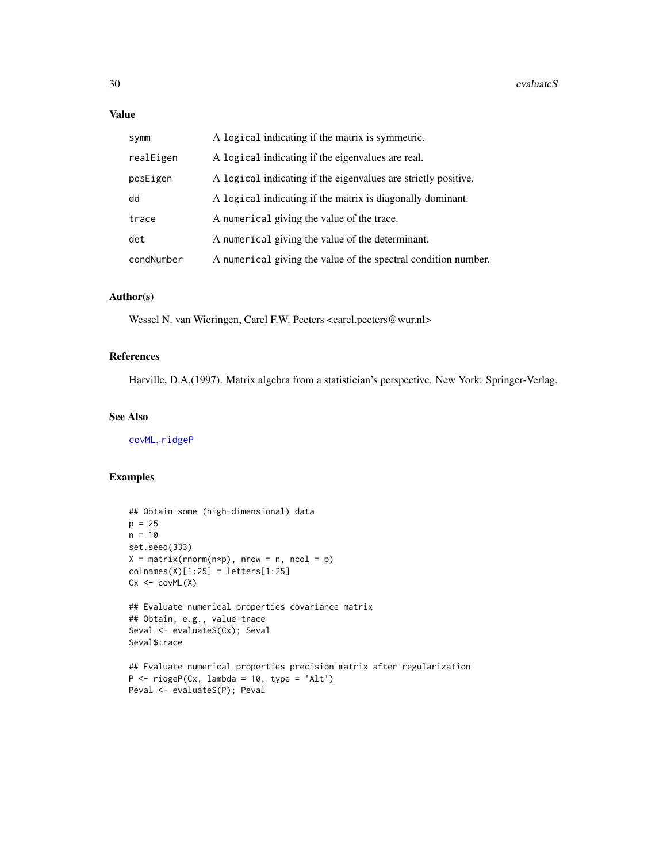# Value

| symm       | A logical indicating if the matrix is symmetric.               |
|------------|----------------------------------------------------------------|
| realEigen  | A logical indicating if the eigenvalues are real.              |
| posEigen   | A logical indicating if the eigenvalues are strictly positive. |
| dd         | A logical indicating if the matrix is diagonally dominant.     |
| trace      | A numerical giving the value of the trace.                     |
| det        | A numerical giving the value of the determinant.               |
| condNumber | A numerical giving the value of the spectral condition number. |

# Author(s)

Wessel N. van Wieringen, Carel F.W. Peeters <carel.peeters@wur.nl>

# References

Harville, D.A.(1997). Matrix algebra from a statistician's perspective. New York: Springer-Verlag.

#### See Also

[covML](#page-14-1), [ridgeP](#page-83-1)

#### Examples

```
## Obtain some (high-dimensional) data
p = 25n = 10set.seed(333)
X = matrix(rnorm(n*p), nrow = n, ncol = p)collnames(X)[1:25] = letters[1:25]Cx \leftarrow \text{covML}(X)## Evaluate numerical properties covariance matrix
## Obtain, e.g., value trace
Seval <- evaluateS(Cx); Seval
Seval$trace
## Evaluate numerical properties precision matrix after regularization
P \le - ridgeP(Cx, lambda = 10, type = 'Alt')
Peval <- evaluateS(P); Peval
```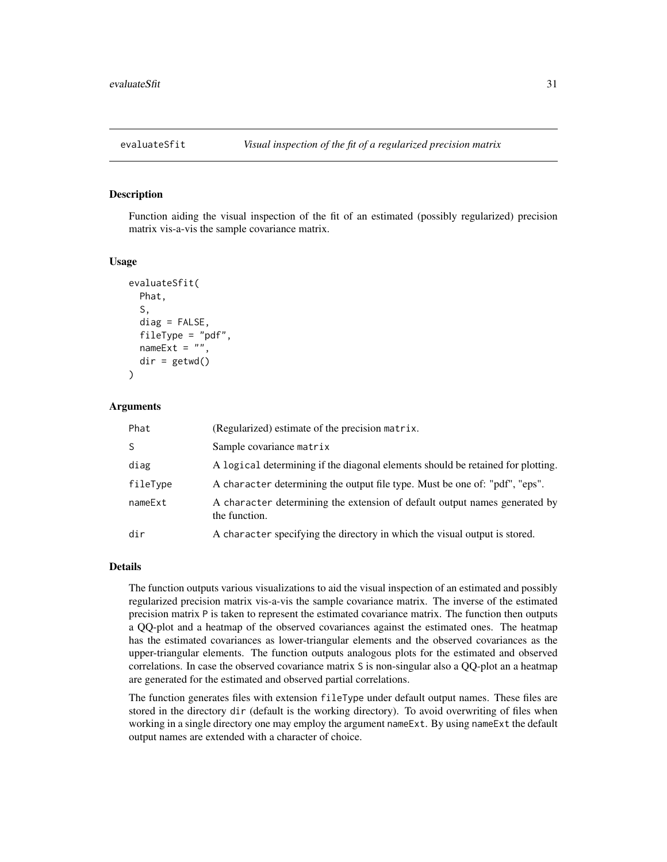<span id="page-30-1"></span><span id="page-30-0"></span>

#### Description

Function aiding the visual inspection of the fit of an estimated (possibly regularized) precision matrix vis-a-vis the sample covariance matrix.

#### Usage

```
evaluateSfit(
 Phat,
  S,
  diag = FALSE,
  fileType = "pdf",
 nameExt = "",dir = getwd())
```
### **Arguments**

| Phat     | (Regularized) estimate of the precision matrix.                                             |
|----------|---------------------------------------------------------------------------------------------|
| S        | Sample covariance matrix                                                                    |
| diag     | A logical determining if the diagonal elements should be retained for plotting.             |
| fileType | A character determining the output file type. Must be one of: "pdf", "eps".                 |
| nameExt  | A character determining the extension of default output names generated by<br>the function. |
| dir      | A character specifying the directory in which the visual output is stored.                  |

#### Details

The function outputs various visualizations to aid the visual inspection of an estimated and possibly regularized precision matrix vis-a-vis the sample covariance matrix. The inverse of the estimated precision matrix P is taken to represent the estimated covariance matrix. The function then outputs a QQ-plot and a heatmap of the observed covariances against the estimated ones. The heatmap has the estimated covariances as lower-triangular elements and the observed covariances as the upper-triangular elements. The function outputs analogous plots for the estimated and observed correlations. In case the observed covariance matrix S is non-singular also a QQ-plot an a heatmap are generated for the estimated and observed partial correlations.

The function generates files with extension fileType under default output names. These files are stored in the directory dir (default is the working directory). To avoid overwriting of files when working in a single directory one may employ the argument nameExt. By using nameExt the default output names are extended with a character of choice.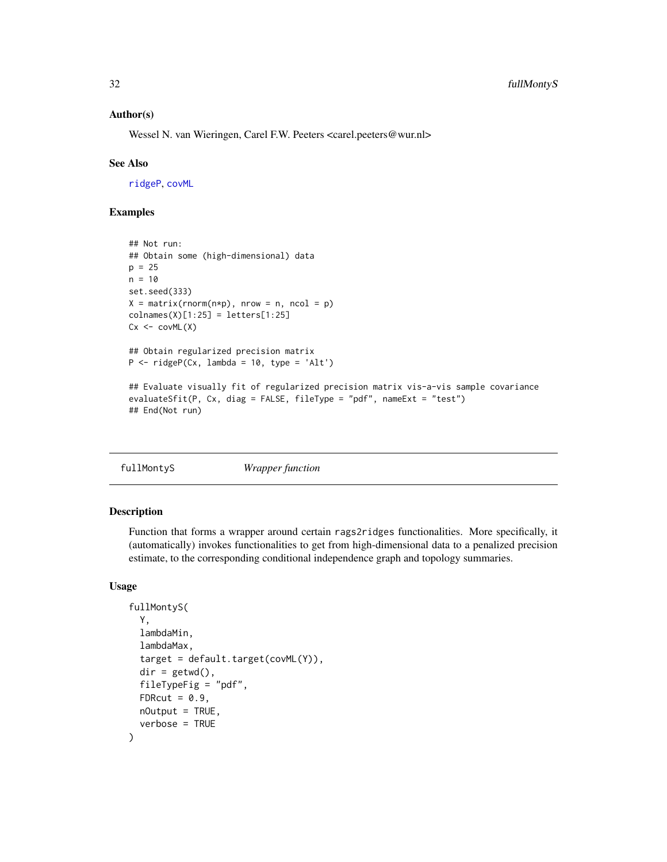### <span id="page-31-0"></span>Author(s)

Wessel N. van Wieringen, Carel F.W. Peeters <carel.peeters@wur.nl>

#### See Also

[ridgeP](#page-83-1), [covML](#page-14-1)

# Examples

```
## Not run:
## Obtain some (high-dimensional) data
p = 25n = 10set.seed(333)
X = matrix(rnorm(n*p), nrow = n, ncol = p)collnames(X)[1:25] = letters[1:25]Cx \leftarrow \text{covML}(X)## Obtain regularized precision matrix
P \le - ridgeP(Cx, lambda = 10, type = 'Alt')
## Evaluate visually fit of regularized precision matrix vis-a-vis sample covariance
evaluateSfit(P, Cx, diag = FALSE, fileType = "pdf", nameExt = "test")
## End(Not run)
```
<span id="page-31-1"></span>

| fullMontyS | Wrapper function |  |
|------------|------------------|--|
|------------|------------------|--|

# Description

Function that forms a wrapper around certain rags2ridges functionalities. More specifically, it (automatically) invokes functionalities to get from high-dimensional data to a penalized precision estimate, to the corresponding conditional independence graph and topology summaries.

#### Usage

```
fullMontyS(
  Y,
  lambdaMin,
  lambdaMax,
  target = default.target(covML(Y)),
  dir = getwd(),fileTypeFig = "pdf",
  FDRcut = 0.9,
 nOutput = TRUE,verbose = TRUE
)
```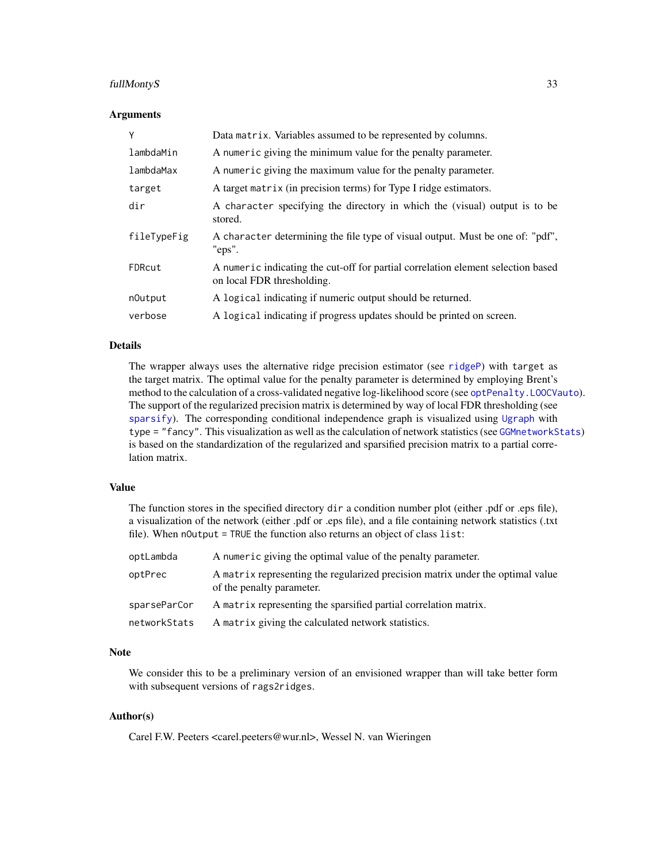# fullMontyS 33

#### Arguments

| Y           | Data matrix. Variables assumed to be represented by columns.                                                   |
|-------------|----------------------------------------------------------------------------------------------------------------|
| lambdaMin   | A numeric giving the minimum value for the penalty parameter.                                                  |
| lambdaMax   | A numeric giving the maximum value for the penalty parameter.                                                  |
| target      | A target matrix (in precision terms) for Type I ridge estimators.                                              |
| dir         | A character specifying the directory in which the (visual) output is to be<br>stored.                          |
| fileTypeFig | A character determining the file type of visual output. Must be one of: "pdf",<br>"eps".                       |
| FDRcut      | A numeric indicating the cut-off for partial correlation element selection based<br>on local FDR thresholding. |
| n0utput     | A logical indicating if numeric output should be returned.                                                     |
| verbose     | A logical indicating if progress updates should be printed on screen.                                          |

### Details

The wrapper always uses the alternative ridge precision estimator (see [ridgeP](#page-83-1)) with target as the target matrix. The optimal value for the penalty parameter is determined by employing Brent's method to the calculation of a cross-validated negative log-likelihood score (see [optPenalty.LOOCVauto](#page-74-1)). The support of the regularized precision matrix is determined by way of local FDR thresholding (see [sparsify](#page-96-1)). The corresponding conditional independence graph is visualized using [Ugraph](#page-102-1) with type = "fancy". This visualization as well as the calculation of network statistics (see [GGMnetworkStats](#page-40-1)) is based on the standardization of the regularized and sparsified precision matrix to a partial correlation matrix.

# Value

The function stores in the specified directory dir a condition number plot (either .pdf or .eps file), a visualization of the network (either .pdf or .eps file), and a file containing network statistics (.txt file). When nOutput = TRUE the function also returns an object of class list:

| optLambda    | A numeric giving the optimal value of the penalty parameter.                                                |
|--------------|-------------------------------------------------------------------------------------------------------------|
| optPrec      | A matrix representing the regularized precision matrix under the optimal value<br>of the penalty parameter. |
| sparseParCor | A matrix representing the sparsified partial correlation matrix.                                            |
| networkStats | A matrix giving the calculated network statistics.                                                          |

# Note

We consider this to be a preliminary version of an envisioned wrapper than will take better form with subsequent versions of rags2ridges.

# Author(s)

Carel F.W. Peeters <carel.peeters@wur.nl>, Wessel N. van Wieringen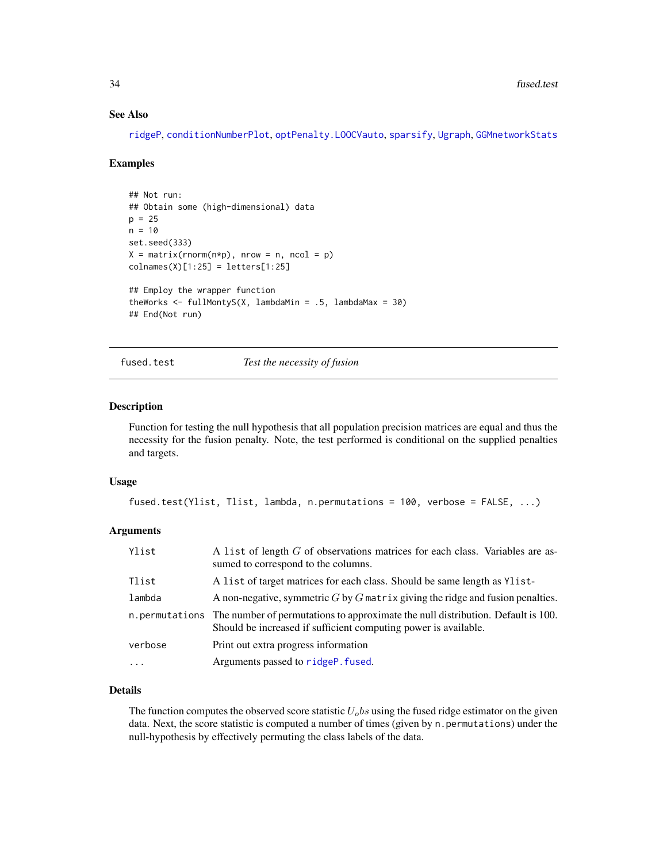#### See Also

[ridgeP](#page-83-1), [conditionNumberPlot](#page-12-1), [optPenalty.LOOCVauto](#page-74-1), [sparsify](#page-96-1), [Ugraph](#page-102-1), [GGMnetworkStats](#page-40-1)

# Examples

```
## Not run:
## Obtain some (high-dimensional) data
p = 25n = 10set.seed(333)
X = matrix(rnorm(n*p), nrow = n, ncol = p)collnames(X)[1:25] = letters[1:25]## Employ the wrapper function
theWorks \le fullMontyS(X, lambdaMin = .5, lambdaMax = 30)
## End(Not run)
```
fused.test *Test the necessity of fusion*

### Description

Function for testing the null hypothesis that all population precision matrices are equal and thus the necessity for the fusion penalty. Note, the test performed is conditional on the supplied penalties and targets.

#### Usage

```
fused.test(Ylist, Tlist, lambda, n.permutations = 100, verbose = FALSE, ...)
```
# Arguments

| Ylist     | A list of length G of observations matrices for each class. Variables are as-<br>sumed to correspond to the columns.                                                |
|-----------|---------------------------------------------------------------------------------------------------------------------------------------------------------------------|
| Tlist     | A list of target matrices for each class. Should be same length as Ylist-                                                                                           |
| lambda    | A non-negative, symmetric $G$ by $G$ matrix giving the ridge and fusion penalties.                                                                                  |
|           | n. permutations The number of permutations to approximate the null distribution. Default is 100.<br>Should be increased if sufficient computing power is available. |
| verbose   | Print out extra progress information                                                                                                                                |
| $\ddotsc$ | Arguments passed to ridgeP. fused.                                                                                                                                  |

# Details

The function computes the observed score statistic  $U<sub>o</sub>$  bs using the fused ridge estimator on the given data. Next, the score statistic is computed a number of times (given by n. permutations) under the null-hypothesis by effectively permuting the class labels of the data.

<span id="page-33-0"></span>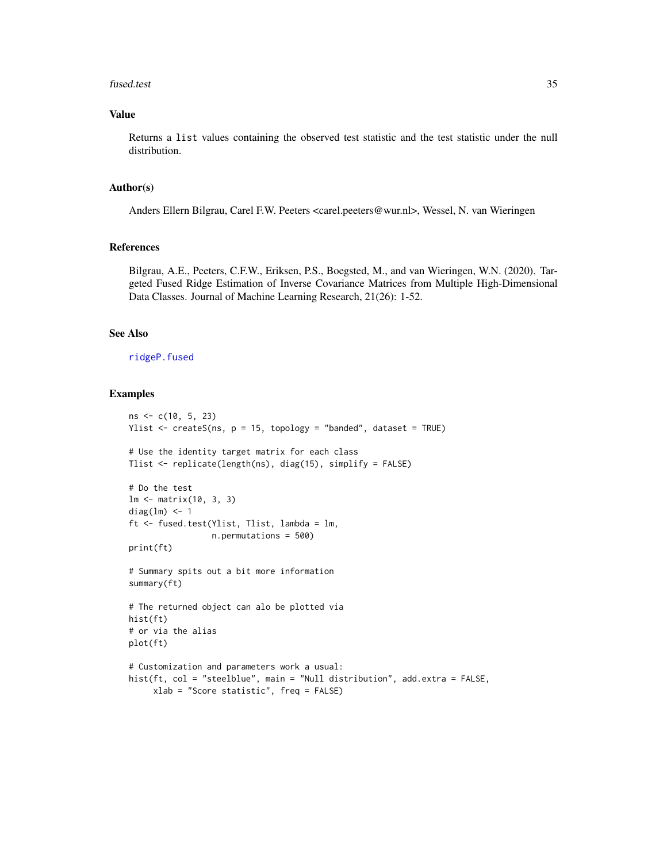#### fused.test 35

# Value

Returns a list values containing the observed test statistic and the test statistic under the null distribution.

# Author(s)

Anders Ellern Bilgrau, Carel F.W. Peeters <carel.peeters@wur.nl>, Wessel, N. van Wieringen

# References

Bilgrau, A.E., Peeters, C.F.W., Eriksen, P.S., Boegsted, M., and van Wieringen, W.N. (2020). Targeted Fused Ridge Estimation of Inverse Covariance Matrices from Multiple High-Dimensional Data Classes. Journal of Machine Learning Research, 21(26): 1-52.

#### See Also

[ridgeP.fused](#page-85-1)

# Examples

```
ns <- c(10, 5, 23)
Ylist \leq createS(ns, p = 15, topology = "banded", dataset = TRUE)
# Use the identity target matrix for each class
Tlist <- replicate(length(ns), diag(15), simplify = FALSE)
# Do the test
lm <- matrix(10, 3, 3)
diag(lm) <- 1
ft <- fused.test(Ylist, Tlist, lambda = lm,
                 n.permutations = 500)
print(ft)
# Summary spits out a bit more information
summary(ft)
# The returned object can alo be plotted via
hist(ft)
# or via the alias
plot(ft)
# Customization and parameters work a usual:
hist(ft, col = "steelblue", main = "Null distribution", add.extra = FALSE,
    xlab = "Score statistic", freq = FALSE)
```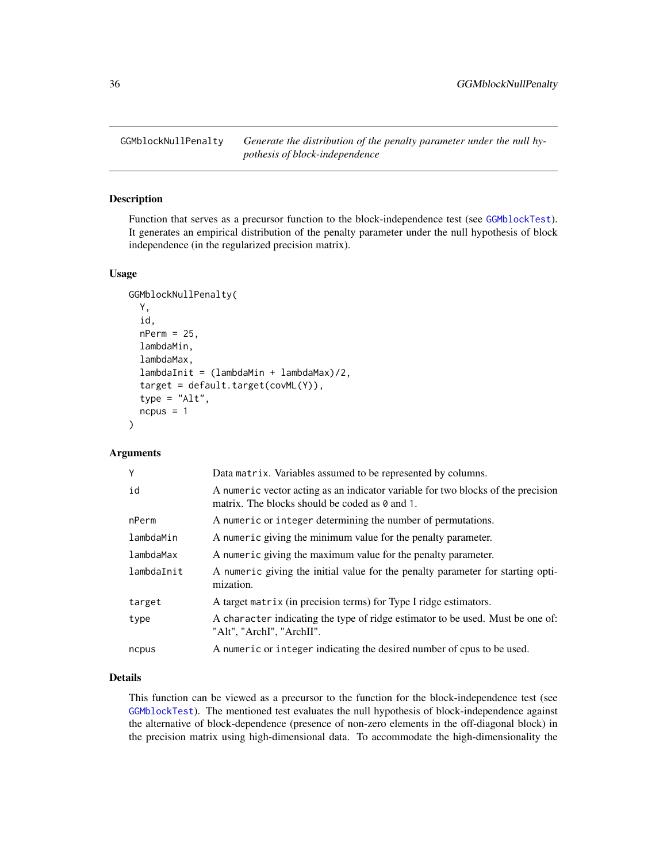<span id="page-35-1"></span><span id="page-35-0"></span>GGMblockNullPenalty *Generate the distribution of the penalty parameter under the null hypothesis of block-independence*

# Description

Function that serves as a precursor function to the block-independence test (see [GGMblockTest](#page-36-1)). It generates an empirical distribution of the penalty parameter under the null hypothesis of block independence (in the regularized precision matrix).

# Usage

```
GGMblockNullPenalty(
  Y,
  id,
  nPerm = 25,
  lambdaMin,
  lambdaMax,
  lambdaInit = (lambdaMin + lambdaMax)/2,
  target = default.target(covML(Y)),
  type = "Alt",
  ncpus = 1)
```
#### Arguments

| Y          | Data matrix. Variables assumed to be represented by columns.                                                                              |
|------------|-------------------------------------------------------------------------------------------------------------------------------------------|
| id         | A numeric vector acting as an indicator variable for two blocks of the precision<br>matrix. The blocks should be coded as $\theta$ and 1. |
| nPerm      | A numeric or integer determining the number of permutations.                                                                              |
| lambdaMin  | A numeric giving the minimum value for the penalty parameter.                                                                             |
| lambdaMax  | A numeric giving the maximum value for the penalty parameter.                                                                             |
| lambdaInit | A numeric giving the initial value for the penalty parameter for starting opti-<br>mization.                                              |
| target     | A target matrix (in precision terms) for Type I ridge estimators.                                                                         |
| type       | A character indicating the type of ridge estimator to be used. Must be one of:<br>"Alt", "ArchI", "ArchII".                               |
| ncpus      | A numeric or integer indicating the desired number of cpus to be used.                                                                    |
|            |                                                                                                                                           |

# Details

This function can be viewed as a precursor to the function for the block-independence test (see [GGMblockTest](#page-36-1)). The mentioned test evaluates the null hypothesis of block-independence against the alternative of block-dependence (presence of non-zero elements in the off-diagonal block) in the precision matrix using high-dimensional data. To accommodate the high-dimensionality the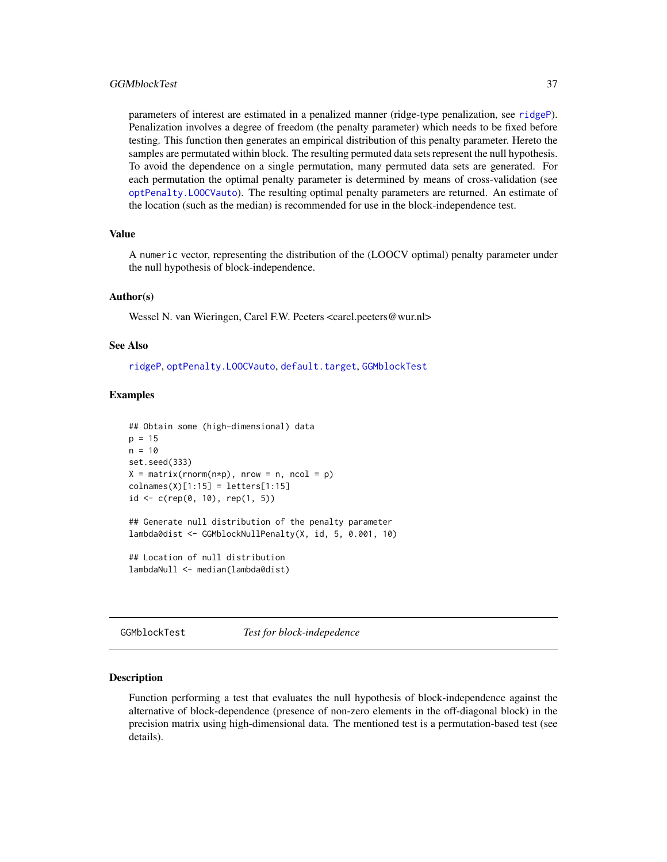#### GGMblockTest 37

parameters of interest are estimated in a penalized manner (ridge-type penalization, see [ridgeP](#page-83-0)). Penalization involves a degree of freedom (the penalty parameter) which needs to be fixed before testing. This function then generates an empirical distribution of this penalty parameter. Hereto the samples are permutated within block. The resulting permuted data sets represent the null hypothesis. To avoid the dependence on a single permutation, many permuted data sets are generated. For each permutation the optimal penalty parameter is determined by means of cross-validation (see [optPenalty.LOOCVauto](#page-74-0)). The resulting optimal penalty parameters are returned. An estimate of the location (such as the median) is recommended for use in the block-independence test.

## Value

A numeric vector, representing the distribution of the (LOOCV optimal) penalty parameter under the null hypothesis of block-independence.

#### Author(s)

Wessel N. van Wieringen, Carel F.W. Peeters <carel.peeters@wur.nl>

#### See Also

[ridgeP](#page-83-0), [optPenalty.LOOCVauto](#page-74-0), [default.target](#page-21-0), [GGMblockTest](#page-36-0)

### Examples

```
## Obtain some (high-dimensional) data
p = 15n = 10set.seed(333)
X = matrix(rnorm(n*p), nrow = n, ncol = p)colnames(X)[1:15] = letters[1:15]id \leq c(rep(\emptyset, 10), rep(1, 5))## Generate null distribution of the penalty parameter
lambda0dist <- GGMblockNullPenalty(X, id, 5, 0.001, 10)
## Location of null distribution
lambdaNull <- median(lambda0dist)
```
<span id="page-36-0"></span>GGMblockTest *Test for block-indepedence*

#### Description

Function performing a test that evaluates the null hypothesis of block-independence against the alternative of block-dependence (presence of non-zero elements in the off-diagonal block) in the precision matrix using high-dimensional data. The mentioned test is a permutation-based test (see details).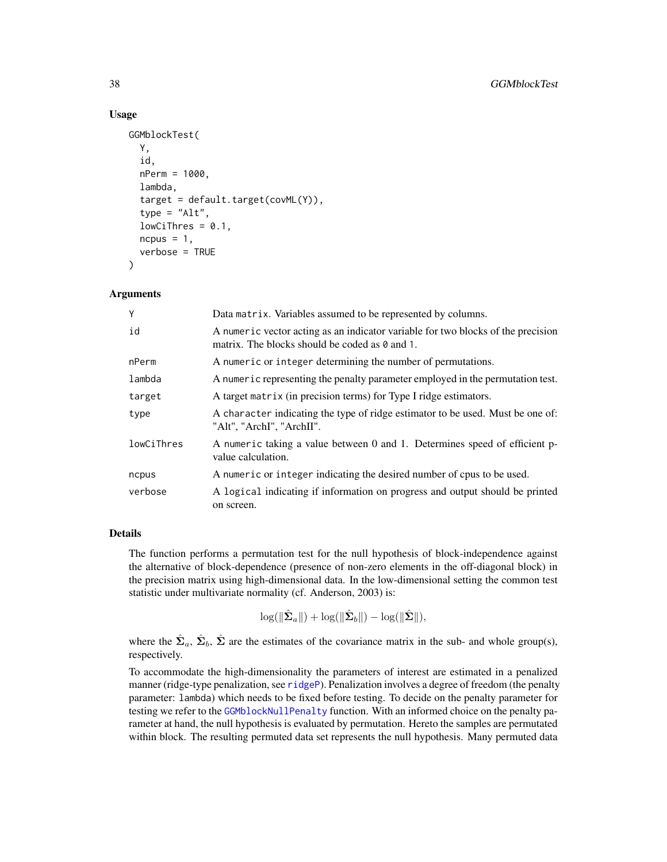### Usage

```
GGMblockTest(
 Y,
  id,
  nPerm = 1000,
  lambda,
  target = default.target(covML(Y)),
  type = "Alt",
  lowCifhres = 0.1,ncpus = 1,verbose = TRUE
)
```
## Arguments

| Υ          | Data matrix. Variables assumed to be represented by columns.                                                                              |
|------------|-------------------------------------------------------------------------------------------------------------------------------------------|
| id         | A numeric vector acting as an indicator variable for two blocks of the precision<br>matrix. The blocks should be coded as $\theta$ and 1. |
| nPerm      | A numeric or integer determining the number of permutations.                                                                              |
| lambda     | A numeric representing the penalty parameter employed in the permutation test.                                                            |
| target     | A target matrix (in precision terms) for Type I ridge estimators.                                                                         |
| type       | A character indicating the type of ridge estimator to be used. Must be one of:<br>"Alt", "ArchI", "ArchII".                               |
| lowCiThres | A numeric taking a value between 0 and 1. Determines speed of efficient p-<br>value calculation.                                          |
| ncpus      | A numeric or integer indicating the desired number of cpus to be used.                                                                    |
| verbose    | A logical indicating if information on progress and output should be printed<br>on screen.                                                |

## Details

The function performs a permutation test for the null hypothesis of block-independence against the alternative of block-dependence (presence of non-zero elements in the off-diagonal block) in the precision matrix using high-dimensional data. In the low-dimensional setting the common test statistic under multivariate normality (cf. Anderson, 2003) is:

 $\log(\Vert \hat{\mathbf{\Sigma}}_a \Vert) + \log(\Vert \hat{\mathbf{\Sigma}}_b \Vert) - \log(\Vert \hat{\mathbf{\Sigma}} \Vert),$ 

where the  $\hat{\Sigma}_a$ ,  $\hat{\Sigma}_b$ ,  $\hat{\Sigma}$  are the estimates of the covariance matrix in the sub- and whole group(s), respectively.

To accommodate the high-dimensionality the parameters of interest are estimated in a penalized manner (ridge-type penalization, see [ridgeP](#page-83-0)). Penalization involves a degree of freedom (the penalty parameter: lambda) which needs to be fixed before testing. To decide on the penalty parameter for testing we refer to the [GGMblockNullPenalty](#page-35-0) function. With an informed choice on the penalty parameter at hand, the null hypothesis is evaluated by permutation. Hereto the samples are permutated within block. The resulting permuted data set represents the null hypothesis. Many permuted data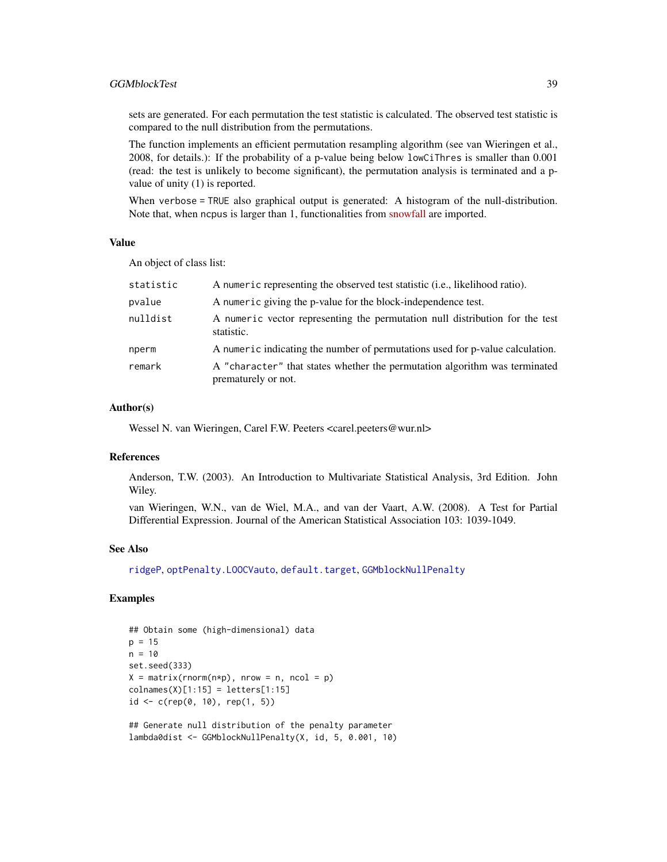## GGMblockTest 39

sets are generated. For each permutation the test statistic is calculated. The observed test statistic is compared to the null distribution from the permutations.

The function implements an efficient permutation resampling algorithm (see van Wieringen et al., 2008, for details.): If the probability of a p-value being below lowCiThres is smaller than 0.001 (read: the test is unlikely to become significant), the permutation analysis is terminated and a pvalue of unity (1) is reported.

When verbose = TRUE also graphical output is generated: A histogram of the null-distribution. Note that, when ncpus is larger than 1, functionalities from [snowfall](https://cran.r-project.org/package=snowfall) are imported.

### Value

An object of class list:

| statistic | A numeric representing the observed test statistic ( <i>i.e.</i> , likelihood ratio).             |
|-----------|---------------------------------------------------------------------------------------------------|
| pvalue    | A numeric giving the p-value for the block-independence test.                                     |
| nulldist  | A numeric vector representing the permutation null distribution for the test<br>statistic.        |
| nperm     | A numeric indicating the number of permutations used for p-value calculation.                     |
| remark    | A "character" that states whether the permutation algorithm was terminated<br>prematurely or not. |

### Author(s)

Wessel N. van Wieringen, Carel F.W. Peeters <carel.peeters@wur.nl>

### References

Anderson, T.W. (2003). An Introduction to Multivariate Statistical Analysis, 3rd Edition. John Wiley.

van Wieringen, W.N., van de Wiel, M.A., and van der Vaart, A.W. (2008). A Test for Partial Differential Expression. Journal of the American Statistical Association 103: 1039-1049.

#### See Also

[ridgeP](#page-83-0), [optPenalty.LOOCVauto](#page-74-0), [default.target](#page-21-0), [GGMblockNullPenalty](#page-35-0)

## Examples

```
## Obtain some (high-dimensional) data
p = 15n = 10set.seed(333)
X = matrix(rnorm(n*p), nrow = n, ncol = p)colnames(X)[1:15] = letters[1:15]id \leq c(\text{rep}(0, 10), \text{rep}(1, 5))## Generate null distribution of the penalty parameter
```
lambda0dist <- GGMblockNullPenalty(X, id, 5, 0.001, 10)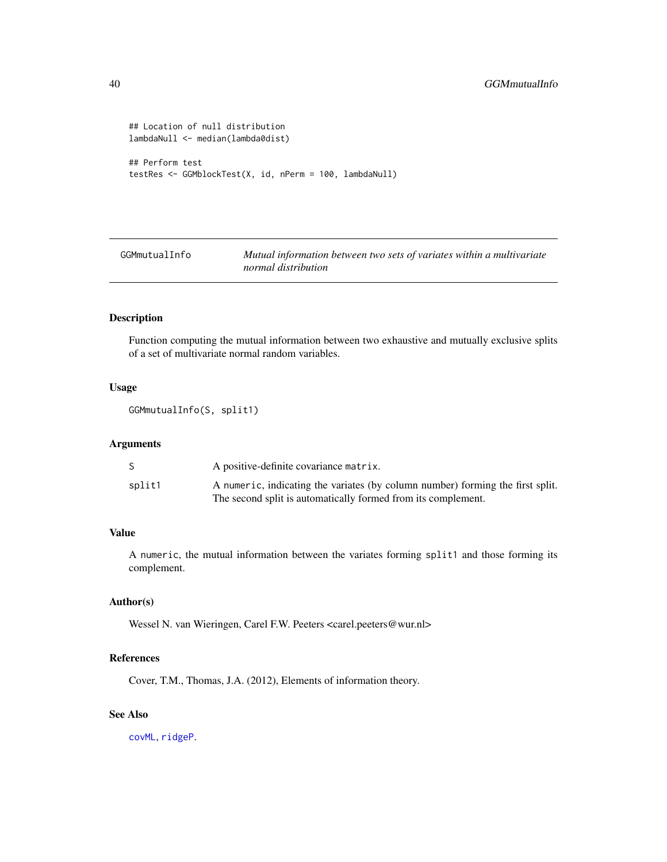```
## Location of null distribution
lambdaNull <- median(lambda0dist)
## Perform test
testRes <- GGMblockTest(X, id, nPerm = 100, lambdaNull)
```
GGMmutualInfo *Mutual information between two sets of variates within a multivariate normal distribution*

## Description

Function computing the mutual information between two exhaustive and mutually exclusive splits of a set of multivariate normal random variables.

### Usage

GGMmutualInfo(S, split1)

## Arguments

|        | A positive-definite covariance matrix.                                         |
|--------|--------------------------------------------------------------------------------|
| split1 | A numeric, indicating the variates (by column number) forming the first split. |
|        | The second split is automatically formed from its complement.                  |

# Value

A numeric, the mutual information between the variates forming split1 and those forming its complement.

# Author(s)

Wessel N. van Wieringen, Carel F.W. Peeters <carel.peeters@wur.nl>

## References

Cover, T.M., Thomas, J.A. (2012), Elements of information theory.

## See Also

[covML](#page-14-0), [ridgeP](#page-83-0).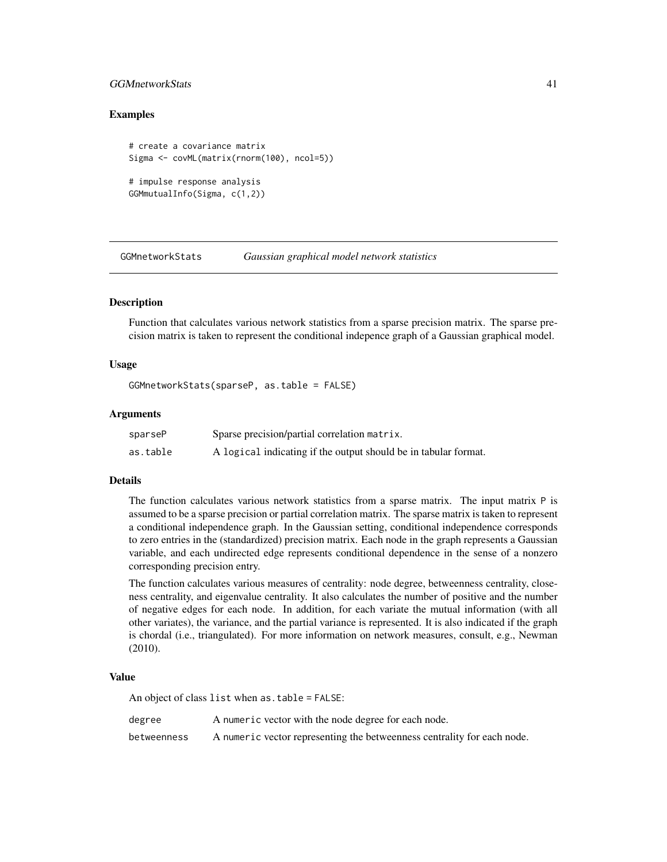## GGMnetworkStats 41

## Examples

```
# create a covariance matrix
Sigma <- covML(matrix(rnorm(100), ncol=5))
# impulse response analysis
```

```
GGMmutualInfo(Sigma, c(1,2))
```
<span id="page-40-0"></span>GGMnetworkStats *Gaussian graphical model network statistics*

### Description

Function that calculates various network statistics from a sparse precision matrix. The sparse precision matrix is taken to represent the conditional indepence graph of a Gaussian graphical model.

### Usage

GGMnetworkStats(sparseP, as.table = FALSE)

### Arguments

| sparseP  | Sparse precision/partial correlation matrix.                    |
|----------|-----------------------------------------------------------------|
| as.table | A logical indicating if the output should be in tabular format. |

## Details

The function calculates various network statistics from a sparse matrix. The input matrix P is assumed to be a sparse precision or partial correlation matrix. The sparse matrix is taken to represent a conditional independence graph. In the Gaussian setting, conditional independence corresponds to zero entries in the (standardized) precision matrix. Each node in the graph represents a Gaussian variable, and each undirected edge represents conditional dependence in the sense of a nonzero corresponding precision entry.

The function calculates various measures of centrality: node degree, betweenness centrality, closeness centrality, and eigenvalue centrality. It also calculates the number of positive and the number of negative edges for each node. In addition, for each variate the mutual information (with all other variates), the variance, and the partial variance is represented. It is also indicated if the graph is chordal (i.e., triangulated). For more information on network measures, consult, e.g., Newman (2010).

### Value

An object of class list when as.table = FALSE:

degree A numeric vector with the node degree for each node. betweenness A numeric vector representing the betweenness centrality for each node.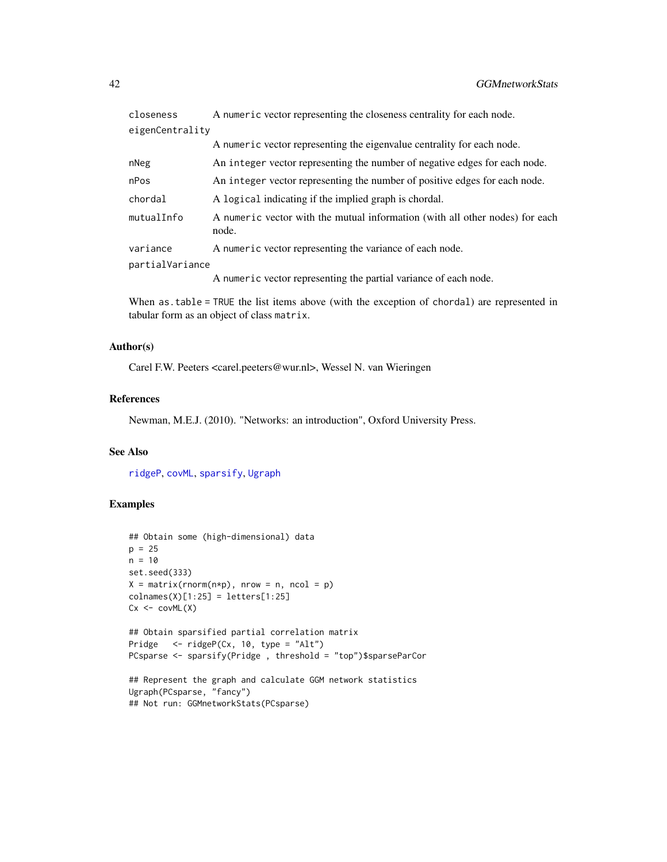| closeness       | A numeric vector representing the closeness centrality for each node.                 |
|-----------------|---------------------------------------------------------------------------------------|
| eigenCentrality |                                                                                       |
|                 | A numeric vector representing the eigenvalue centrality for each node.                |
| nNeg            | An integer vector representing the number of negative edges for each node.            |
| nPos            | An integer vector representing the number of positive edges for each node.            |
| chordal         | A logical indicating if the implied graph is chordal.                                 |
| mutualInfo      | A numeric vector with the mutual information (with all other nodes) for each<br>node. |
| variance        | A numeric vector representing the variance of each node.                              |
| partialVariance |                                                                                       |
|                 | A numeric vector representing the partial variance of each node.                      |

When as.table = TRUE the list items above (with the exception of chordal) are represented in tabular form as an object of class matrix.

## Author(s)

Carel F.W. Peeters <carel.peeters@wur.nl>, Wessel N. van Wieringen

## References

Newman, M.E.J. (2010). "Networks: an introduction", Oxford University Press.

## See Also

[ridgeP](#page-83-0), [covML](#page-14-0), [sparsify](#page-96-0), [Ugraph](#page-102-0)

```
## Obtain some (high-dimensional) data
p = 25n = 10set.seed(333)
X = matrix(rnorm(n*p), nrow = n, ncol = p)collnames(X)[1:25] = letters[1:25]Cx < -covML(X)## Obtain sparsified partial correlation matrix
Pridge <- ridgeP(Cx, 10, type = "Alt")
PCsparse <- sparsify(Pridge , threshold = "top")$sparseParCor
## Represent the graph and calculate GGM network statistics
```

```
Ugraph(PCsparse, "fancy")
## Not run: GGMnetworkStats(PCsparse)
```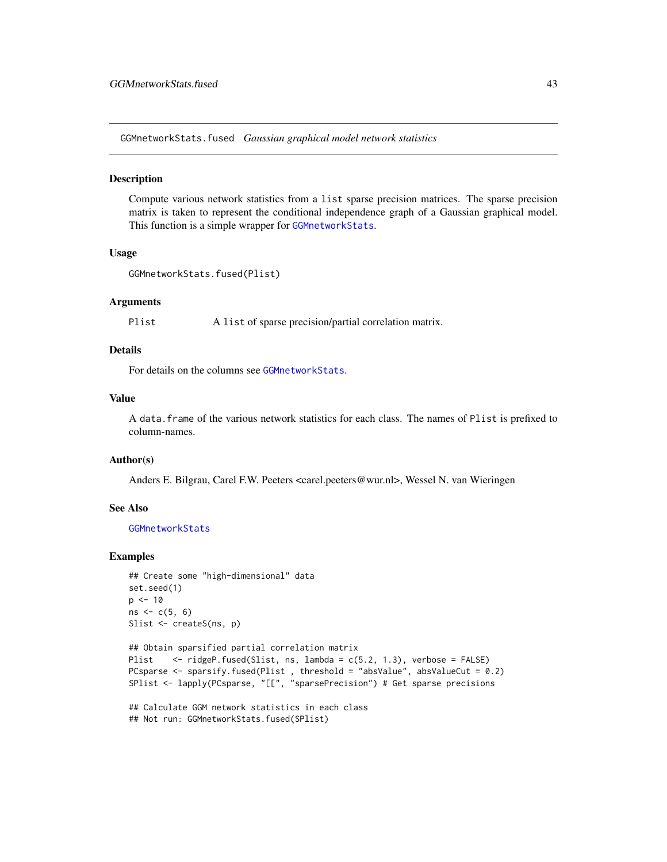GGMnetworkStats.fused *Gaussian graphical model network statistics*

### **Description**

Compute various network statistics from a list sparse precision matrices. The sparse precision matrix is taken to represent the conditional independence graph of a Gaussian graphical model. This function is a simple wrapper for [GGMnetworkStats](#page-40-0).

#### Usage

```
GGMnetworkStats.fused(Plist)
```
#### Arguments

Plist A list of sparse precision/partial correlation matrix.

## Details

For details on the columns see [GGMnetworkStats](#page-40-0).

## Value

A data.frame of the various network statistics for each class. The names of Plist is prefixed to column-names.

# Author(s)

Anders E. Bilgrau, Carel F.W. Peeters <carel.peeters@wur.nl>, Wessel N. van Wieringen

### See Also

[GGMnetworkStats](#page-40-0)

```
## Create some "high-dimensional" data
set.seed(1)
p \le -10ns < -c(5, 6)Slist <- createS(ns, p)
```

```
## Obtain sparsified partial correlation matrix
Plist <- ridgeP.fused(Slist, ns, lambda = c(5.2, 1.3), verbose = FALSE)
PCsparse <- sparsify.fused(Plist, threshold = "absValue", absValueCut = 0.2)
SPlist <- lapply(PCsparse, "[[", "sparsePrecision") # Get sparse precisions
```

```
## Calculate GGM network statistics in each class
## Not run: GGMnetworkStats.fused(SPlist)
```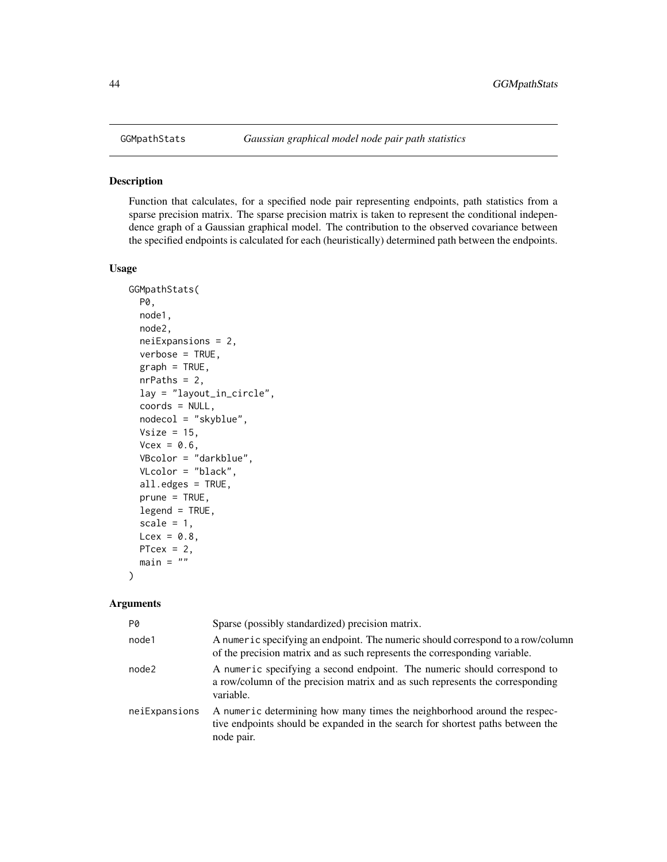<span id="page-43-0"></span>

## Description

Function that calculates, for a specified node pair representing endpoints, path statistics from a sparse precision matrix. The sparse precision matrix is taken to represent the conditional independence graph of a Gaussian graphical model. The contribution to the observed covariance between the specified endpoints is calculated for each (heuristically) determined path between the endpoints.

## Usage

```
GGMpathStats(
  P0,
  node1,
  node2,
  neiExpansions = 2,
  verbose = TRUE,
  graph = TRUE,nrPaths = 2,lay = "layout_in_circle",
  coords = NULL,
  nodecol = "skyblue",
  Vsize = 15,
  Vcex = 0.6,
  VBcolor = "darkblue",
  VLcolor = "black",
  all.edges = TRUE,
  prune = TRUE,
  legend = TRUE,
  scale = 1,
 Lcex = 0.8,
  PTcex = 2,
  main = "")
```
## Arguments

| P0            | Sparse (possibly standardized) precision matrix.                                                                                                                         |
|---------------|--------------------------------------------------------------------------------------------------------------------------------------------------------------------------|
| node1         | A numeric specifying an endpoint. The numeric should correspond to a row/column<br>of the precision matrix and as such represents the corresponding variable.            |
| node2         | A numeric specifying a second endpoint. The numeric should correspond to<br>a row/column of the precision matrix and as such represents the corresponding<br>variable.   |
| neiExpansions | A numeric determining how many times the neighborhood around the respec-<br>tive endpoints should be expanded in the search for shortest paths between the<br>node pair. |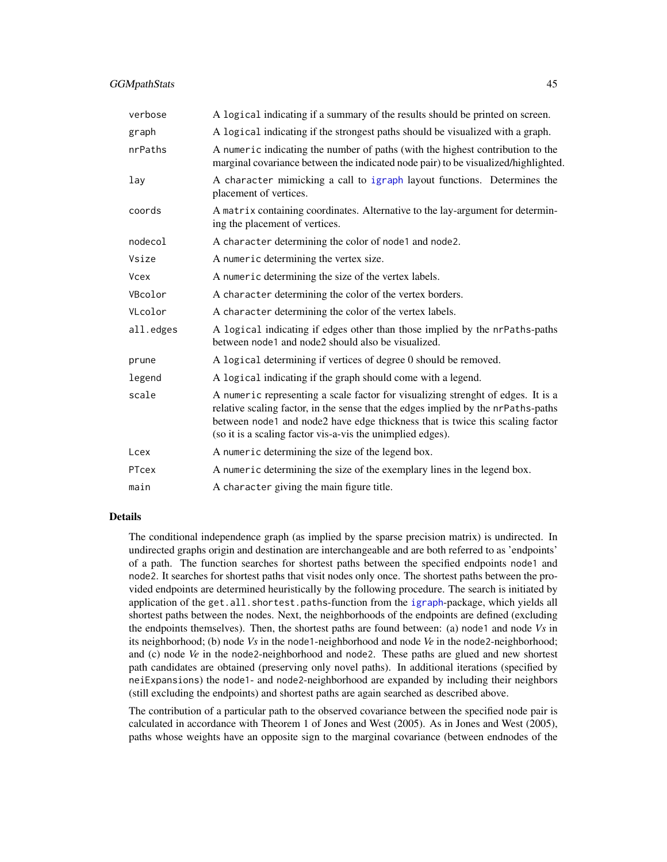## GGMpathStats 45

| verbose     | A logical indicating if a summary of the results should be printed on screen.                                                                                                                                                                                                                                        |
|-------------|----------------------------------------------------------------------------------------------------------------------------------------------------------------------------------------------------------------------------------------------------------------------------------------------------------------------|
| graph       | A logical indicating if the strongest paths should be visualized with a graph.                                                                                                                                                                                                                                       |
| nrPaths     | A numeric indicating the number of paths (with the highest contribution to the<br>marginal covariance between the indicated node pair) to be visualized/highlighted.                                                                                                                                                 |
| lay         | A character mimicking a call to igraph layout functions. Determines the<br>placement of vertices.                                                                                                                                                                                                                    |
| coords      | A matrix containing coordinates. Alternative to the lay-argument for determin-<br>ing the placement of vertices.                                                                                                                                                                                                     |
| nodecol     | A character determining the color of node1 and node2.                                                                                                                                                                                                                                                                |
| Vsize       | A numeric determining the vertex size.                                                                                                                                                                                                                                                                               |
| <b>Vcex</b> | A numeric determining the size of the vertex labels.                                                                                                                                                                                                                                                                 |
| VBcolor     | A character determining the color of the vertex borders.                                                                                                                                                                                                                                                             |
| VLcolor     | A character determining the color of the vertex labels.                                                                                                                                                                                                                                                              |
| all.edges   | A logical indicating if edges other than those implied by the nrPaths-paths<br>between node1 and node2 should also be visualized.                                                                                                                                                                                    |
| prune       | A logical determining if vertices of degree 0 should be removed.                                                                                                                                                                                                                                                     |
| legend      | A logical indicating if the graph should come with a legend.                                                                                                                                                                                                                                                         |
| scale       | A numeric representing a scale factor for visualizing strenght of edges. It is a<br>relative scaling factor, in the sense that the edges implied by the nrPaths-paths<br>between node1 and node2 have edge thickness that is twice this scaling factor<br>(so it is a scaling factor vis-a-vis the unimplied edges). |
| Lcex        | A numeric determining the size of the legend box.                                                                                                                                                                                                                                                                    |
| PTcex       | A numeric determining the size of the exemplary lines in the legend box.                                                                                                                                                                                                                                             |
| main        | A character giving the main figure title.                                                                                                                                                                                                                                                                            |

#### Details

The conditional independence graph (as implied by the sparse precision matrix) is undirected. In undirected graphs origin and destination are interchangeable and are both referred to as 'endpoints' of a path. The function searches for shortest paths between the specified endpoints node1 and node2. It searches for shortest paths that visit nodes only once. The shortest paths between the provided endpoints are determined heuristically by the following procedure. The search is initiated by application of the get.all.shortest.paths-function from the [igraph](#page-0-0)-package, which yields all shortest paths between the nodes. Next, the neighborhoods of the endpoints are defined (excluding the endpoints themselves). Then, the shortest paths are found between: (a) node1 and node *Vs* in its neighborhood; (b) node *Vs* in the node1-neighborhood and node *Ve* in the node2-neighborhood; and (c) node *Ve* in the node2-neighborhood and node2. These paths are glued and new shortest path candidates are obtained (preserving only novel paths). In additional iterations (specified by neiExpansions) the node1- and node2-neighborhood are expanded by including their neighbors (still excluding the endpoints) and shortest paths are again searched as described above.

The contribution of a particular path to the observed covariance between the specified node pair is calculated in accordance with Theorem 1 of Jones and West (2005). As in Jones and West (2005), paths whose weights have an opposite sign to the marginal covariance (between endnodes of the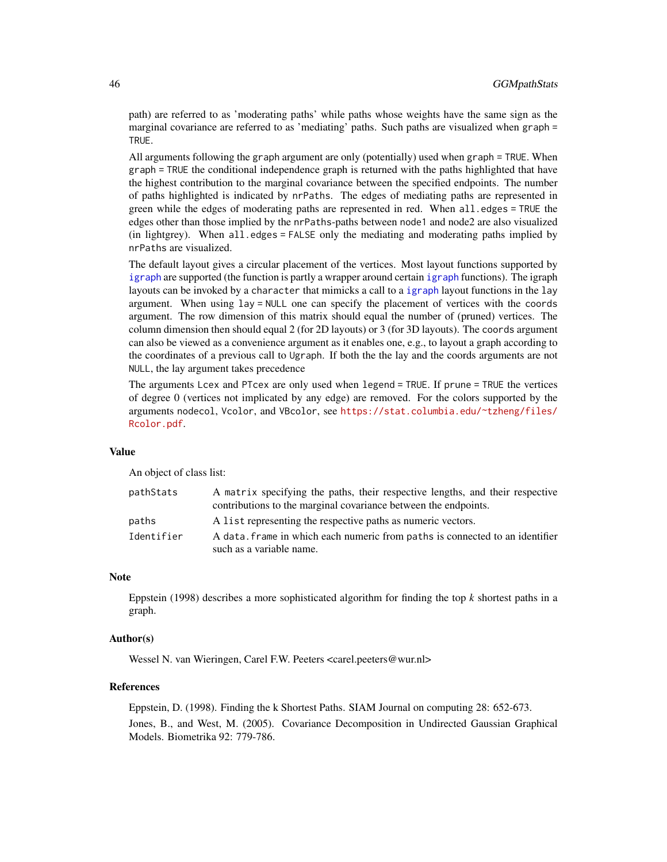path) are referred to as 'moderating paths' while paths whose weights have the same sign as the marginal covariance are referred to as 'mediating' paths. Such paths are visualized when graph = TRUE.

All arguments following the graph argument are only (potentially) used when graph = TRUE. When graph = TRUE the conditional independence graph is returned with the paths highlighted that have the highest contribution to the marginal covariance between the specified endpoints. The number of paths highlighted is indicated by nrPaths. The edges of mediating paths are represented in green while the edges of moderating paths are represented in red. When all.edges = TRUE the edges other than those implied by the nrPaths-paths between node1 and node2 are also visualized (in lightgrey). When all.edges = FALSE only the mediating and moderating paths implied by nrPaths are visualized.

The default layout gives a circular placement of the vertices. Most layout functions supported by [igraph](#page-0-0) are supported (the function is partly a wrapper around certain [igraph](#page-0-0) functions). The igraph layouts can be invoked by a character that mimicks a call to a [igraph](#page-0-0) layout functions in the lay argument. When using lay = NULL one can specify the placement of vertices with the coords argument. The row dimension of this matrix should equal the number of (pruned) vertices. The column dimension then should equal 2 (for 2D layouts) or 3 (for 3D layouts). The coords argument can also be viewed as a convenience argument as it enables one, e.g., to layout a graph according to the coordinates of a previous call to Ugraph. If both the the lay and the coords arguments are not NULL, the lay argument takes precedence

The arguments Lcex and PTcex are only used when legend = TRUE. If prune = TRUE the vertices of degree 0 (vertices not implicated by any edge) are removed. For the colors supported by the arguments nodecol, Vcolor, and VBcolor, see [https://stat.columbia.edu/~tzheng/files/](https://stat.columbia.edu/~tzheng/files/Rcolor.pdf) [Rcolor.pdf](https://stat.columbia.edu/~tzheng/files/Rcolor.pdf).

### Value

An object of class list:

| pathStats  | A matrix specifying the paths, their respective lengths, and their respective<br>contributions to the marginal covariance between the endpoints. |
|------------|--------------------------------------------------------------------------------------------------------------------------------------------------|
| paths      | A list representing the respective paths as numeric vectors.                                                                                     |
| Identifier | A data, frame in which each numeric from paths is connected to an identifier<br>such as a variable name.                                         |

### Note

Eppstein (1998) describes a more sophisticated algorithm for finding the top *k* shortest paths in a graph.

## Author(s)

Wessel N. van Wieringen, Carel F.W. Peeters <carel.peeters@wur.nl>

#### References

Eppstein, D. (1998). Finding the k Shortest Paths. SIAM Journal on computing 28: 652-673. Jones, B., and West, M. (2005). Covariance Decomposition in Undirected Gaussian Graphical Models. Biometrika 92: 779-786.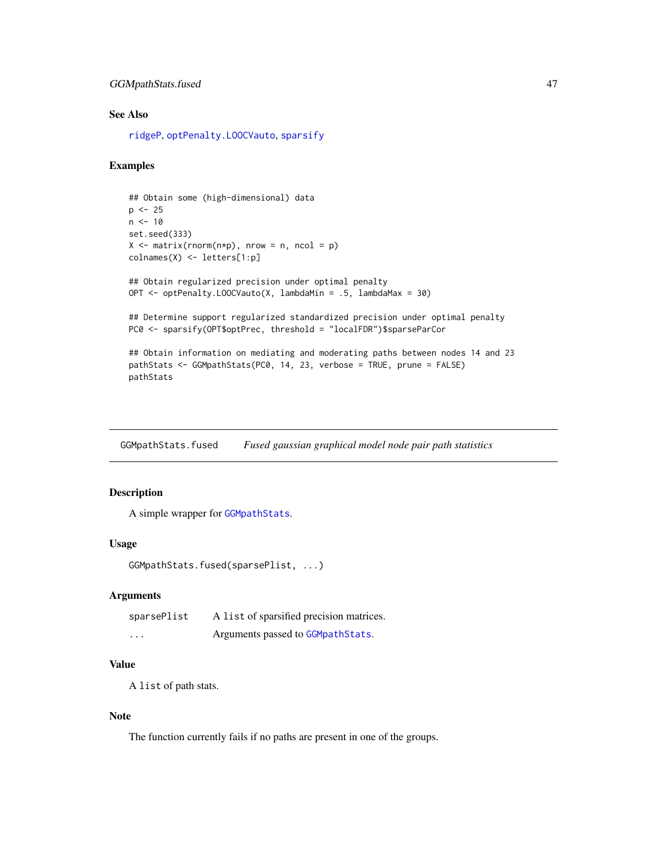## GGMpathStats.fused 47

## See Also

[ridgeP](#page-83-0), [optPenalty.LOOCVauto](#page-74-0), [sparsify](#page-96-0)

## Examples

```
## Obtain some (high-dimensional) data
p \le -25n < -10set.seed(333)
X \leq - matrix(rnorm(n*p), nrow = n, ncol = p)
colnames(X) <- letters[1:p]
## Obtain regularized precision under optimal penalty
OPT <- optPenalty.LOOCVauto(X, lambdaMin = .5, lambdaMax = 30)
## Determine support regularized standardized precision under optimal penalty
PC0 <- sparsify(OPT$optPrec, threshold = "localFDR")$sparseParCor
## Obtain information on mediating and moderating paths between nodes 14 and 23
pathStats <- GGMpathStats(PC0, 14, 23, verbose = TRUE, prune = FALSE)
pathStats
```
GGMpathStats.fused *Fused gaussian graphical model node pair path statistics*

# Description

A simple wrapper for [GGMpathStats](#page-43-0).

## Usage

GGMpathStats.fused(sparsePlist, ...)

#### Arguments

| sparsePlist             | A list of sparsified precision matrices. |
|-------------------------|------------------------------------------|
| $\cdot$ $\cdot$ $\cdot$ | Arguments passed to GGMpathStats.        |

## Value

A list of path stats.

#### Note

The function currently fails if no paths are present in one of the groups.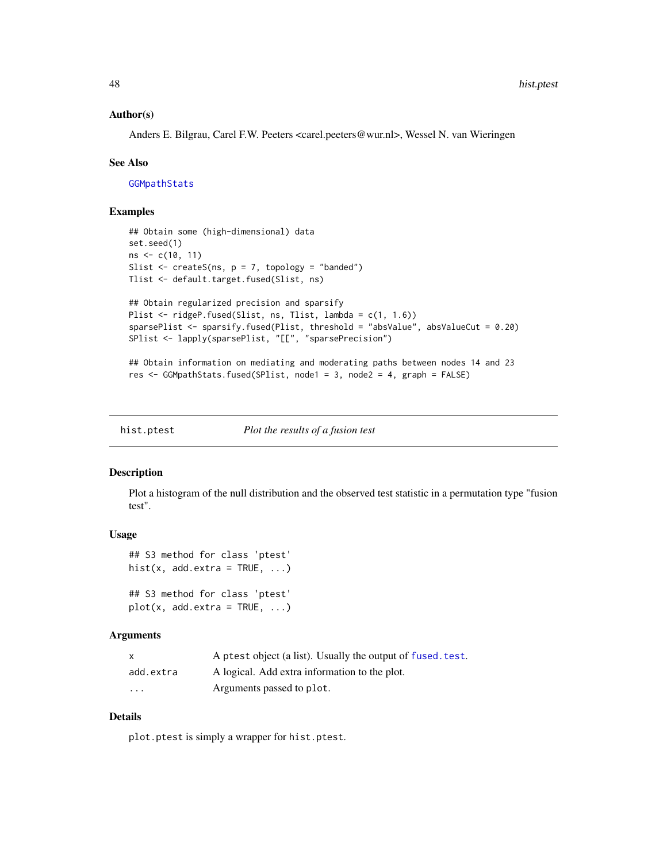### Author(s)

Anders E. Bilgrau, Carel F.W. Peeters <carel.peeters@wur.nl>, Wessel N. van Wieringen

#### See Also

[GGMpathStats](#page-43-0)

## Examples

```
## Obtain some (high-dimensional) data
set.seed(1)
ns < -c(10, 11)Slist \leq createS(ns, p = 7, topology = "banded")
Tlist <- default.target.fused(Slist, ns)
## Obtain regularized precision and sparsify
Plist <- ridgeP.fused(Slist, ns, Tlist, lambda = c(1, 1.6))
sparsePlist <- sparsify.fused(Plist, threshold = "absValue", absValueCut = 0.20)
SPlist <- lapply(sparsePlist, "[[", "sparsePrecision")
## Obtain information on mediating and moderating paths between nodes 14 and 23
res <- GGMpathStats.fused(SPlist, node1 = 3, node2 = 4, graph = FALSE)
```
hist.ptest *Plot the results of a fusion test*

### Description

Plot a histogram of the null distribution and the observed test statistic in a permutation type "fusion test".

#### Usage

## S3 method for class 'ptest' hist(x, add.extra = TRUE,  $\ldots$ )

## S3 method for class 'ptest'  $plot(x, add. extra = TRUE, ...)$ 

### Arguments

| X         | A ptest object (a list). Usually the output of fused, test. |
|-----------|-------------------------------------------------------------|
| add.extra | A logical. Add extra information to the plot.               |
| $\cdots$  | Arguments passed to plot.                                   |

## Details

plot.ptest is simply a wrapper for hist.ptest.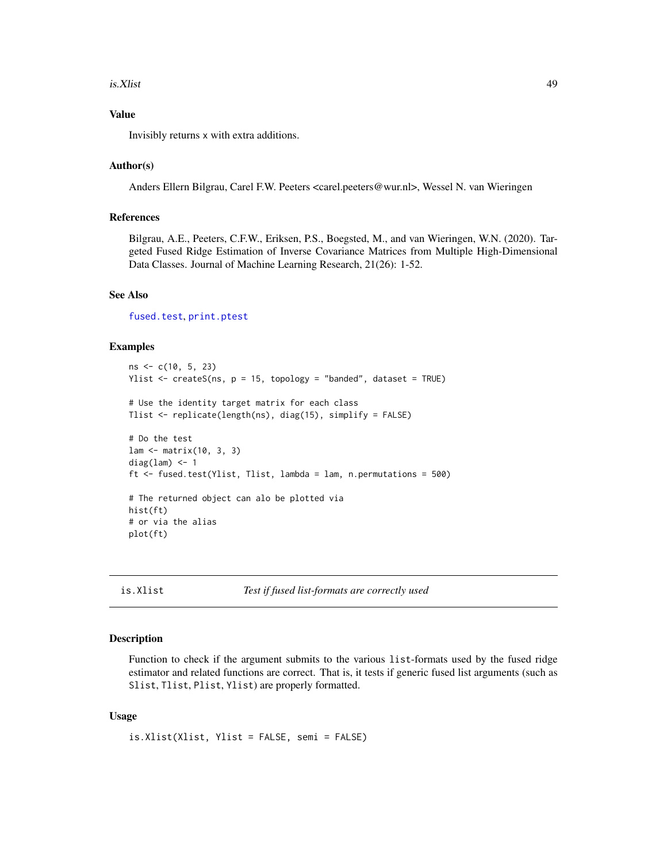#### is.Xlist 49

## Value

Invisibly returns x with extra additions.

## Author(s)

Anders Ellern Bilgrau, Carel F.W. Peeters <carel.peeters@wur.nl>, Wessel N. van Wieringen

### References

Bilgrau, A.E., Peeters, C.F.W., Eriksen, P.S., Boegsted, M., and van Wieringen, W.N. (2020). Targeted Fused Ridge Estimation of Inverse Covariance Matrices from Multiple High-Dimensional Data Classes. Journal of Machine Learning Research, 21(26): 1-52.

### See Also

[fused.test](#page-33-0), [print.ptest](#page-81-0)

### Examples

```
ns <- c(10, 5, 23)
Ylist \leq createS(ns, p = 15, topology = "banded", dataset = TRUE)
# Use the identity target matrix for each class
Tlist <- replicate(length(ns), diag(15), simplify = FALSE)
# Do the test
lam <- matrix(10, 3, 3)
diag(lam) <- 1
ft \le fused.test(Ylist, Tlist, lambda = lam, n.permutations = 500)
# The returned object can alo be plotted via
hist(ft)
# or via the alias
plot(ft)
```
is.Xlist *Test if fused list-formats are correctly used*

### Description

Function to check if the argument submits to the various list-formats used by the fused ridge estimator and related functions are correct. That is, it tests if generic fused list arguments (such as Slist, Tlist, Plist, Ylist) are properly formatted.

### Usage

```
is.Xlist(Xlist, Ylist = FALSE, semi = FALSE)
```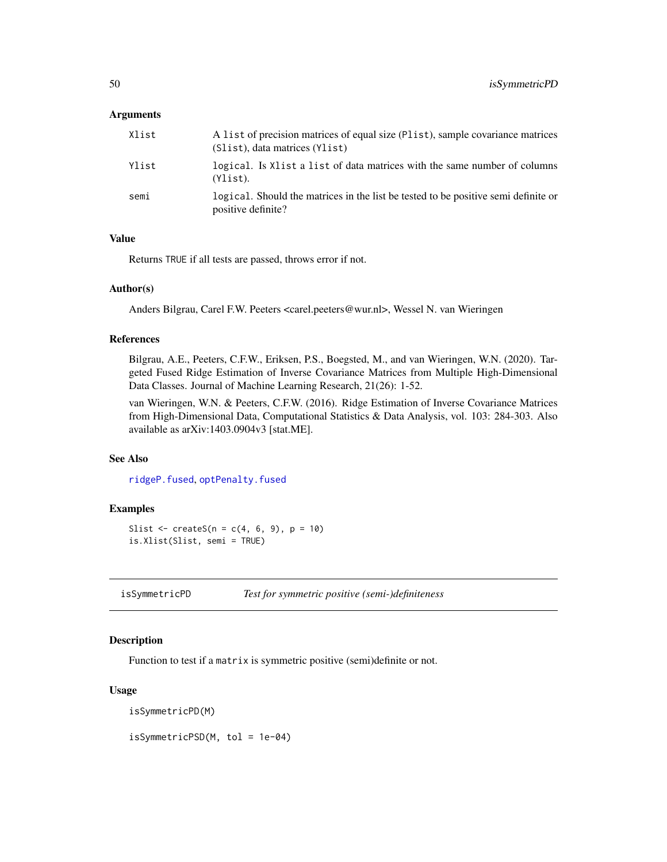### **Arguments**

| Xlist | A list of precision matrices of equal size (Plist), sample covariance matrices<br>(Slist), data matrices (Ylist) |
|-------|------------------------------------------------------------------------------------------------------------------|
| Ylist | logical. Is Xlist a list of data matrices with the same number of columns<br>$(Ylist)$ .                         |
| semi  | logical. Should the matrices in the list be tested to be positive semi definite or<br>positive definite?         |

## Value

Returns TRUE if all tests are passed, throws error if not.

### Author(s)

Anders Bilgrau, Carel F.W. Peeters <carel.peeters@wur.nl>, Wessel N. van Wieringen

### References

Bilgrau, A.E., Peeters, C.F.W., Eriksen, P.S., Boegsted, M., and van Wieringen, W.N. (2020). Targeted Fused Ridge Estimation of Inverse Covariance Matrices from Multiple High-Dimensional Data Classes. Journal of Machine Learning Research, 21(26): 1-52.

van Wieringen, W.N. & Peeters, C.F.W. (2016). Ridge Estimation of Inverse Covariance Matrices from High-Dimensional Data, Computational Statistics & Data Analysis, vol. 103: 284-303. Also available as arXiv:1403.0904v3 [stat.ME].

### See Also

[ridgeP.fused](#page-85-0), [optPenalty.fused](#page-61-0)

# Examples

```
Slist \le createS(n = c(4, 6, 9), p = 10)
is.Xlist(Slist, semi = TRUE)
```
isSymmetricPD *Test for symmetric positive (semi-)definiteness*

## Description

Function to test if a matrix is symmetric positive (semi)definite or not.

#### Usage

isSymmetricPD(M)

isSymmetricPSD(M, tol = 1e-04)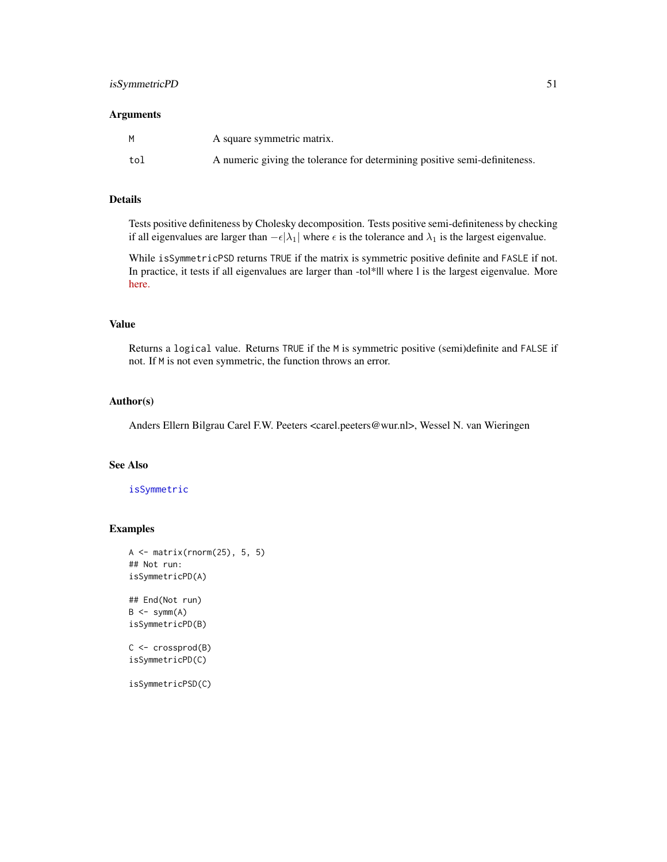#### **Arguments**

|     | A square symmetric matrix.                                                 |
|-----|----------------------------------------------------------------------------|
| tol | A numeric giving the tolerance for determining positive semi-definiteness. |

## Details

Tests positive definiteness by Cholesky decomposition. Tests positive semi-definiteness by checking if all eigenvalues are larger than  $-\epsilon|\lambda_1|$  where  $\epsilon$  is the tolerance and  $\lambda_1$  is the largest eigenvalue.

While isSymmetricPSD returns TRUE if the matrix is symmetric positive definite and FASLE if not. In practice, it tests if all eigenvalues are larger than -tol\*|| where l is the largest eigenvalue. More [here.](https://scicomp.stackexchange.com/questions/12979/testing-if-a-matrix-is-positive-semi-definite)

### Value

Returns a logical value. Returns TRUE if the M is symmetric positive (semi)definite and FALSE if not. If M is not even symmetric, the function throws an error.

## Author(s)

Anders Ellern Bilgrau Carel F.W. Peeters <carel.peeters@wur.nl>, Wessel N. van Wieringen

## See Also

### [isSymmetric](#page-0-0)

```
A <- matrix(rnorm(25), 5, 5)
## Not run:
isSymmetricPD(A)
## End(Not run)
B \le -symm(A)isSymmetricPD(B)
C <- crossprod(B)
isSymmetricPD(C)
isSymmetricPSD(C)
```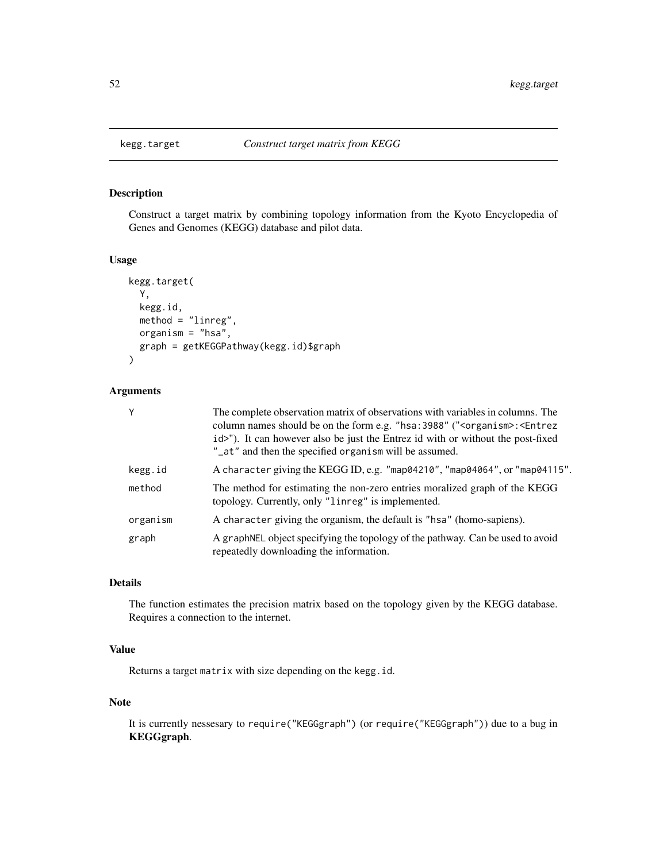## Description

Construct a target matrix by combining topology information from the Kyoto Encyclopedia of Genes and Genomes (KEGG) database and pilot data.

## Usage

```
kegg.target(
 Y,
  kegg.id,
 method = "linreg",
 organism = "hsa",
  graph = getKEGGPathway(kegg.id)$graph
\mathcal{L}
```
## Arguments

| Υ        | The complete observation matrix of observations with variables in columns. The<br>column names should be on the form e.g. "hsa: 3988" (" <organism>: <entrez<br>id&gt;"). It can however also be just the Entrez id with or without the post-fixed<br/>"_at" and then the specified organism will be assumed.</entrez<br></organism> |
|----------|--------------------------------------------------------------------------------------------------------------------------------------------------------------------------------------------------------------------------------------------------------------------------------------------------------------------------------------|
| kegg.id  | A character giving the KEGG ID, e.g. "map04210", "map04064", or "map04115".                                                                                                                                                                                                                                                          |
| method   | The method for estimating the non-zero entries moralized graph of the KEGG<br>topology. Currently, only "linreg" is implemented.                                                                                                                                                                                                     |
| organism | A character giving the organism, the default is "hsa" (homo-sapiens).                                                                                                                                                                                                                                                                |
| graph    | A graph NEL object specifying the topology of the pathway. Can be used to avoid<br>repeatedly downloading the information.                                                                                                                                                                                                           |

# Details

The function estimates the precision matrix based on the topology given by the KEGG database. Requires a connection to the internet.

# Value

Returns a target matrix with size depending on the kegg.id.

# Note

It is currently nessesary to require("KEGGgraph") (or require("KEGGgraph")) due to a bug in KEGGgraph.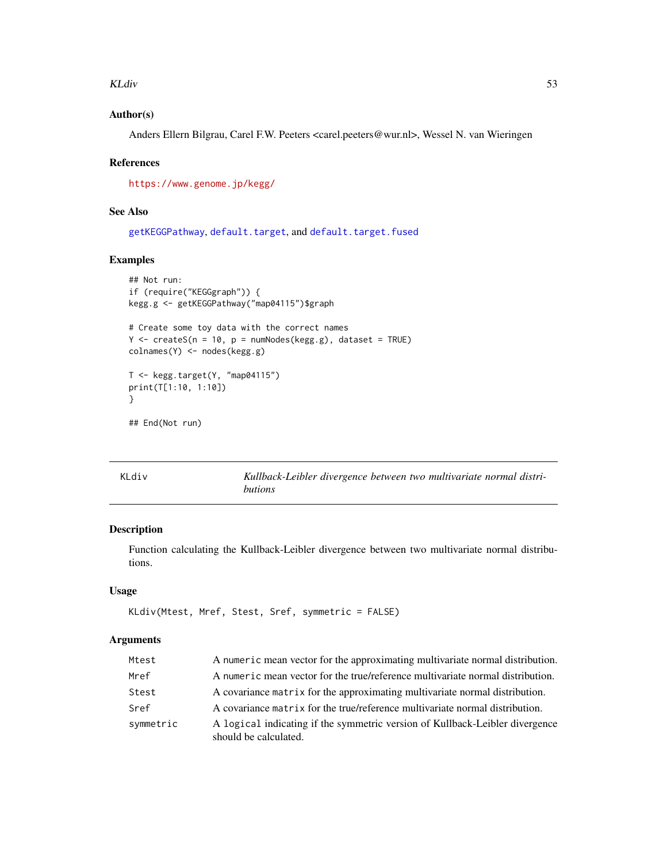#### KLdiv 53

# Author(s)

Anders Ellern Bilgrau, Carel F.W. Peeters <carel.peeters@wur.nl>, Wessel N. van Wieringen

### References

<https://www.genome.jp/kegg/>

# See Also

[getKEGGPathway](#page-0-0), [default.target](#page-21-0), and [default.target.fused](#page-23-0)

## Examples

```
## Not run:
if (require("KEGGgraph")) {
kegg.g <- getKEGGPathway("map04115")$graph
# Create some toy data with the correct names
Y <- createS(n = 10, p = numNodes(kegg.g), dataset = TRUE)
colnames(Y) <- nodes(kegg.g)
T <- kegg.target(Y, "map04115")
print(T[1:10, 1:10])
}
## End(Not run)
```
<span id="page-52-0"></span>KLdiv *Kullback-Leibler divergence between two multivariate normal distributions*

# Description

Function calculating the Kullback-Leibler divergence between two multivariate normal distributions.

### Usage

```
KLdiv(Mtest, Mref, Stest, Sref, symmetric = FALSE)
```
## Arguments

| Mtest     | A numeric mean vector for the approximating multivariate normal distribution.                         |
|-----------|-------------------------------------------------------------------------------------------------------|
| Mref      | A numeric mean vector for the true/reference multivariate normal distribution.                        |
| Stest     | A covariance matrix for the approximating multivariate normal distribution.                           |
| Sref      | A covariance matrix for the true/reference multivariate normal distribution.                          |
| symmetric | A logical indicating if the symmetric version of Kullback-Leibler divergence<br>should be calculated. |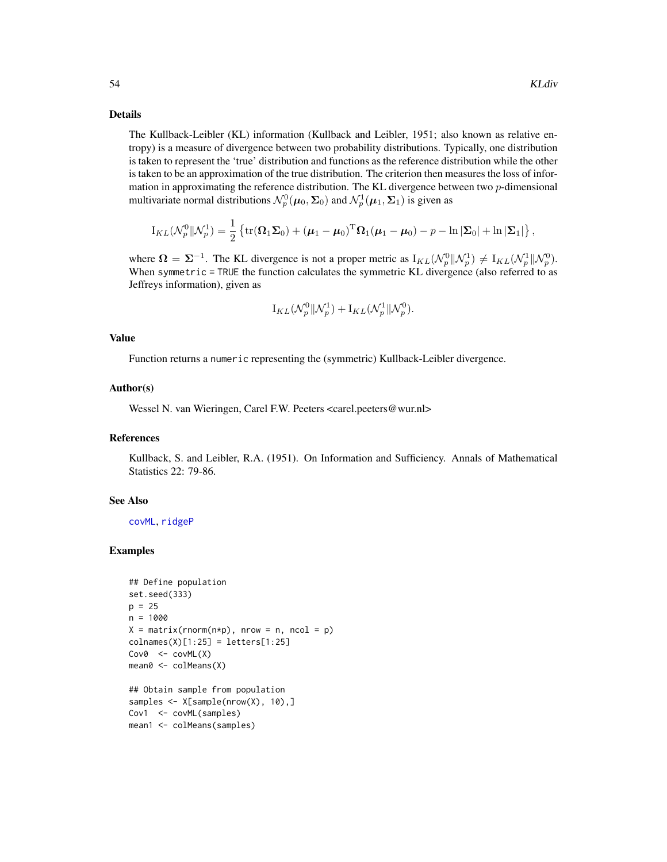#### Details

The Kullback-Leibler (KL) information (Kullback and Leibler, 1951; also known as relative entropy) is a measure of divergence between two probability distributions. Typically, one distribution is taken to represent the 'true' distribution and functions as the reference distribution while the other is taken to be an approximation of the true distribution. The criterion then measures the loss of information in approximating the reference distribution. The KL divergence between two  $p$ -dimensional multivariate normal distributions  $\mathcal{N}_p^0(\mu_0, \Sigma_0)$  and  $\mathcal{N}_p^1(\mu_1, \Sigma_1)$  is given as

$$
I_{KL}(\mathcal{N}_p^0||\mathcal{N}_p^1) = \frac{1}{2} \left\{ \text{tr}(\mathbf{\Omega}_1 \mathbf{\Sigma}_0) + (\boldsymbol{\mu}_1 - \boldsymbol{\mu}_0)^T \mathbf{\Omega}_1 (\boldsymbol{\mu}_1 - \boldsymbol{\mu}_0) - p - \ln |\mathbf{\Sigma}_0| + \ln |\mathbf{\Sigma}_1| \right\},\
$$

where  $\Omega = \Sigma^{-1}$ . The KL divergence is not a proper metric as  $I_{KL}(\mathcal{N}_p^0 || \mathcal{N}_p^1) \neq I_{KL}(\mathcal{N}_p^1 || \mathcal{N}_p^0)$ . When symmetric = TRUE the function calculates the symmetric KL divergence (also referred to as Jeffreys information), given as

$$
\mathrm{I}_{KL}(\mathcal{N}_p^0 \Vert \mathcal{N}_p^1) + \mathrm{I}_{KL}(\mathcal{N}_p^1 \Vert \mathcal{N}_p^0).
$$

#### Value

Function returns a numeric representing the (symmetric) Kullback-Leibler divergence.

#### Author(s)

Wessel N. van Wieringen, Carel F.W. Peeters <carel.peeters@wur.nl>

### References

Kullback, S. and Leibler, R.A. (1951). On Information and Sufficiency. Annals of Mathematical Statistics 22: 79-86.

### See Also

[covML](#page-14-0), [ridgeP](#page-83-0)

```
## Define population
set.seed(333)
p = 25n = 1000
X = matrix(rnorm(n*p), nrow = n, ncol = p)colnames(X)[1:25] = letters[1:25]
Cov@ \leftarrow covML(X)mean0 <- colMeans(X)
## Obtain sample from population
samples <- X[sample(nrow(X), 10),]
Cov1 <- covML(samples)
mean1 <- colMeans(samples)
```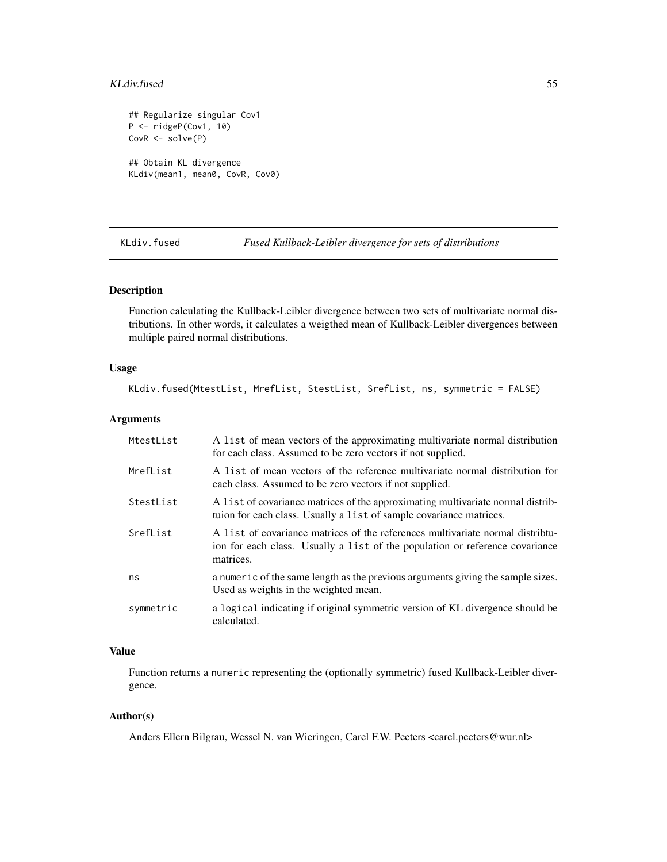#### KLdiv.fused 55

```
## Regularize singular Cov1
P <- ridgeP(Cov1, 10)
CovR <- solve(P)
## Obtain KL divergence
KLdiv(mean1, mean0, CovR, Cov0)
```
KLdiv.fused *Fused Kullback-Leibler divergence for sets of distributions*

### Description

Function calculating the Kullback-Leibler divergence between two sets of multivariate normal distributions. In other words, it calculates a weigthed mean of Kullback-Leibler divergences between multiple paired normal distributions.

### Usage

KLdiv.fused(MtestList, MrefList, StestList, SrefList, ns, symmetric = FALSE)

# Arguments

| MtestList | A list of mean vectors of the approximating multivariate normal distribution<br>for each class. Assumed to be zero vectors if not supplied.                                |
|-----------|----------------------------------------------------------------------------------------------------------------------------------------------------------------------------|
| MrefList  | A list of mean vectors of the reference multivariate normal distribution for<br>each class. Assumed to be zero vectors if not supplied.                                    |
| StestList | A list of covariance matrices of the approximating multivariate normal distrib-<br>tuion for each class. Usually a list of sample covariance matrices.                     |
| SrefList  | A list of covariance matrices of the references multivariate normal distribu-<br>ion for each class. Usually a list of the population or reference covariance<br>matrices. |
| ns        | a numeric of the same length as the previous arguments giving the sample sizes.<br>Used as weights in the weighted mean.                                                   |
| symmetric | a logical indicating if original symmetric version of KL divergence should be<br>calculated.                                                                               |

## Value

Function returns a numeric representing the (optionally symmetric) fused Kullback-Leibler divergence.

### Author(s)

Anders Ellern Bilgrau, Wessel N. van Wieringen, Carel F.W. Peeters <carel.peeters@wur.nl>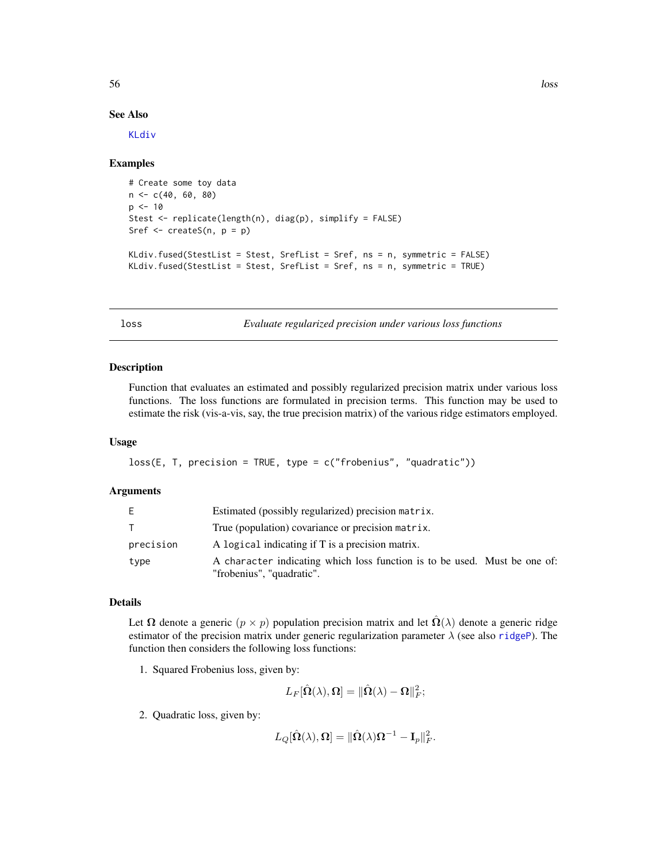#### See Also

[KLdiv](#page-52-0)

#### Examples

```
# Create some toy data
n <- c(40, 60, 80)
p \le -10Stest <- replicate(length(n), diag(p), simplify = FALSE)
Sref \leq createS(n, p = p)
KLdiv.fused(StestList = Stest, SrefList = Sref, ns = n, symmetric = FALSE)
KLdiv.fused(StestList = Stest, SrefList = Sref, ns = n, symmetric = TRUE)
```
loss *Evaluate regularized precision under various loss functions*

#### Description

Function that evaluates an estimated and possibly regularized precision matrix under various loss functions. The loss functions are formulated in precision terms. This function may be used to estimate the risk (vis-a-vis, say, the true precision matrix) of the various ridge estimators employed.

### Usage

```
loss(E, T, precision = TRUE, type = c("frobenius", "quadratic"))
```
### Arguments

| E.        | Estimated (possibly regularized) precision matrix.                                                     |
|-----------|--------------------------------------------------------------------------------------------------------|
|           | True (population) covariance or precision matrix.                                                      |
| precision | A logical indicating if T is a precision matrix.                                                       |
| type      | A character indicating which loss function is to be used. Must be one of:<br>"frobenius", "quadratic". |

## Details

Let  $\Omega$  denote a generic  $(p \times p)$  population precision matrix and let  $\hat{\Omega}(\lambda)$  denote a generic ridge estimator of the precision matrix under generic regularization parameter  $\lambda$  (see also [ridgeP](#page-83-0)). The function then considers the following loss functions:

1. Squared Frobenius loss, given by:

$$
L_F[\hat{\Omega}(\lambda),\Omega]=\|\hat{\Omega}(\lambda)-\Omega\|_F^2;
$$

2. Quadratic loss, given by:

 $L_Q[\hat{\mathbf{\Omega}}(\lambda),\mathbf{\Omega}]=\|\hat{\mathbf{\Omega}}(\lambda)\mathbf{\Omega}^{-1}-\mathbf{I}_p\|_F^2.$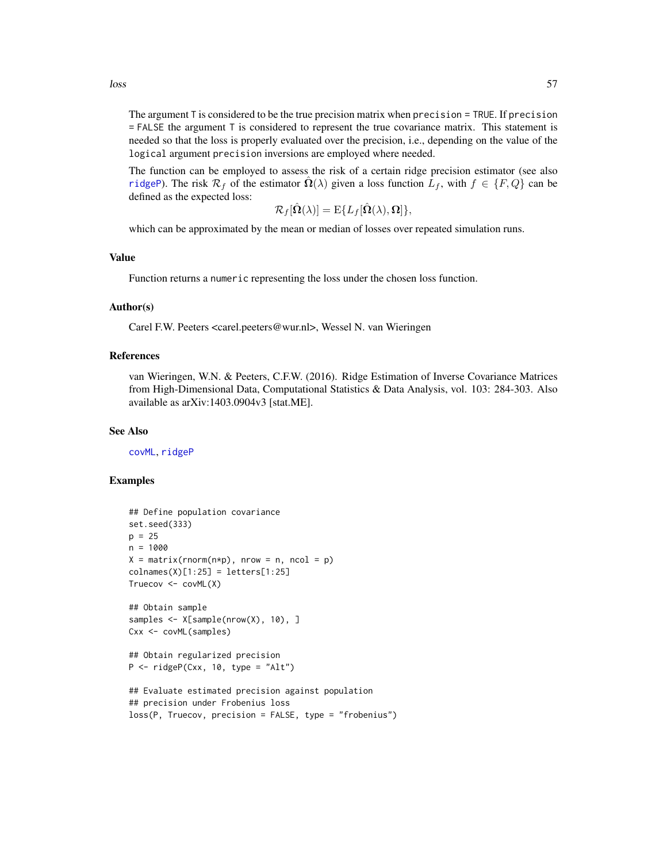The argument T is considered to be the true precision matrix when precision = TRUE. If precision = FALSE the argument T is considered to represent the true covariance matrix. This statement is needed so that the loss is properly evaluated over the precision, i.e., depending on the value of the logical argument precision inversions are employed where needed.

The function can be employed to assess the risk of a certain ridge precision estimator (see also [ridgeP](#page-83-0)). The risk  $\mathcal{R}_f$  of the estimator  $\Omega(\lambda)$  given a loss function  $L_f$ , with  $f \in \{F, Q\}$  can be defined as the expected loss:

$$
\mathcal{R}_f[\hat{\mathbf{\Omega}}(\lambda)] = \mathrm{E}\{L_f[\hat{\mathbf{\Omega}}(\lambda), \mathbf{\Omega}]\},\
$$

which can be approximated by the mean or median of losses over repeated simulation runs.

#### Value

Function returns a numeric representing the loss under the chosen loss function.

#### Author(s)

Carel F.W. Peeters <carel.peeters@wur.nl>, Wessel N. van Wieringen

### References

van Wieringen, W.N. & Peeters, C.F.W. (2016). Ridge Estimation of Inverse Covariance Matrices from High-Dimensional Data, Computational Statistics & Data Analysis, vol. 103: 284-303. Also available as arXiv:1403.0904v3 [stat.ME].

#### See Also

[covML](#page-14-0), [ridgeP](#page-83-0)

```
## Define population covariance
set.seed(333)
p = 25n = 1000
X = matrix(rnorm(n*p), nrow = n, ncol = p)collnames(X)[1:25] = letters[1:25]Truecov <- covML(X)
## Obtain sample
samples <- X[sample(nrow(X), 10), ]
Cxx <- covML(samples)
## Obtain regularized precision
P \leq - ridgeP(Cxx, 10, type = "Alt")
## Evaluate estimated precision against population
## precision under Frobenius loss
loss(P, Truecov, precision = FALSE, type = "frobenius")
```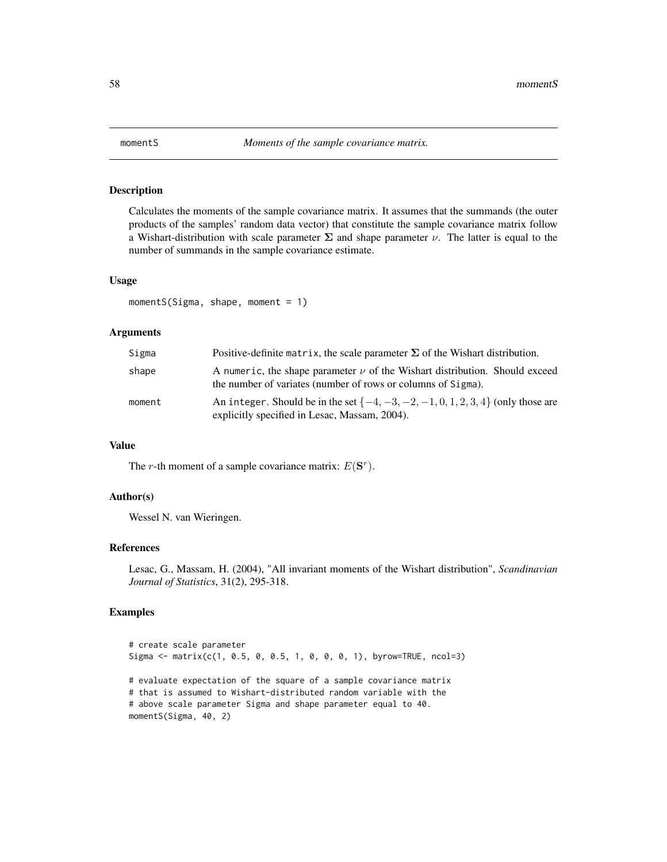## Description

Calculates the moments of the sample covariance matrix. It assumes that the summands (the outer products of the samples' random data vector) that constitute the sample covariance matrix follow a Wishart-distribution with scale parameter  $\Sigma$  and shape parameter  $\nu$ . The latter is equal to the number of summands in the sample covariance estimate.

#### Usage

```
momentS(Sigma, shape, moment = 1)
```
### Arguments

| Sigma  | Positive-definite matrix, the scale parameter $\Sigma$ of the Wishart distribution.                                                             |
|--------|-------------------------------------------------------------------------------------------------------------------------------------------------|
| shape  | A numeric, the shape parameter $\nu$ of the Wishart distribution. Should exceed<br>the number of variates (number of rows or columns of Sigma). |
| moment | An integer. Should be in the set $\{-4, -3, -2, -1, 0, 1, 2, 3, 4\}$ (only those are<br>explicitly specified in Lesac, Massam, 2004).           |

#### Value

The *r*-th moment of a sample covariance matrix:  $E(S<sup>r</sup>)$ .

### Author(s)

Wessel N. van Wieringen.

### References

Lesac, G., Massam, H. (2004), "All invariant moments of the Wishart distribution", *Scandinavian Journal of Statistics*, 31(2), 295-318.

```
# create scale parameter
Sigma <- matrix(c(1, 0.5, 0, 0.5, 1, 0, 0, 0, 1), byrow=TRUE, ncol=3)
# evaluate expectation of the square of a sample covariance matrix
# that is assumed to Wishart-distributed random variable with the
# above scale parameter Sigma and shape parameter equal to 40.
momentS(Sigma, 40, 2)
```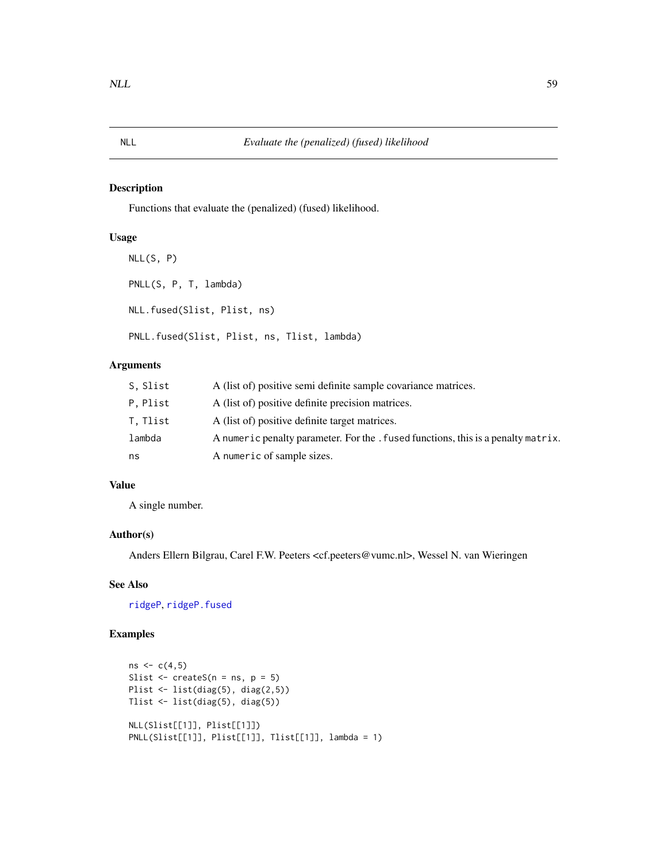## Description

Functions that evaluate the (penalized) (fused) likelihood.

## Usage

```
NLL(S, P)
PNLL(S, P, T, lambda)
NLL.fused(Slist, Plist, ns)
PNLL.fused(Slist, Plist, ns, Tlist, lambda)
```
# Arguments

| S. Slist | A (list of) positive semi definite sample covariance matrices.                    |
|----------|-----------------------------------------------------------------------------------|
| P.Plist  | A (list of) positive definite precision matrices.                                 |
| T. Tlist | A (list of) positive definite target matrices.                                    |
| lambda   | A numeric penalty parameter. For the . fused functions, this is a penalty matrix. |
| ns       | A numeric of sample sizes.                                                        |

# Value

A single number.

### Author(s)

Anders Ellern Bilgrau, Carel F.W. Peeters <cf.peeters@vumc.nl>, Wessel N. van Wieringen

## See Also

[ridgeP](#page-83-0), [ridgeP.fused](#page-85-0)

```
ns < -c(4,5)Slist \leq createS(n = ns, p = 5)
Plist <- list(diag(5), diag(2,5))
Tlist <- list(diag(5), diag(5))
NLL(Slist[[1]], Plist[[1]])
PNLL(Slist[[1]], Plist[[1]], Tlist[[1]], lambda = 1)
```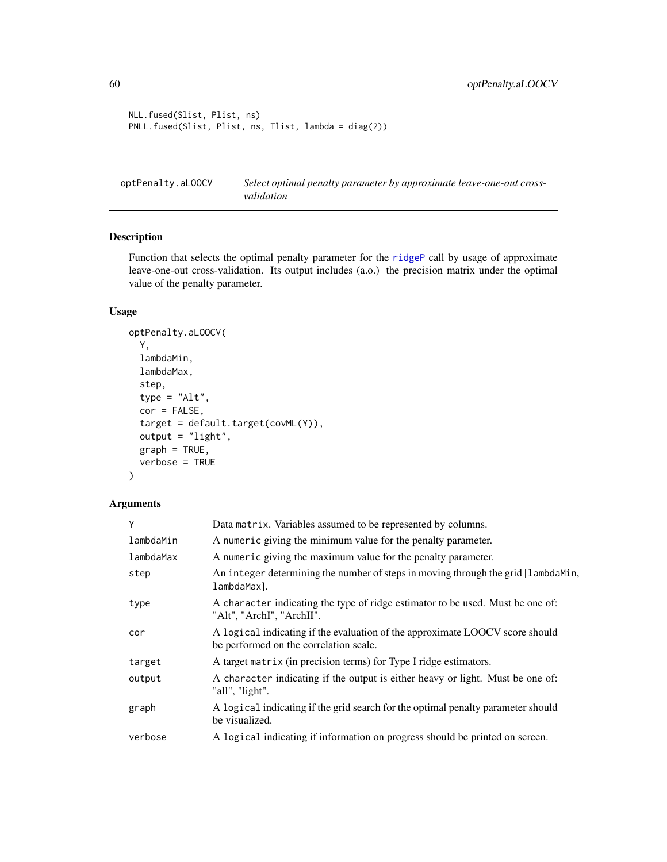```
NLL.fused(Slist, Plist, ns)
PNLL.fused(Slist, Plist, ns, Tlist, lambda = diag(2))
```
<span id="page-59-0"></span>optPenalty.aLOOCV *Select optimal penalty parameter by approximate leave-one-out crossvalidation*

# Description

Function that selects the optimal penalty parameter for the [ridgeP](#page-83-0) call by usage of approximate leave-one-out cross-validation. Its output includes (a.o.) the precision matrix under the optimal value of the penalty parameter.

## Usage

```
optPenalty.aLOOCV(
  Y,
  lambdaMin,
  lambdaMax,
  step,
  type = "Alt",
  cor = FALSE,target = default.target(covML(Y)),
  output = "light",
  graph = TRUE,verbose = TRUE
)
```
## Arguments

| Υ         | Data matrix. Variables assumed to be represented by columns.                                                           |
|-----------|------------------------------------------------------------------------------------------------------------------------|
| lambdaMin | A numeric giving the minimum value for the penalty parameter.                                                          |
| lambdaMax | A numeric giving the maximum value for the penalty parameter.                                                          |
| step      | An integer determining the number of steps in moving through the grid [lambdaMin,<br>lambdaMax].                       |
| type      | A character indicating the type of ridge estimator to be used. Must be one of:<br>"Alt", "ArchI", "ArchII".            |
| cor       | A logical indicating if the evaluation of the approximate LOOCV score should<br>be performed on the correlation scale. |
| target    | A target matrix (in precision terms) for Type I ridge estimators.                                                      |
| output    | A character indicating if the output is either heavy or light. Must be one of:<br>"all", "light".                      |
| graph     | A logical indicating if the grid search for the optimal penalty parameter should<br>be visualized.                     |
| verbose   | A logical indicating if information on progress should be printed on screen.                                           |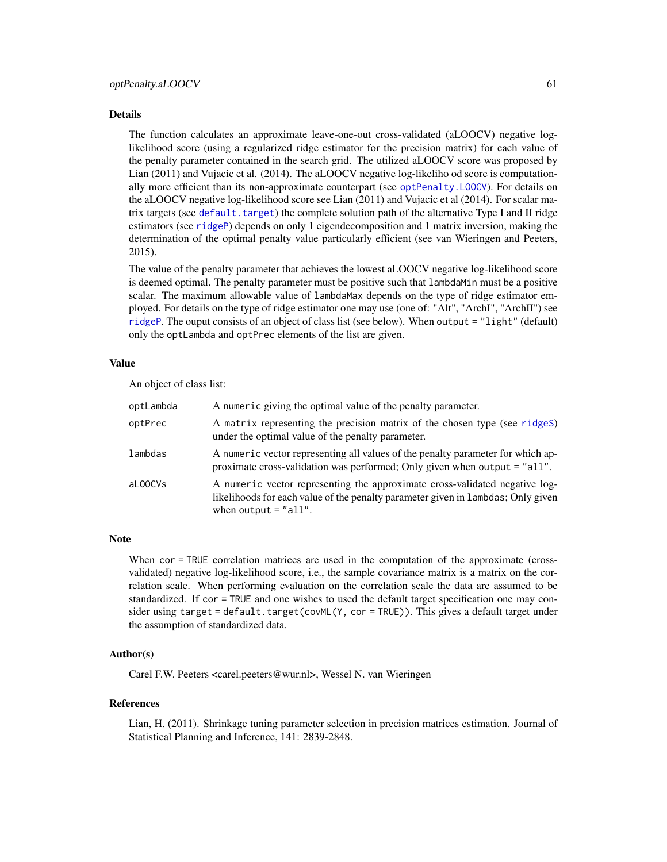#### Details

The function calculates an approximate leave-one-out cross-validated (aLOOCV) negative loglikelihood score (using a regularized ridge estimator for the precision matrix) for each value of the penalty parameter contained in the search grid. The utilized aLOOCV score was proposed by Lian (2011) and Vujacic et al. (2014). The aLOOCV negative log-likeliho od score is computationally more efficient than its non-approximate counterpart (see [optPenalty.LOOCV](#page-71-0)). For details on the aLOOCV negative log-likelihood score see Lian (2011) and Vujacic et al (2014). For scalar matrix targets (see [default.target](#page-21-0)) the complete solution path of the alternative Type I and II ridge estimators (see [ridgeP](#page-83-0)) depends on only 1 eigendecomposition and 1 matrix inversion, making the determination of the optimal penalty value particularly efficient (see van Wieringen and Peeters, 2015).

The value of the penalty parameter that achieves the lowest aLOOCV negative log-likelihood score is deemed optimal. The penalty parameter must be positive such that lambdaMin must be a positive scalar. The maximum allowable value of lambdaMax depends on the type of ridge estimator employed. For details on the type of ridge estimator one may use (one of: "Alt", "ArchI", "ArchII") see [ridgeP](#page-83-0). The ouput consists of an object of class list (see below). When output = "light" (default) only the optLambda and optPrec elements of the list are given.

### Value

An object of class list:

| optLambda | A numeric giving the optimal value of the penalty parameter.                                                                                                                              |
|-----------|-------------------------------------------------------------------------------------------------------------------------------------------------------------------------------------------|
| optPrec   | A matrix representing the precision matrix of the chosen type (see ridges)<br>under the optimal value of the penalty parameter.                                                           |
| lambdas   | A numeric vector representing all values of the penalty parameter for which ap-<br>proximate cross-validation was performed; Only given when output = "all".                              |
| aL00CVs   | A numeric vector representing the approximate cross-validated negative log-<br>likelihoods for each value of the penalty parameter given in lambdas; Only given<br>when output $=$ "all". |

### Note

When cor = TRUE correlation matrices are used in the computation of the approximate (crossvalidated) negative log-likelihood score, i.e., the sample covariance matrix is a matrix on the correlation scale. When performing evaluation on the correlation scale the data are assumed to be standardized. If cor = TRUE and one wishes to used the default target specification one may consider using target = default.target(covML(Y, cor = TRUE)). This gives a default target under the assumption of standardized data.

## Author(s)

Carel F.W. Peeters <carel.peeters@wur.nl>, Wessel N. van Wieringen

#### References

Lian, H. (2011). Shrinkage tuning parameter selection in precision matrices estimation. Journal of Statistical Planning and Inference, 141: 2839-2848.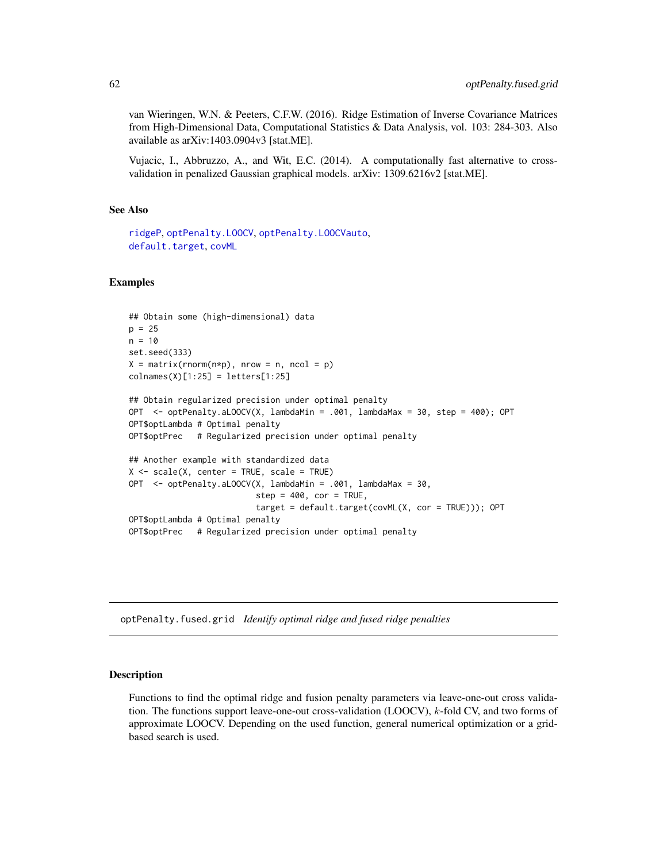van Wieringen, W.N. & Peeters, C.F.W. (2016). Ridge Estimation of Inverse Covariance Matrices from High-Dimensional Data, Computational Statistics & Data Analysis, vol. 103: 284-303. Also available as arXiv:1403.0904v3 [stat.ME].

Vujacic, I., Abbruzzo, A., and Wit, E.C. (2014). A computationally fast alternative to crossvalidation in penalized Gaussian graphical models. arXiv: 1309.6216v2 [stat.ME].

# See Also

```
ridgeP, optPenalty.LOOCV, optPenalty.LOOCVauto,
default.targetcovML
```
### Examples

```
## Obtain some (high-dimensional) data
p = 25n = 10set.seed(333)
X = matrix(rnorm(n*p), nrow = n, ncol = p)collnames(X)[1:25] = letters[1:25]## Obtain regularized precision under optimal penalty
OPT <- optPenalty.aLOOCV(X, lambdaMin = .001, lambdaMax = 30, step = 400); OPT
OPT$optLambda # Optimal penalty
OPT$optPrec # Regularized precision under optimal penalty
## Another example with standardized data
X \le - scale(X, center = TRUE, scale = TRUE)
OPT <- optPenalty.aLOOCV(X, lambdaMin = .001, lambdaMax = 30,
                          step = 400, cor = TRUE,
                          target = default.target(covML(X, cor = TRUE))); OPT
OPT$optLambda # Optimal penalty
OPT$optPrec # Regularized precision under optimal penalty
```
optPenalty.fused.grid *Identify optimal ridge and fused ridge penalties*

### <span id="page-61-0"></span>Description

Functions to find the optimal ridge and fusion penalty parameters via leave-one-out cross validation. The functions support leave-one-out cross-validation (LOOCV), k-fold CV, and two forms of approximate LOOCV. Depending on the used function, general numerical optimization or a gridbased search is used.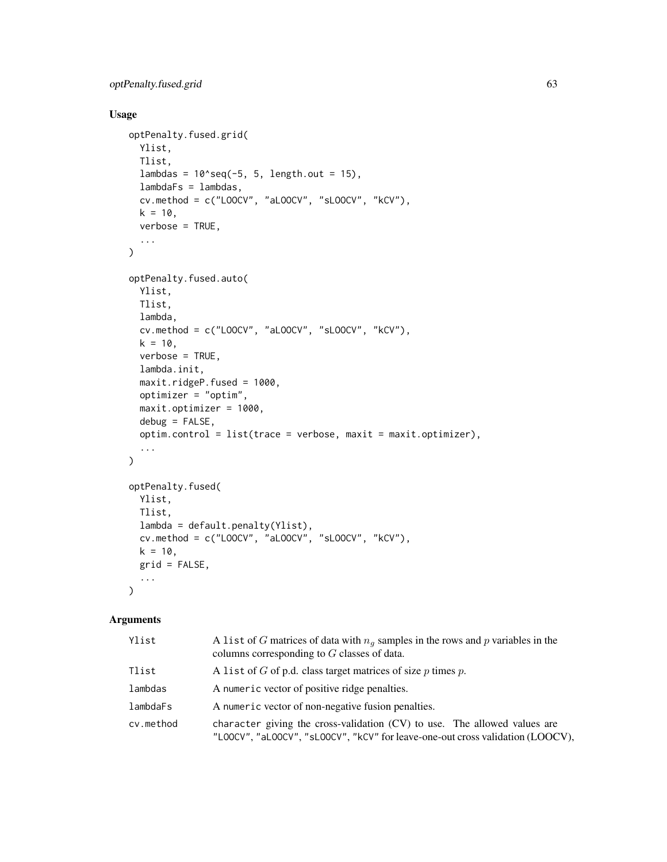```
optPenalty.fused.grid 63
```
# Usage

```
optPenalty.fused.grid(
 Ylist,
 Tlist,
 lambdas = 10^{\circ}seq(-5, 5, length.out = 15),
 lambdaFs = lambdas,
  cv.\text{method} = c("LOOCV", "aLOOCV", "SLOOCV", "KCV",k = 10,
 verbose = TRUE,
  ...
\mathcal{L}optPenalty.fused.auto(
 Ylist,
 Tlist,
 lambda,
  cv.method = c("LOOCV", "aLOOCV", "sLOOCV", "kCV"),
 k = 10,
  verbose = TRUE,
  lambda.init,
  maxit.ridgeP.fused = 1000,
 optimizer = "optim",
 maxit.optimizer = 1000,
 debug = FALSE,
 option.control = list(true = verbose, maxit = maxit.optimizer),...
\mathcal{L}optPenalty.fused(
 Ylist,
 Tlist,
  lambda = default.penalty(Ylist),
  cv.method = c("LOOCV", "aLOOCV", "sLOOCV", "kCV"),
 k = 10,
  grid = FALSE,
  ...
\mathcal{L}
```
# Arguments

| Ylist     | A list of G matrices of data with $n_q$ samples in the rows and p variables in the<br>columns corresponding to $G$ classes of data.                           |
|-----------|---------------------------------------------------------------------------------------------------------------------------------------------------------------|
| Tlist     | A list of $G$ of p.d. class target matrices of size $p$ times $p$ .                                                                                           |
| lambdas   | A numeric vector of positive ridge penalties.                                                                                                                 |
| lambdaFs  | A numeric vector of non-negative fusion penalties.                                                                                                            |
| cv.method | character giving the cross-validation $(CV)$ to use. The allowed values are<br>"LOOCV", "aLOOCV", "sLOOCV", "kCV" for leave-one-out cross validation (LOOCV), |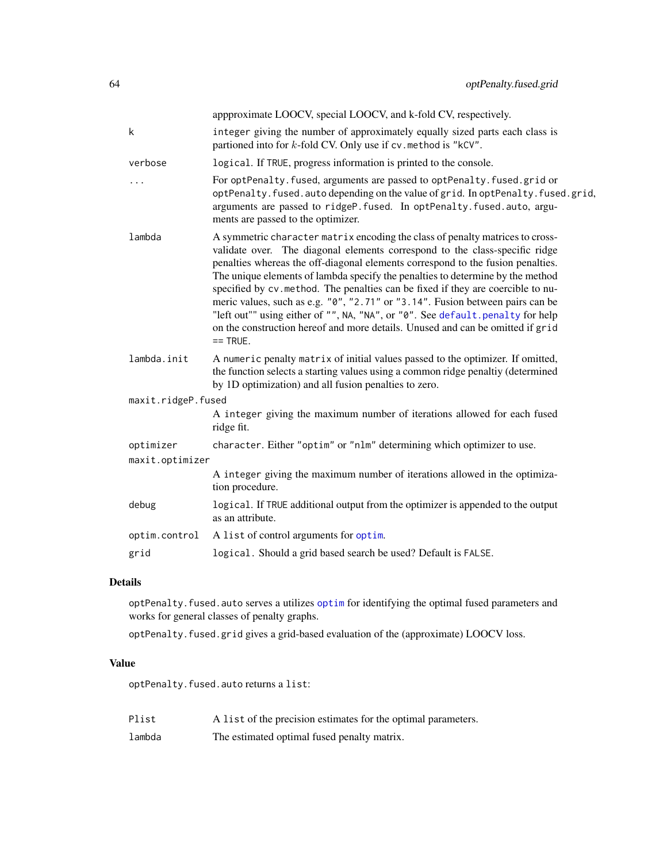|                    |                 | appproximate LOOCV, special LOOCV, and k-fold CV, respectively.                                                                                                                                                                                                                                                                                                                                                                                                                                                                                                                                                                                                                          |
|--------------------|-----------------|------------------------------------------------------------------------------------------------------------------------------------------------------------------------------------------------------------------------------------------------------------------------------------------------------------------------------------------------------------------------------------------------------------------------------------------------------------------------------------------------------------------------------------------------------------------------------------------------------------------------------------------------------------------------------------------|
|                    | k               | integer giving the number of approximately equally sized parts each class is<br>partioned into for k-fold CV. Only use if cv. method is "kCV".                                                                                                                                                                                                                                                                                                                                                                                                                                                                                                                                           |
|                    | verbose         | logical. If TRUE, progress information is printed to the console.                                                                                                                                                                                                                                                                                                                                                                                                                                                                                                                                                                                                                        |
|                    |                 | For optPenalty. fused, arguments are passed to optPenalty. fused. grid or<br>optPenalty.fused.autodepending on the value of grid. In optPenalty.fused.grid,<br>arguments are passed to ridgeP. fused. In optPenalty. fused. auto, argu-<br>ments are passed to the optimizer.                                                                                                                                                                                                                                                                                                                                                                                                            |
|                    | lambda          | A symmetric character matrix encoding the class of penalty matrices to cross-<br>validate over. The diagonal elements correspond to the class-specific ridge<br>penalties whereas the off-diagonal elements correspond to the fusion penalties.<br>The unique elements of lambda specify the penalties to determine by the method<br>specified by cv. method. The penalties can be fixed if they are coercible to nu-<br>meric values, such as e.g. "0", "2.71" or "3.14". Fusion between pairs can be<br>"left out"" using either of "", NA, "NA", or "0". See default.penalty for help<br>on the construction hereof and more details. Unused and can be omitted if grid<br>$==$ TRUE. |
|                    | lambda.init     | A numeric penalty matrix of initial values passed to the optimizer. If omitted,<br>the function selects a starting values using a common ridge penaltiy (determined<br>by 1D optimization) and all fusion penalties to zero.                                                                                                                                                                                                                                                                                                                                                                                                                                                             |
| maxit.ridgeP.fused |                 |                                                                                                                                                                                                                                                                                                                                                                                                                                                                                                                                                                                                                                                                                          |
|                    |                 | A integer giving the maximum number of iterations allowed for each fused<br>ridge fit.                                                                                                                                                                                                                                                                                                                                                                                                                                                                                                                                                                                                   |
|                    | optimizer       | character. Either "optim" or "nlm" determining which optimizer to use.                                                                                                                                                                                                                                                                                                                                                                                                                                                                                                                                                                                                                   |
|                    | maxit.optimizer |                                                                                                                                                                                                                                                                                                                                                                                                                                                                                                                                                                                                                                                                                          |
|                    |                 | A integer giving the maximum number of iterations allowed in the optimiza-<br>tion procedure.                                                                                                                                                                                                                                                                                                                                                                                                                                                                                                                                                                                            |
|                    | debug           | logical. If TRUE additional output from the optimizer is appended to the output<br>as an attribute.                                                                                                                                                                                                                                                                                                                                                                                                                                                                                                                                                                                      |
|                    | optim.control   | A list of control arguments for optim.                                                                                                                                                                                                                                                                                                                                                                                                                                                                                                                                                                                                                                                   |
|                    | grid            | logical. Should a grid based search be used? Default is FALSE.                                                                                                                                                                                                                                                                                                                                                                                                                                                                                                                                                                                                                           |
|                    |                 |                                                                                                                                                                                                                                                                                                                                                                                                                                                                                                                                                                                                                                                                                          |

# Details

optPenalty.fused.auto serves a utilizes [optim](#page-0-0) for identifying the optimal fused parameters and works for general classes of penalty graphs.

optPenalty.fused.grid gives a grid-based evaluation of the (approximate) LOOCV loss.

## Value

optPenalty.fused.auto returns a list:

lambda The estimated optimal fused penalty matrix.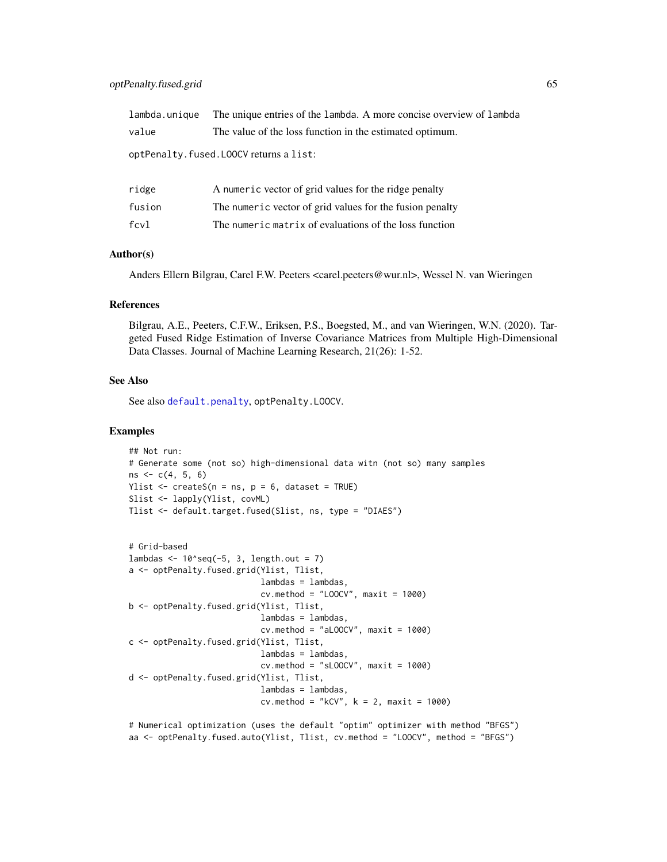|                                                                                      | lambda. unique The unique entries of the lambda. A more concise overview of lambda |  |
|--------------------------------------------------------------------------------------|------------------------------------------------------------------------------------|--|
| value                                                                                | The value of the loss function in the estimated optimum.                           |  |
| $\left( \text{on+Donald} \right)$ fused $\left( \text{OOCV} \right)$ returns a list. |                                                                                    |  |

optPenalty.fused.LOOCV returns a list:

| ridge  | A numeric vector of grid values for the ridge penalty    |
|--------|----------------------------------------------------------|
| fusion | The numeric vector of grid values for the fusion penalty |
| fcvl   | The numeric matrix of evaluations of the loss function   |

## Author(s)

Anders Ellern Bilgrau, Carel F.W. Peeters <carel.peeters@wur.nl>, Wessel N. van Wieringen

### References

Bilgrau, A.E., Peeters, C.F.W., Eriksen, P.S., Boegsted, M., and van Wieringen, W.N. (2020). Targeted Fused Ridge Estimation of Inverse Covariance Matrices from Multiple High-Dimensional Data Classes. Journal of Machine Learning Research, 21(26): 1-52.

### See Also

See also [default.penalty](#page-19-0), optPenalty.LOOCV.

```
## Not run:
# Generate some (not so) high-dimensional data witn (not so) many samples
ns <- c(4, 5, 6)
Ylist \leq createS(n = ns, p = 6, dataset = TRUE)
Slist <- lapply(Ylist, covML)
Tlist <- default.target.fused(Slist, ns, type = "DIAES")
```

```
# Grid-based
lambdas \leq -10'seq(-5, 3, length.out = 7)
a <- optPenalty.fused.grid(Ylist, Tlist,
                           lambdas = lambdas,
                           cv.method = "LOOCV", maxit = 1000)
b <- optPenalty.fused.grid(Ylist, Tlist,
                           lambdas = lambdas,
                           cv.method = "aLOOCV", maxit = 1000)
c <- optPenalty.fused.grid(Ylist, Tlist,
                           lambdas = lambdas,
                           cv.method = "sLOOCV", maxit = 1000)
d <- optPenalty.fused.grid(Ylist, Tlist,
                           lambdas = lambdas,
                           cv. method = "kCV", k = 2, maxit = 1000)
```

```
# Numerical optimization (uses the default "optim" optimizer with method "BFGS")
aa <- optPenalty.fused.auto(Ylist, Tlist, cv.method = "LOOCV", method = "BFGS")
```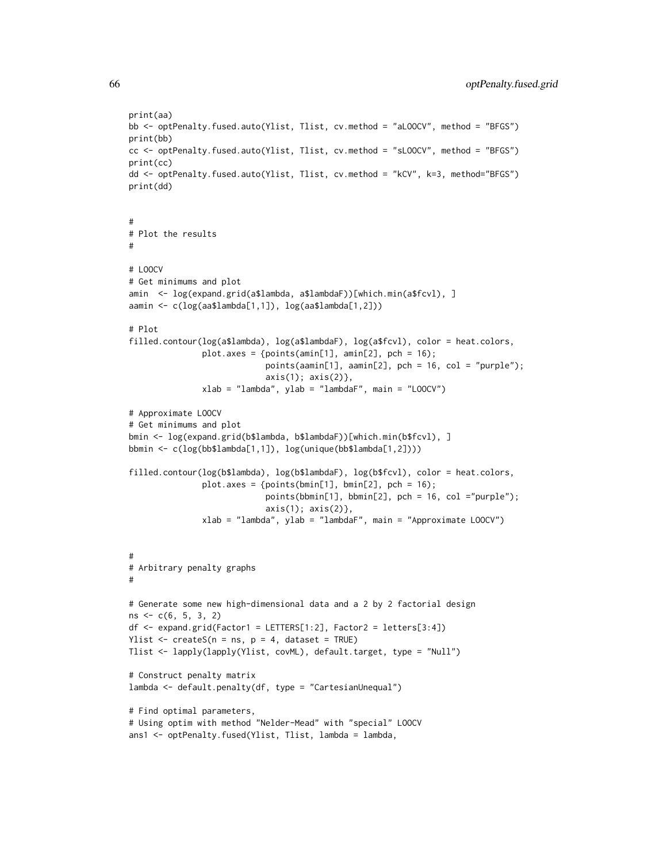```
print(aa)
bb <- optPenalty.fused.auto(Ylist, Tlist, cv.method = "aLOOCV", method = "BFGS")
print(bb)
cc <- optPenalty.fused.auto(Ylist, Tlist, cv.method = "sLOOCV", method = "BFGS")
print(cc)
dd <- optPenalty.fused.auto(Ylist, Tlist, cv.method = "kCV", k=3, method="BFGS")
print(dd)
#
# Plot the results
#
# LOOCV
# Get minimums and plot
amin <- log(expand.grid(a$lambda, a$lambdaF))[which.min(a$fcvl), ]
aamin <- c(log(aa$lambda[1,1]), log(aa$lambda[1,2]))
# Plot
filled.contour(log(a$lambda), log(a$lambdaF), log(a$fcvl), color = heat.colors,
               plot.axes = {points(amin[1], amin[2], pch = 16)};
                            points(aamin[1], aamin[2], pch = 16, col = "purple");
                            axis(1); axis(2)},
               xlab = "lambda", ylab = "lambdaF", main = "LOOCV")
# Approximate LOOCV
# Get minimums and plot
bmin <- log(expand.grid(b$lambda, b$lambdaF))[which.min(b$fcvl), ]
bbmin <- c(log(bb$lambda[1,1]), log(unique(bb$lambda[1,2])))
filled.contour(log(b$lambda), log(b$lambdaF), log(b$fcvl), color = heat.colors,
               plot.axes = {points(bmin[1], bmin[2], pch = 16)};
                            points(bbmin[1], bbmin[2], pch = 16, col ="purple");
                            axis(1); axis(2)},
               xlab = "lambda", ylab = "lambdaF", main = "Approximate LOOCV")
#
# Arbitrary penalty graphs
#
# Generate some new high-dimensional data and a 2 by 2 factorial design
ns <- c(6, 5, 3, 2)
df \leq expand.grid(Factor1 = LETTERS[1:2], Factor2 = letters[3:4])
Ylist \leq createS(n = ns, p = 4, dataset = TRUE)
Tlist <- lapply(lapply(Ylist, covML), default.target, type = "Null")
# Construct penalty matrix
lambda <- default.penalty(df, type = "CartesianUnequal")
# Find optimal parameters,
# Using optim with method "Nelder-Mead" with "special" LOOCV
ans1 <- optPenalty.fused(Ylist, Tlist, lambda = lambda,
```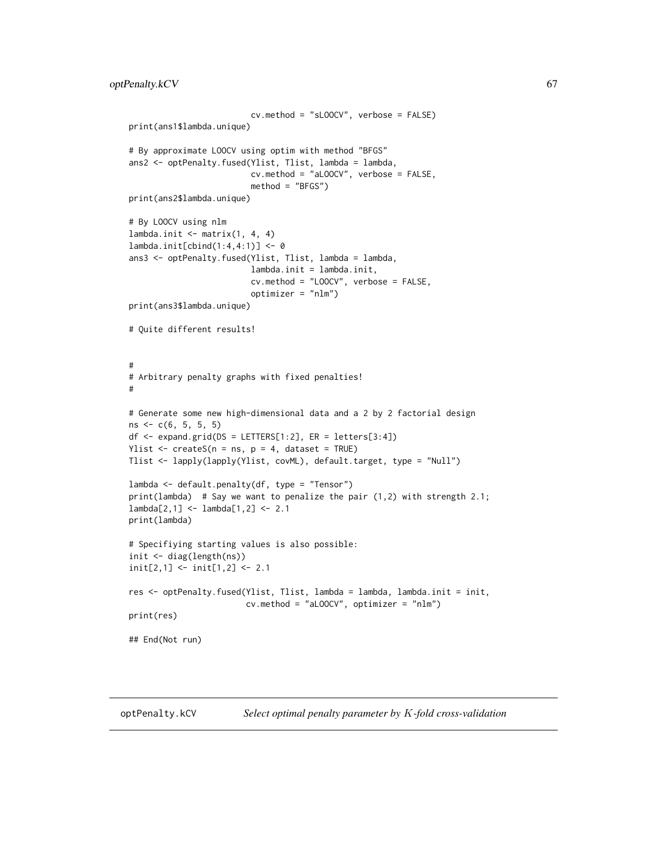```
cv.method = "sLOOCV", verbose = FALSE)
print(ans1$lambda.unique)
# By approximate LOOCV using optim with method "BFGS"
ans2 <- optPenalty.fused(Ylist, Tlist, lambda = lambda,
                         cv.method = "aLOOCV", verbose = FALSE,
                         method = "BFGS")
print(ans2$lambda.unique)
# By LOOCV using nlm
lambda.init \leq matrix(1, 4, 4)
lambda.init[cbind(1:4,4:1)] <- 0
ans3 <- optPenalty.fused(Ylist, Tlist, lambda = lambda,
                         lambda.init = lambda.init,
                         cv.method = "LOOCV", verbose = FALSE,
                         optimizer = "nlm")
print(ans3$lambda.unique)
# Quite different results!
#
# Arbitrary penalty graphs with fixed penalties!
#
# Generate some new high-dimensional data and a 2 by 2 factorial design
ns \leftarrow c(6, 5, 5, 5)df \leq expand.grid(DS = LETTERS[1:2], ER = letters[3:4])
Ylist \leq createS(n = ns, p = 4, dataset = TRUE)
Tlist <- lapply(lapply(Ylist, covML), default.target, type = "Null")
lambda <- default.penalty(df, type = "Tensor")
print(lambda) # Say we want to penalize the pair (1,2) with strength 2.1;
lambda[2,1] <- lambda[1,2] <- 2.1
print(lambda)
# Specifiying starting values is also possible:
init <- diag(length(ns))
init[2,1] <- init[1,2] <- 2.1
res <- optPenalty.fused(Ylist, Tlist, lambda = lambda, lambda.init = init,
                        cv.method = "aLOOCV", optimizer = "nlm")
print(res)
## End(Not run)
```
<span id="page-66-0"></span>

optPenalty.kCV *Select optimal penalty parameter by* K*-fold cross-validation*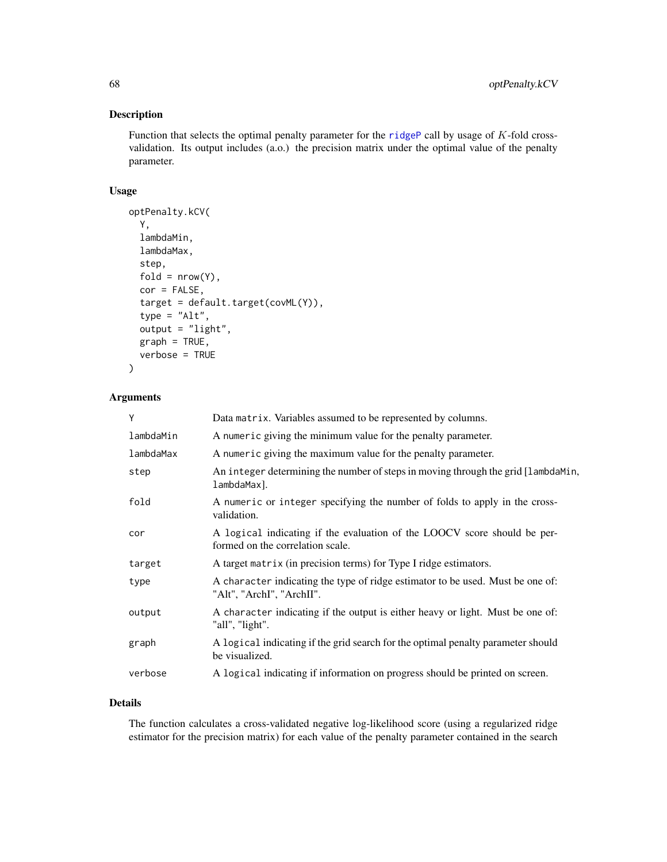## Description

Function that selects the optimal penalty parameter for the [ridgeP](#page-83-0) call by usage of K-fold crossvalidation. Its output includes (a.o.) the precision matrix under the optimal value of the penalty parameter.

## Usage

```
optPenalty.kCV(
 Y,
 lambdaMin,
 lambdaMax,
  step,
 fold = nrow(Y),
 cor = FALSE,target = default.target(covML(Y)),
  type = "Alt",
  output = "light",
 graph = TRUE,verbose = TRUE
)
```
## Arguments

| Y         | Data matrix. Variables assumed to be represented by columns.                                                 |
|-----------|--------------------------------------------------------------------------------------------------------------|
| lambdaMin | A numeric giving the minimum value for the penalty parameter.                                                |
| lambdaMax | A numeric giving the maximum value for the penalty parameter.                                                |
| step      | An integer determining the number of steps in moving through the grid [lambdaMin,<br>lambdaMax].             |
| fold      | A numeric or integer specifying the number of folds to apply in the cross-<br>validation.                    |
| cor       | A logical indicating if the evaluation of the LOOCV score should be per-<br>formed on the correlation scale. |
| target    | A target matrix (in precision terms) for Type I ridge estimators.                                            |
| type      | A character indicating the type of ridge estimator to be used. Must be one of:<br>"Alt", "ArchI", "ArchII".  |
| output    | A character indicating if the output is either heavy or light. Must be one of:<br>"all", "light".            |
| graph     | A logical indicating if the grid search for the optimal penalty parameter should<br>be visualized.           |
| verbose   | A logical indicating if information on progress should be printed on screen.                                 |

### Details

The function calculates a cross-validated negative log-likelihood score (using a regularized ridge estimator for the precision matrix) for each value of the penalty parameter contained in the search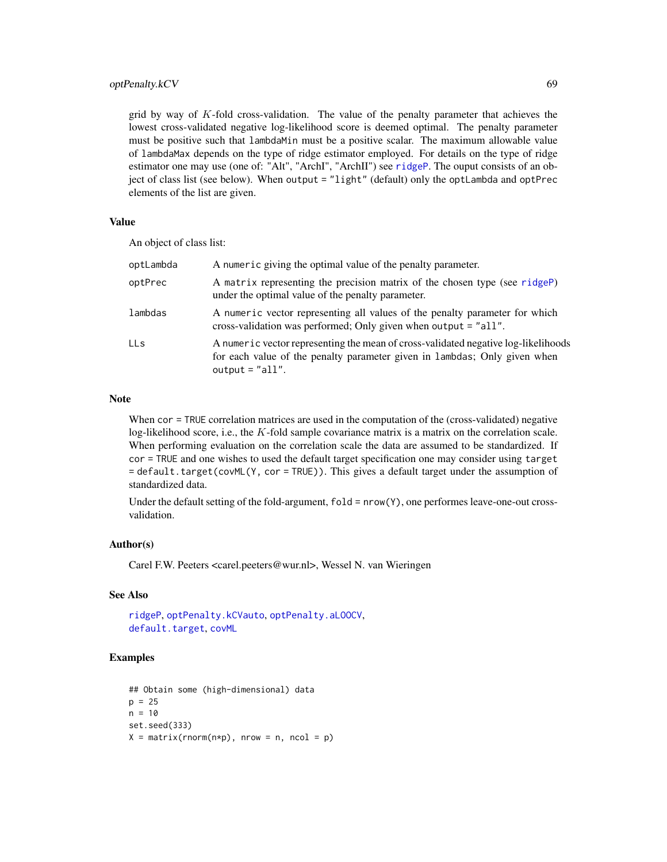## optPenalty.kCV 69

grid by way of  $K$ -fold cross-validation. The value of the penalty parameter that achieves the lowest cross-validated negative log-likelihood score is deemed optimal. The penalty parameter must be positive such that lambdaMin must be a positive scalar. The maximum allowable value of lambdaMax depends on the type of ridge estimator employed. For details on the type of ridge estimator one may use (one of: "Alt", "ArchI", "ArchII") see [ridgeP](#page-83-0). The ouput consists of an object of class list (see below). When output = "light" (default) only the optLambda and optPrec elements of the list are given.

## Value

An object of class list:

| optLambda  | A numeric giving the optimal value of the penalty parameter.                                                                                                                         |
|------------|--------------------------------------------------------------------------------------------------------------------------------------------------------------------------------------|
| optPrec    | A matrix representing the precision matrix of the chosen type (see ridgeP)<br>under the optimal value of the penalty parameter.                                                      |
| lambdas    | A numeric vector representing all values of the penalty parameter for which<br>cross-validation was performed; Only given when output = "all".                                       |
| <b>LLs</b> | A numeric vector representing the mean of cross-validated negative log-likelihoods<br>for each value of the penalty parameter given in lambdas; Only given when<br>output = $"all".$ |

### Note

When cor = TRUE correlation matrices are used in the computation of the (cross-validated) negative log-likelihood score, i.e., the  $K$ -fold sample covariance matrix is a matrix on the correlation scale. When performing evaluation on the correlation scale the data are assumed to be standardized. If cor = TRUE and one wishes to used the default target specification one may consider using target = default.target(covML(Y, cor = TRUE)). This gives a default target under the assumption of standardized data.

Under the default setting of the fold-argument,  $fold = nrow(Y)$ , one performes leave-one-out crossvalidation.

#### Author(s)

Carel F.W. Peeters <carel.peeters@wur.nl>, Wessel N. van Wieringen

#### See Also

[ridgeP](#page-83-0), [optPenalty.kCVauto](#page-69-0), [optPenalty.aLOOCV](#page-59-0), [default.target](#page-21-0), [covML](#page-14-0)

```
## Obtain some (high-dimensional) data
p = 25n = 10set.seed(333)
X = matrix(rnorm(n*p), nrow = n, ncol = p)
```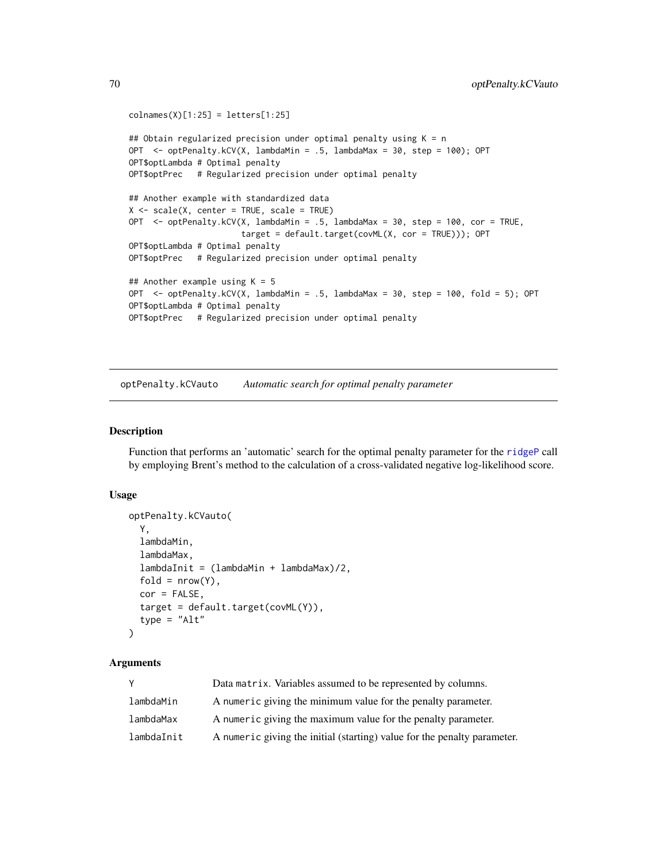```
colnames(X)[1:25] = letters[1:25]## Obtain regularized precision under optimal penalty using K = n
OPT <- optPenalty.kCV(X, lambdaMin = .5, lambdaMax = 30, step = 100); OPT
OPT$optLambda # Optimal penalty
OPT$optPrec # Regularized precision under optimal penalty
## Another example with standardized data
X \le - scale(X, center = TRUE, scale = TRUE)
OPT <- optPenalty.kCV(X, lambdaMin = .5, lambdaMax = 30, step = 100, cor = TRUE,
                       target = default.target(covML(X, cor = TRUE))); OPT
OPT$optLambda # Optimal penalty
OPT$optPrec # Regularized precision under optimal penalty
## Another example using K = 5OPT <- optPenalty.kCV(X, lambdaMin = .5, lambdaMax = 30, step = 100, fold = 5); OPT
OPT$optLambda # Optimal penalty
OPT$optPrec # Regularized precision under optimal penalty
```
<span id="page-69-0"></span>optPenalty.kCVauto *Automatic search for optimal penalty parameter*

### Description

Function that performs an 'automatic' search for the optimal penalty parameter for the [ridgeP](#page-83-0) call by employing Brent's method to the calculation of a cross-validated negative log-likelihood score.

#### Usage

```
optPenalty.kCVauto(
  Y,
  lambdaMin,
  lambdaMax,
  lambdaInit = (lambdaMin + lambdaMax)/2,
  fold = nrow(Y),
  cor = FALSE,target = default.target(covML(Y)),
  type = "Alt"
)
```
### **Arguments**

| Y          | Data matrix. Variables assumed to be represented by columns.             |
|------------|--------------------------------------------------------------------------|
| lambdaMin  | A numeric giving the minimum value for the penalty parameter.            |
| lambdaMax  | A numeric giving the maximum value for the penalty parameter.            |
| lambdaInit | A numeric giving the initial (starting) value for the penalty parameter. |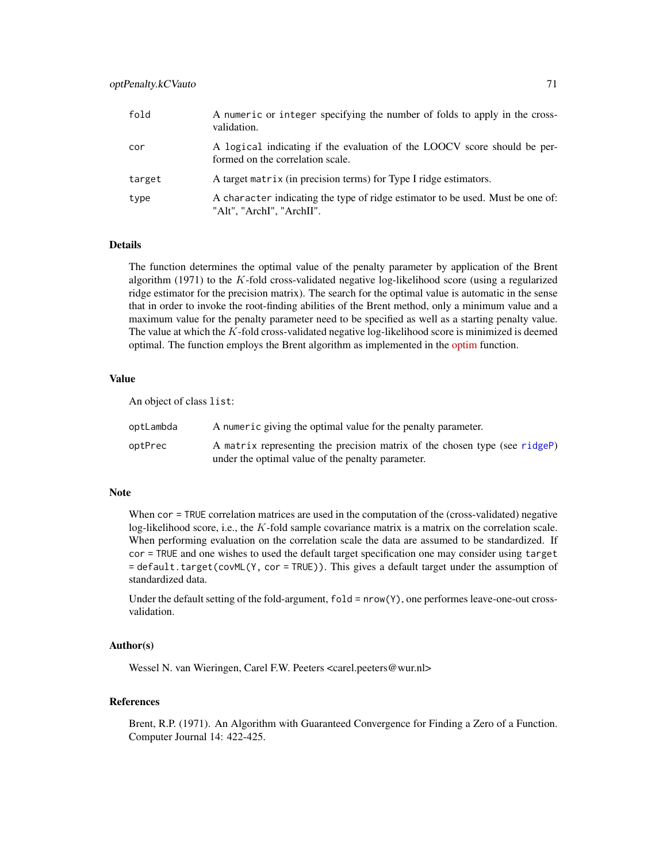| fold   | A numeric or integer specifying the number of folds to apply in the cross-<br>validation.                    |
|--------|--------------------------------------------------------------------------------------------------------------|
| cor    | A logical indicating if the evaluation of the LOOCV score should be per-<br>formed on the correlation scale. |
| target | A target matrix (in precision terms) for Type I ridge estimators.                                            |
| type   | A character indicating the type of ridge estimator to be used. Must be one of:<br>"Alt", "ArchI", "ArchII".  |

### Details

The function determines the optimal value of the penalty parameter by application of the Brent algorithm (1971) to the K-fold cross-validated negative log-likelihood score (using a regularized ridge estimator for the precision matrix). The search for the optimal value is automatic in the sense that in order to invoke the root-finding abilities of the Brent method, only a minimum value and a maximum value for the penalty parameter need to be specified as well as a starting penalty value. The value at which the K-fold cross-validated negative log-likelihood score is minimized is deemed optimal. The function employs the Brent algorithm as implemented in the [optim](https://stat.ethz.ch/R-manual/R-devel/library/stats/html/optim.html) function.

### Value

An object of class list:

| optLambda | A numeric giving the optimal value for the penalty parameter.                                                                   |
|-----------|---------------------------------------------------------------------------------------------------------------------------------|
| optPrec   | A matrix representing the precision matrix of the chosen type (see ridgeP)<br>under the optimal value of the penalty parameter. |

## Note

When cor = TRUE correlation matrices are used in the computation of the (cross-validated) negative log-likelihood score, i.e., the K-fold sample covariance matrix is a matrix on the correlation scale. When performing evaluation on the correlation scale the data are assumed to be standardized. If cor = TRUE and one wishes to used the default target specification one may consider using target = default.target(covML(Y, cor = TRUE)). This gives a default target under the assumption of standardized data.

Under the default setting of the fold-argument, fold = nrow(Y), one performes leave-one-out crossvalidation.

## Author(s)

Wessel N. van Wieringen, Carel F.W. Peeters <carel.peeters@wur.nl>

# References

Brent, R.P. (1971). An Algorithm with Guaranteed Convergence for Finding a Zero of a Function. Computer Journal 14: 422-425.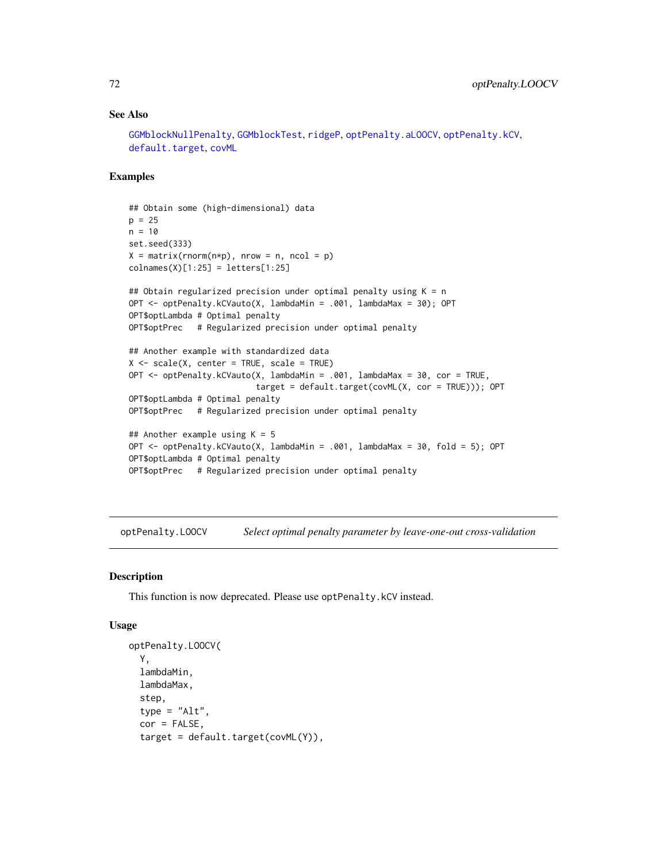## See Also

```
GGMblockNullPenalty, GGMblockTest, ridgeP, optPenalty.aLOOCV, optPenalty.kCV,
default.targetcovML
```
## Examples

```
## Obtain some (high-dimensional) data
p = 25n = 10set.seed(333)
X = matrix(rnorm(n*p), nrow = n, ncol = p)collnames(X)[1:25] = letters[1:25]## Obtain regularized precision under optimal penalty using K = nOPT <- optPenalty.kCVauto(X, lambdaMin = .001, lambdaMax = 30); OPT
OPT$optLambda # Optimal penalty
OPT$optPrec # Regularized precision under optimal penalty
## Another example with standardized data
X <- scale(X, center = TRUE, scale = TRUE)
OPT <- optPenalty.kCVauto(X, lambdaMin = .001, lambdaMax = 30, cor = TRUE,
                          target = default.target(covML(X, cor = TRUE))); OPT
OPT$optLambda # Optimal penalty
OPT$optPrec # Regularized precision under optimal penalty
## Another example using K = 5OPT <- optPenalty.kCVauto(X, lambdaMin = .001, lambdaMax = 30, fold = 5); OPT
OPT$optLambda # Optimal penalty
OPT$optPrec # Regularized precision under optimal penalty
```
<span id="page-71-0"></span>optPenalty.LOOCV *Select optimal penalty parameter by leave-one-out cross-validation*

#### Description

This function is now deprecated. Please use optPenalty.kCV instead.

## Usage

```
optPenalty.LOOCV(
 Y,
 lambdaMin,
  lambdaMax,
  step,
  type = "Alt",
  cor = FALSE,
  target = default.target(covML(Y)),
```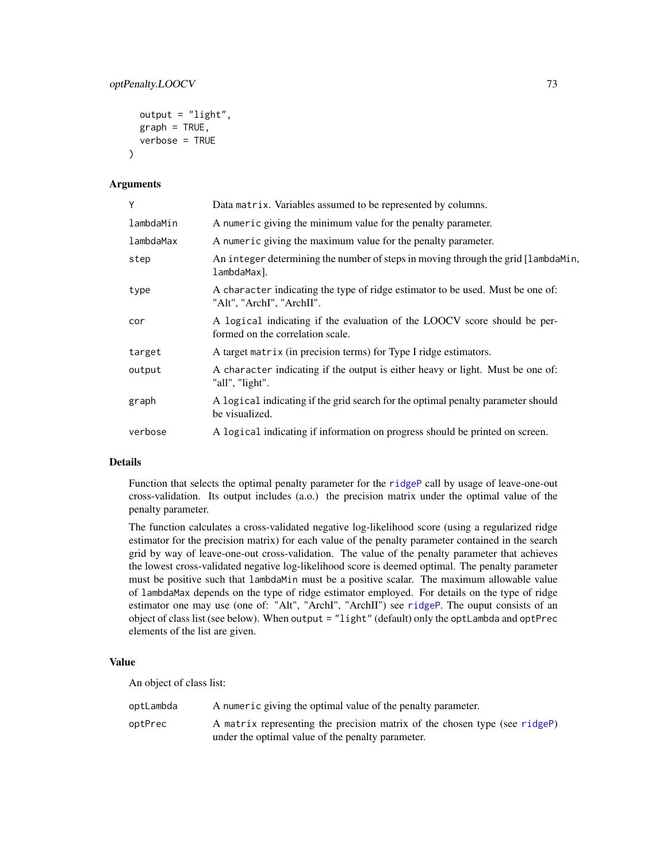# optPenalty.LOOCV 73

```
output = "light",
graph = TRUE,verbose = TRUE
```
#### Arguments

 $\lambda$ 

| Y         | Data matrix. Variables assumed to be represented by columns.                                                 |
|-----------|--------------------------------------------------------------------------------------------------------------|
| lambdaMin | A numeric giving the minimum value for the penalty parameter.                                                |
| lambdaMax | A numeric giving the maximum value for the penalty parameter.                                                |
| step      | An integer determining the number of steps in moving through the grid [lambdaMin,<br>lambdaMax].             |
| type      | A character indicating the type of ridge estimator to be used. Must be one of:<br>"Alt", "ArchI", "ArchII".  |
| cor       | A logical indicating if the evaluation of the LOOCV score should be per-<br>formed on the correlation scale. |
| target    | A target matrix (in precision terms) for Type I ridge estimators.                                            |
| output    | A character indicating if the output is either heavy or light. Must be one of:<br>"all", "light".            |
| graph     | A logical indicating if the grid search for the optimal penalty parameter should<br>be visualized.           |
| verbose   | A logical indicating if information on progress should be printed on screen.                                 |

#### Details

Function that selects the optimal penalty parameter for the [ridgeP](#page-83-0) call by usage of leave-one-out cross-validation. Its output includes (a.o.) the precision matrix under the optimal value of the penalty parameter.

The function calculates a cross-validated negative log-likelihood score (using a regularized ridge estimator for the precision matrix) for each value of the penalty parameter contained in the search grid by way of leave-one-out cross-validation. The value of the penalty parameter that achieves the lowest cross-validated negative log-likelihood score is deemed optimal. The penalty parameter must be positive such that lambdaMin must be a positive scalar. The maximum allowable value of lambdaMax depends on the type of ridge estimator employed. For details on the type of ridge estimator one may use (one of: "Alt", "ArchI", "ArchII") see [ridgeP](#page-83-0). The ouput consists of an object of class list (see below). When output = "light" (default) only the optLambda and optPrec elements of the list are given.

# Value

An object of class list:

| optLambda | A numeric giving the optimal value of the penalty parameter.               |
|-----------|----------------------------------------------------------------------------|
| optPrec   | A matrix representing the precision matrix of the chosen type (see ridgeP) |
|           | under the optimal value of the penalty parameter.                          |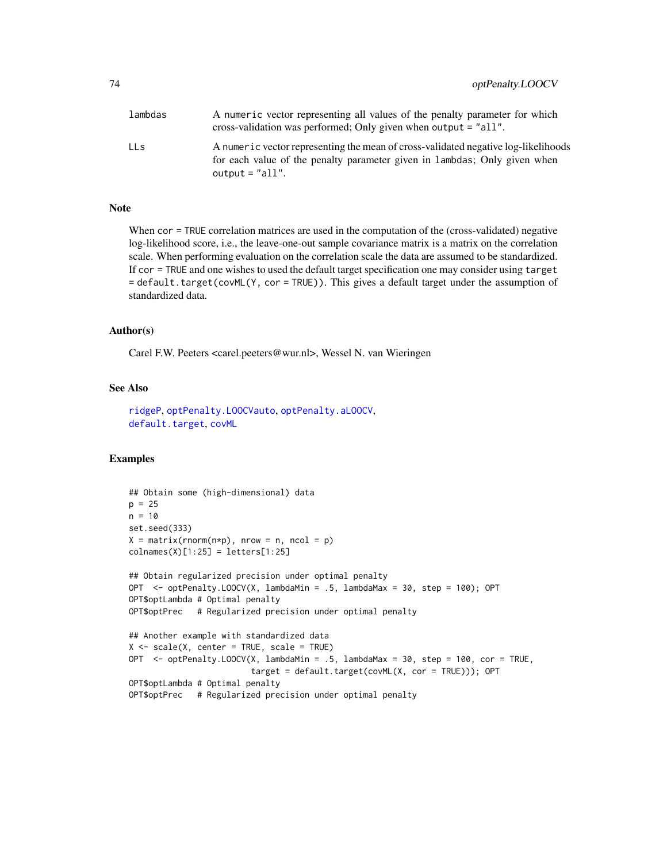<span id="page-73-0"></span>

| lambdas | A numeric vector representing all values of the penalty parameter for which<br>cross-validation was performed; Only given when output $=$ "all".                                     |
|---------|--------------------------------------------------------------------------------------------------------------------------------------------------------------------------------------|
| LLs     | A numeric vector representing the mean of cross-validated negative log-likelihoods<br>for each value of the penalty parameter given in lambdas; Only given when<br>output = $"all".$ |

# Note

When cor = TRUE correlation matrices are used in the computation of the (cross-validated) negative log-likelihood score, i.e., the leave-one-out sample covariance matrix is a matrix on the correlation scale. When performing evaluation on the correlation scale the data are assumed to be standardized. If cor = TRUE and one wishes to used the default target specification one may consider using target = default.target(covML(Y, cor = TRUE)). This gives a default target under the assumption of standardized data.

#### Author(s)

Carel F.W. Peeters <carel.peeters@wur.nl>, Wessel N. van Wieringen

# See Also

[ridgeP](#page-83-0), [optPenalty.LOOCVauto](#page-74-0), [optPenalty.aLOOCV](#page-59-0), [default.target](#page-21-0), [covML](#page-14-0)

```
## Obtain some (high-dimensional) data
p = 25n = 10
set.seed(333)
X = matrix(rnorm(n*p), nrow = n, ncol = p)collnames(X)[1:25] = letters[1:25]## Obtain regularized precision under optimal penalty
OPT <- optPenalty.LOOCV(X, lambdaMin = .5, lambdaMax = 30, step = 100); OPT
OPT$optLambda # Optimal penalty
OPT$optPrec # Regularized precision under optimal penalty
## Another example with standardized data
X \le - scale(X, center = TRUE, scale = TRUE)
OPT <- optPenalty.LOOCV(X, lambdaMin = .5, lambdaMax = 30, step = 100, cor = TRUE,
                         target = default.target(covML(X, cor = TRUE))); OPT
OPT$optLambda # Optimal penalty
OPT$optPrec # Regularized precision under optimal penalty
```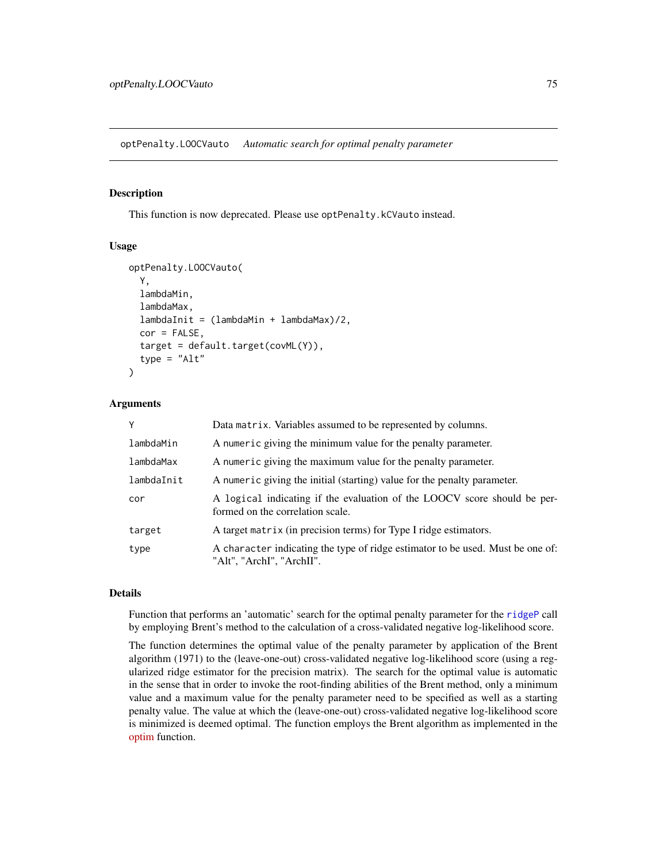<span id="page-74-1"></span><span id="page-74-0"></span>optPenalty.LOOCVauto *Automatic search for optimal penalty parameter*

#### Description

This function is now deprecated. Please use optPenalty.kCVauto instead.

#### Usage

```
optPenalty.LOOCVauto(
 Y,
  lambdaMin,
  lambdaMax,
  lambdaInit = (lambdaMin + lambdaMax)/2,
  cor = FALSE,target = default.target(covML(Y)),
  type = "Alt")
```
#### Arguments

| Y          | Data matrix. Variables assumed to be represented by columns.                                                 |
|------------|--------------------------------------------------------------------------------------------------------------|
| lambdaMin  | A numeric giving the minimum value for the penalty parameter.                                                |
| lambdaMax  | A numeric giving the maximum value for the penalty parameter.                                                |
| lambdaInit | A numeric giving the initial (starting) value for the penalty parameter.                                     |
| cor        | A logical indicating if the evaluation of the LOOCV score should be per-<br>formed on the correlation scale. |
| target     | A target matrix (in precision terms) for Type I ridge estimators.                                            |
| type       | A character indicating the type of ridge estimator to be used. Must be one of:<br>"Alt", "ArchI", "ArchII".  |

#### Details

Function that performs an 'automatic' search for the optimal penalty parameter for the [ridgeP](#page-83-0) call by employing Brent's method to the calculation of a cross-validated negative log-likelihood score.

The function determines the optimal value of the penalty parameter by application of the Brent algorithm (1971) to the (leave-one-out) cross-validated negative log-likelihood score (using a regularized ridge estimator for the precision matrix). The search for the optimal value is automatic in the sense that in order to invoke the root-finding abilities of the Brent method, only a minimum value and a maximum value for the penalty parameter need to be specified as well as a starting penalty value. The value at which the (leave-one-out) cross-validated negative log-likelihood score is minimized is deemed optimal. The function employs the Brent algorithm as implemented in the [optim](https://stat.ethz.ch/R-manual/R-devel/library/stats/html/optim.html) function.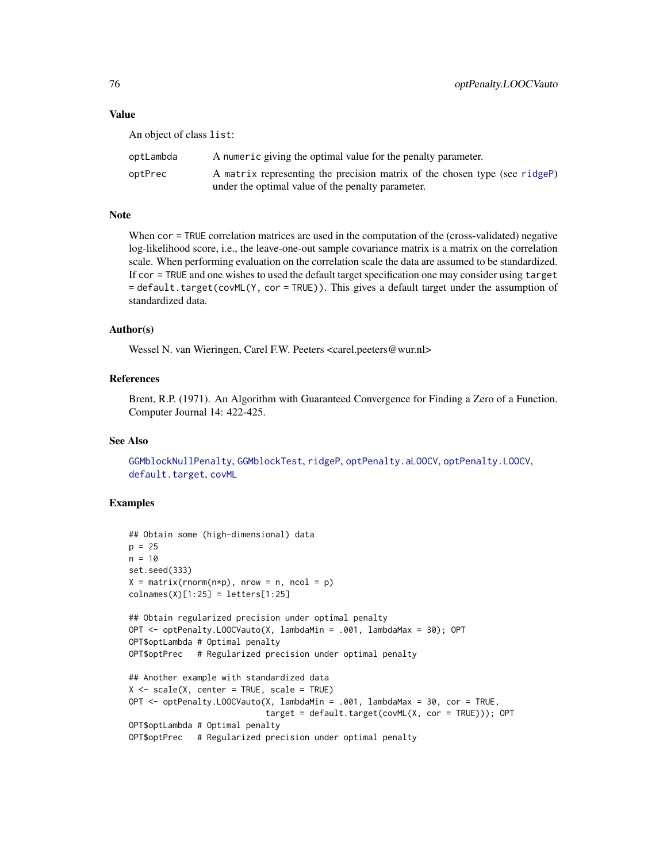#### <span id="page-75-0"></span>Value

An object of class list:

| optLambda | A numeric giving the optimal value for the penalty parameter.              |
|-----------|----------------------------------------------------------------------------|
| optPrec   | A matrix representing the precision matrix of the chosen type (see ridgeP) |
|           | under the optimal value of the penalty parameter.                          |

#### Note

When cor = TRUE correlation matrices are used in the computation of the (cross-validated) negative log-likelihood score, i.e., the leave-one-out sample covariance matrix is a matrix on the correlation scale. When performing evaluation on the correlation scale the data are assumed to be standardized. If cor = TRUE and one wishes to used the default target specification one may consider using target = default.target(covML(Y, cor = TRUE)). This gives a default target under the assumption of standardized data.

#### Author(s)

Wessel N. van Wieringen, Carel F.W. Peeters <carel.peeters@wur.nl>

#### References

Brent, R.P. (1971). An Algorithm with Guaranteed Convergence for Finding a Zero of a Function. Computer Journal 14: 422-425.

#### See Also

[GGMblockNullPenalty](#page-35-0), [GGMblockTest](#page-36-0), [ridgeP](#page-83-0), [optPenalty.aLOOCV](#page-59-0), [optPenalty.LOOCV](#page-71-0), [default.target](#page-21-0), [covML](#page-14-0)

```
## Obtain some (high-dimensional) data
p = 25n = 10set.seed(333)
X = matrix(rnorm(n*p), nrow = n, ncol = p)collnames(X)[1:25] = letters[1:25]## Obtain regularized precision under optimal penalty
OPT <- optPenalty.LOOCVauto(X, lambdaMin = .001, lambdaMax = 30); OPT
OPT$optLambda # Optimal penalty
OPT$optPrec # Regularized precision under optimal penalty
## Another example with standardized data
X \le - scale(X, center = TRUE, scale = TRUE)
OPT <- optPenalty.LOOCVauto(X, lambdaMin = .001, lambdaMax = 30, cor = TRUE,
                            target = default.target(covML(X, cor = TRUE))); OPT
OPT$optLambda # Optimal penalty
OPT$optPrec # Regularized precision under optimal penalty
```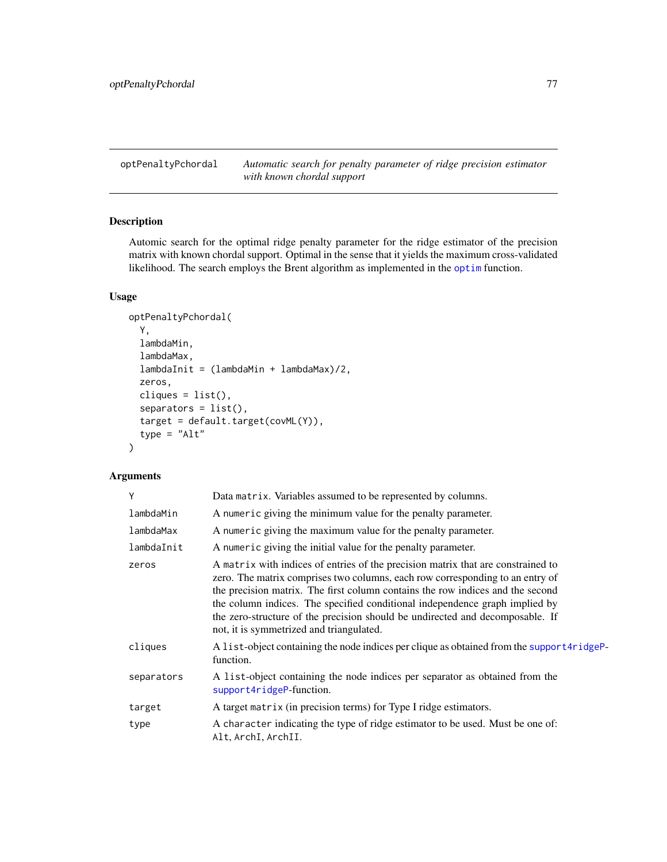<span id="page-76-0"></span>optPenaltyPchordal *Automatic search for penalty parameter of ridge precision estimator with known chordal support*

# Description

Automic search for the optimal ridge penalty parameter for the ridge estimator of the precision matrix with known chordal support. Optimal in the sense that it yields the maximum cross-validated likelihood. The search employs the Brent algorithm as implemented in the [optim](#page-0-0) function.

# Usage

```
optPenaltyPchordal(
 Y,
  lambdaMin,
  lambdaMax,
  lambdaInit = (lambdaMin + lambdaMax)/2,
  zeros,
 cliques = list(),
  separators = list(),target = default.target(covML(Y)),
  type = "Alt")
```
#### Arguments

| γ          | Data matrix. Variables assumed to be represented by columns.                                                                                                                                                                                                                                                                                                                                                                                                    |
|------------|-----------------------------------------------------------------------------------------------------------------------------------------------------------------------------------------------------------------------------------------------------------------------------------------------------------------------------------------------------------------------------------------------------------------------------------------------------------------|
| lambdaMin  | A numeric giving the minimum value for the penalty parameter.                                                                                                                                                                                                                                                                                                                                                                                                   |
| lambdaMax  | A numeric giving the maximum value for the penalty parameter.                                                                                                                                                                                                                                                                                                                                                                                                   |
| lambdaInit | A numeric giving the initial value for the penalty parameter.                                                                                                                                                                                                                                                                                                                                                                                                   |
| zeros      | A matrix with indices of entries of the precision matrix that are constrained to<br>zero. The matrix comprises two columns, each row corresponding to an entry of<br>the precision matrix. The first column contains the row indices and the second<br>the column indices. The specified conditional independence graph implied by<br>the zero-structure of the precision should be undirected and decomposable. If<br>not, it is symmetrized and triangulated. |
| cliques    | A list-object containing the node indices per clique as obtained from the support4ridgeP-<br>function.                                                                                                                                                                                                                                                                                                                                                          |
| separators | A list-object containing the node indices per separator as obtained from the<br>support4ridgeP-function.                                                                                                                                                                                                                                                                                                                                                        |
| target     | A target matrix (in precision terms) for Type I ridge estimators.                                                                                                                                                                                                                                                                                                                                                                                               |
| type       | A character indicating the type of ridge estimator to be used. Must be one of:<br>Alt, ArchI, ArchII.                                                                                                                                                                                                                                                                                                                                                           |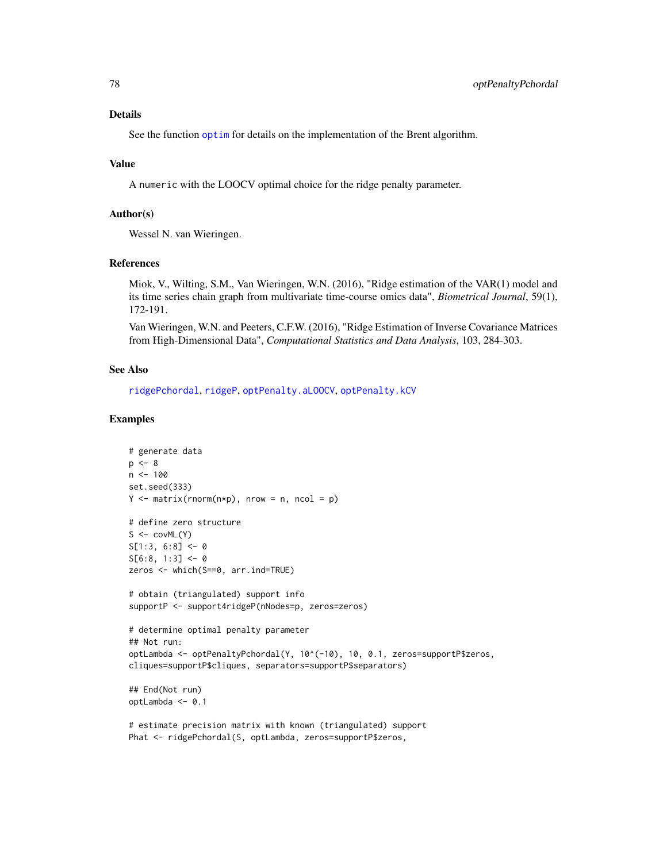# <span id="page-77-0"></span>Details

See the function [optim](#page-0-0) for details on the implementation of the Brent algorithm.

#### Value

A numeric with the LOOCV optimal choice for the ridge penalty parameter.

# Author(s)

Wessel N. van Wieringen.

# References

Miok, V., Wilting, S.M., Van Wieringen, W.N. (2016), "Ridge estimation of the VAR(1) model and its time series chain graph from multivariate time-course omics data", *Biometrical Journal*, 59(1), 172-191.

Van Wieringen, W.N. and Peeters, C.F.W. (2016), "Ridge Estimation of Inverse Covariance Matrices from High-Dimensional Data", *Computational Statistics and Data Analysis*, 103, 284-303.

#### See Also

[ridgePchordal](#page-90-0), [ridgeP](#page-83-0), [optPenalty.aLOOCV](#page-59-0), [optPenalty.kCV](#page-66-0)

```
# generate data
p \le -8n < -100set.seed(333)
Y \le - matrix(rnorm(n*p), nrow = n, ncol = p)
# define zero structure
S \leftarrow \text{covML}(Y)S[1:3, 6:8] < -0S[6:8, 1:3] < -0zeros <- which(S==0, arr.ind=TRUE)
# obtain (triangulated) support info
supportP <- support4ridgeP(nNodes=p, zeros=zeros)
# determine optimal penalty parameter
## Not run:
optLambda <- optPenaltyPchordal(Y, 10^(-10), 10, 0.1, zeros=supportP$zeros,
cliques=supportP$cliques, separators=supportP$separators)
## End(Not run)
optLambda <- 0.1
# estimate precision matrix with known (triangulated) support
```

```
Phat <- ridgePchordal(S, optLambda, zeros=supportP$zeros,
```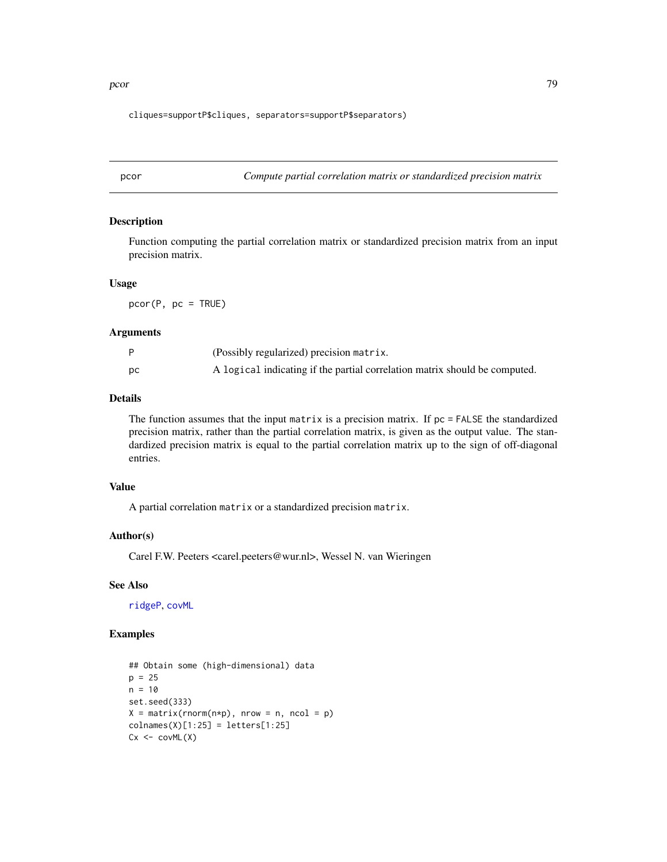<span id="page-78-0"></span>pcor the contract of the contract of the contract of the contract of the contract of the contract of the contract of the contract of the contract of the contract of the contract of the contract of the contract of the contr

cliques=supportP\$cliques, separators=supportP\$separators)

pcor *Compute partial correlation matrix or standardized precision matrix*

### Description

Function computing the partial correlation matrix or standardized precision matrix from an input precision matrix.

#### Usage

 $pcor(P, pc = TRUE)$ 

#### Arguments

|    | (Possibly regularized) precision matrix.                                   |
|----|----------------------------------------------------------------------------|
| DС | A logical indicating if the partial correlation matrix should be computed. |

#### Details

The function assumes that the input matrix is a precision matrix. If  $pc = FALSE$  the standardized precision matrix, rather than the partial correlation matrix, is given as the output value. The standardized precision matrix is equal to the partial correlation matrix up to the sign of off-diagonal entries.

# Value

A partial correlation matrix or a standardized precision matrix.

#### Author(s)

Carel F.W. Peeters <carel.peeters@wur.nl>, Wessel N. van Wieringen

#### See Also

[ridgeP](#page-83-0), [covML](#page-14-0)

```
## Obtain some (high-dimensional) data
p = 25n = 10set.seed(333)
X = matrix(rnorm(n*p), nrow = n, ncol = p)collnames(X)[1:25] = letters[1:25]Cx < -covML(X)
```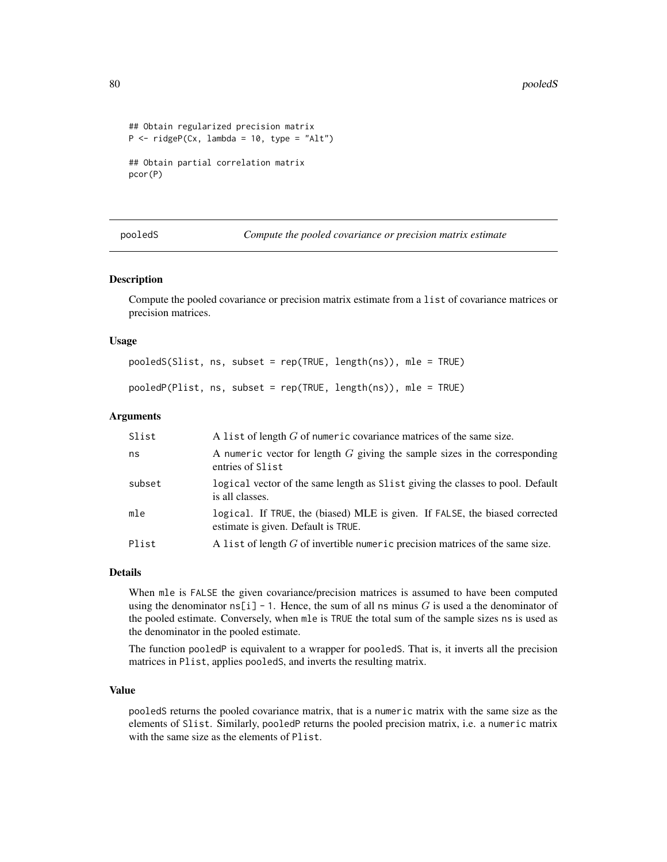```
## Obtain regularized precision matrix
P \le - ridgeP(Cx, lambda = 10, type = "Alt")
## Obtain partial correlation matrix
```
pcor(P)

pooledS *Compute the pooled covariance or precision matrix estimate*

#### Description

Compute the pooled covariance or precision matrix estimate from a list of covariance matrices or precision matrices.

#### Usage

pooledS(Slist, ns, subset = rep(TRUE, length(ns)), mle = TRUE)

# pooledP(Plist, ns, subset = rep(TRUE, length(ns)), mle = TRUE)

## Arguments

| Slist  | A list of length $G$ of numeric covariance matrices of the same size.                                              |
|--------|--------------------------------------------------------------------------------------------------------------------|
| ns     | A numeric vector for length $G$ giving the sample sizes in the corresponding<br>entries of Slist                   |
| subset | logical vector of the same length as Slist giving the classes to pool. Default<br>is all classes.                  |
| mle    | logical. If TRUE, the (biased) MLE is given. If FALSE, the biased corrected<br>estimate is given. Default is TRUE. |
| Plist  | A list of length $G$ of invertible numeric precision matrices of the same size.                                    |

#### Details

When mle is FALSE the given covariance/precision matrices is assumed to have been computed using the denominator  $n\in [1]$  - 1. Hence, the sum of all ns minus G is used a the denominator of the pooled estimate. Conversely, when mle is TRUE the total sum of the sample sizes ns is used as the denominator in the pooled estimate.

The function pooledP is equivalent to a wrapper for pooledS. That is, it inverts all the precision matrices in Plist, applies pooledS, and inverts the resulting matrix.

#### Value

pooledS returns the pooled covariance matrix, that is a numeric matrix with the same size as the elements of Slist. Similarly, pooledP returns the pooled precision matrix, i.e. a numeric matrix with the same size as the elements of Plist.

<span id="page-79-0"></span>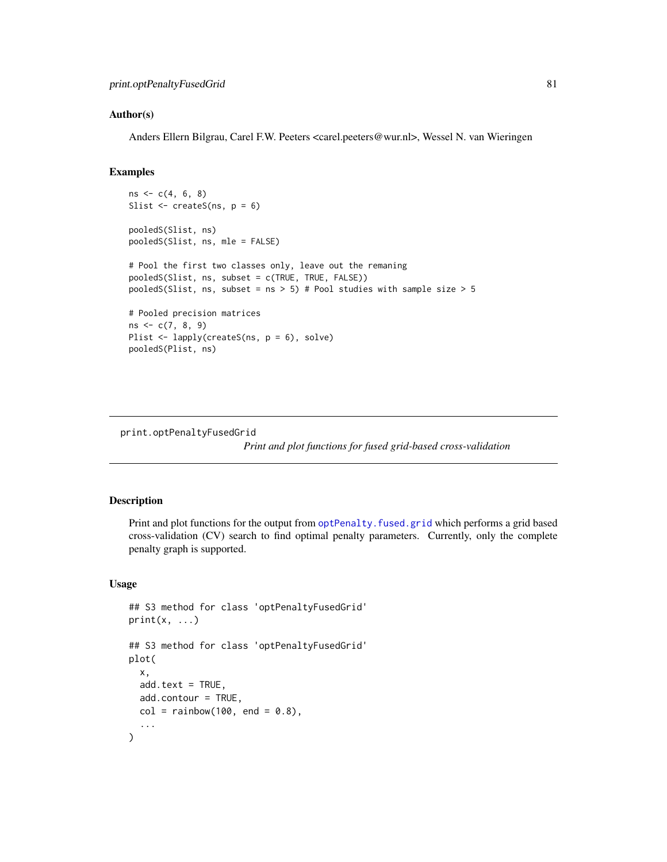#### <span id="page-80-0"></span>Author(s)

Anders Ellern Bilgrau, Carel F.W. Peeters <carel.peeters@wur.nl>, Wessel N. van Wieringen

# Examples

```
ns \leftarrow c(4, 6, 8)Slist \leq createS(ns, p = 6)
pooledS(Slist, ns)
pooledS(Slist, ns, mle = FALSE)
# Pool the first two classes only, leave out the remaning
pooledS(Slist, ns, subset = c(TRUE, TRUE, FALSE))
pooledS(Slist, ns, subset = ns > 5) # Pool studies with sample size > 5
# Pooled precision matrices
ns < -c(7, 8, 9)Plist <- lapply(createS(ns, p = 6), solve)
pooledS(Plist, ns)
```
print.optPenaltyFusedGrid

*Print and plot functions for fused grid-based cross-validation*

#### Description

Print and plot functions for the output from optPenalty. fused.grid which performs a grid based cross-validation (CV) search to find optimal penalty parameters. Currently, only the complete penalty graph is supported.

#### Usage

```
## S3 method for class 'optPenaltyFusedGrid'
print(x, \ldots)## S3 method for class 'optPenaltyFusedGrid'
plot(
  x,
 add.text = TRUE,add.contour = TRUE,
  col = rainbow(100, end = 0.8),
  ...
)
```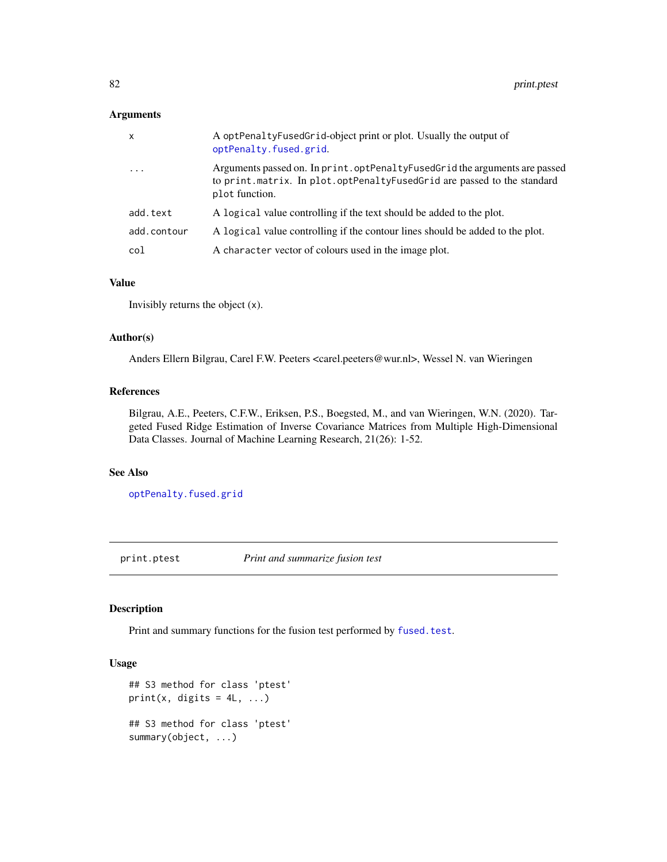#### <span id="page-81-0"></span>Arguments

| $\mathsf{x}$ | A optPenaltyFusedGrid-object print or plot. Usually the output of<br>optPenalty.fused.grid.                                                                              |
|--------------|--------------------------------------------------------------------------------------------------------------------------------------------------------------------------|
| $\ddots$ .   | Arguments passed on. In print. optPenaltyFusedGrid the arguments are passed<br>to print.matrix. In plot.optPenaltyFusedGrid are passed to the standard<br>plot function. |
| add.text     | A logical value controlling if the text should be added to the plot.                                                                                                     |
| add.contour  | A logical value controlling if the contour lines should be added to the plot.                                                                                            |
| col          | A character vector of colours used in the image plot.                                                                                                                    |

# Value

Invisibly returns the object (x).

#### Author(s)

Anders Ellern Bilgrau, Carel F.W. Peeters <carel.peeters@wur.nl>, Wessel N. van Wieringen

# References

Bilgrau, A.E., Peeters, C.F.W., Eriksen, P.S., Boegsted, M., and van Wieringen, W.N. (2020). Targeted Fused Ridge Estimation of Inverse Covariance Matrices from Multiple High-Dimensional Data Classes. Journal of Machine Learning Research, 21(26): 1-52.

# See Also

[optPenalty.fused.grid](#page-61-0)

print.ptest *Print and summarize fusion test*

#### Description

Print and summary functions for the fusion test performed by [fused.test](#page-33-0).

#### Usage

```
## S3 method for class 'ptest'
print(x, digits = 4L, ...)
## S3 method for class 'ptest'
summary(object, ...)
```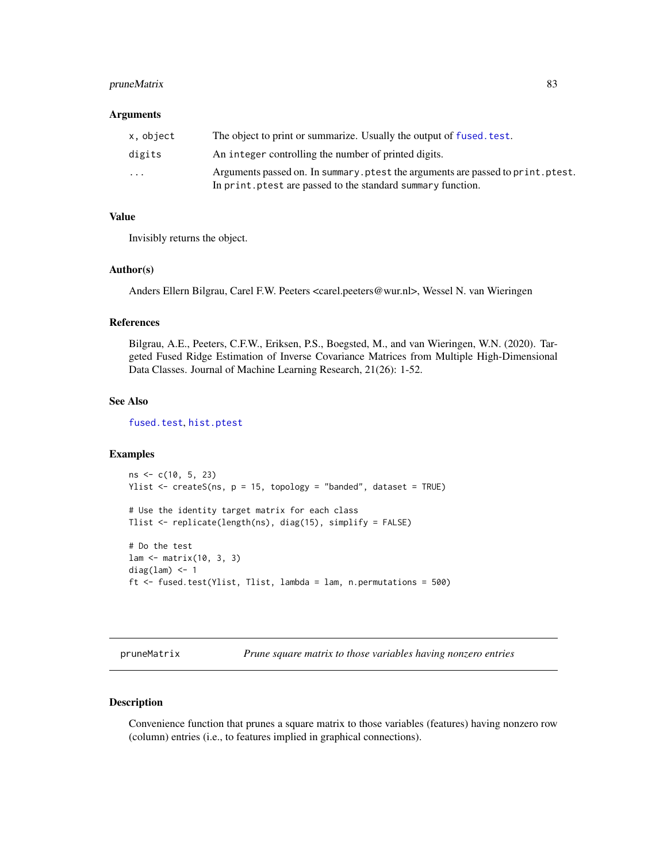# <span id="page-82-0"></span>pruneMatrix 83

#### Arguments

| x, object | The object to print or summarize. Usually the output of fused, test.                                                                           |
|-----------|------------------------------------------------------------------------------------------------------------------------------------------------|
| digits    | An integer controlling the number of printed digits.                                                                                           |
| $\cdots$  | Arguments passed on. In summary ptest the arguments are passed to print ptest.<br>In print, ptest are passed to the standard summary function. |

# Value

Invisibly returns the object.

#### Author(s)

Anders Ellern Bilgrau, Carel F.W. Peeters <carel.peeters@wur.nl>, Wessel N. van Wieringen

#### References

Bilgrau, A.E., Peeters, C.F.W., Eriksen, P.S., Boegsted, M., and van Wieringen, W.N. (2020). Targeted Fused Ridge Estimation of Inverse Covariance Matrices from Multiple High-Dimensional Data Classes. Journal of Machine Learning Research, 21(26): 1-52.

# See Also

[fused.test](#page-33-0), [hist.ptest](#page-47-0)

# Examples

```
ns < -c(10, 5, 23)Ylist \leq createS(ns, p = 15, topology = "banded", dataset = TRUE)
# Use the identity target matrix for each class
Tlist <- replicate(length(ns), diag(15), simplify = FALSE)
# Do the test
lam <- matrix(10, 3, 3)
diag(lam) <-1ft <- fused.test(Ylist, Tlist, lambda = lam, n.permutations = 500)
```
pruneMatrix *Prune square matrix to those variables having nonzero entries*

#### Description

Convenience function that prunes a square matrix to those variables (features) having nonzero row (column) entries (i.e., to features implied in graphical connections).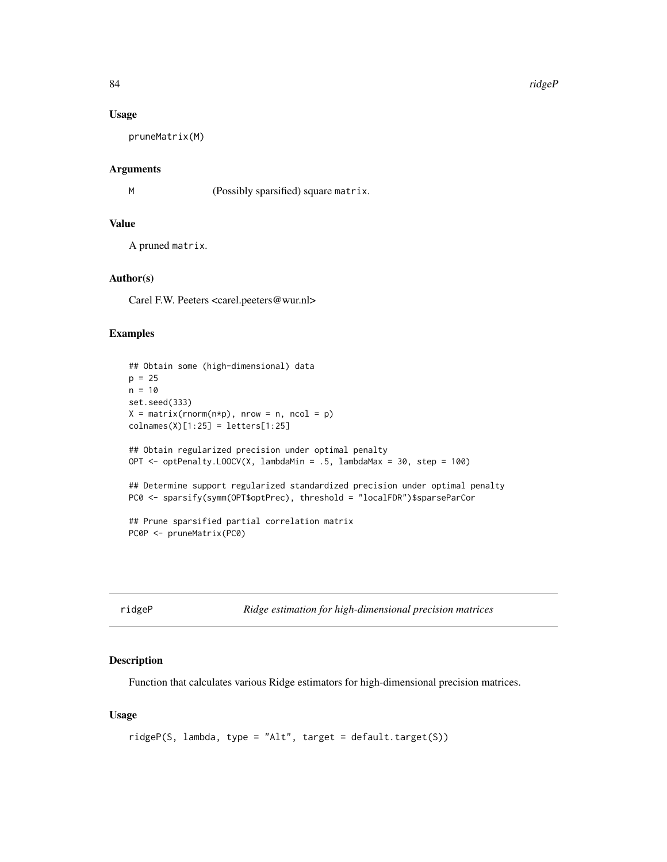84 ridgeP

#### Usage

pruneMatrix(M)

#### Arguments

M (Possibly sparsified) square matrix.

#### Value

A pruned matrix.

#### Author(s)

Carel F.W. Peeters <carel.peeters@wur.nl>

#### Examples

```
## Obtain some (high-dimensional) data
p = 25n = 10
set.seed(333)
X = matrix(rnorm(n*p), nrow = n, ncol = p)collnames(X)[1:25] = letters[1:25]## Obtain regularized precision under optimal penalty
OPT <- optPenalty.LOOCV(X, lambdaMin = .5, lambdaMax = 30, step = 100)
## Determine support regularized standardized precision under optimal penalty
PC0 <- sparsify(symm(OPT$optPrec), threshold = "localFDR")$sparseParCor
## Prune sparsified partial correlation matrix
PC0P <- pruneMatrix(PC0)
```
<span id="page-83-0"></span>

ridgeP *Ridge estimation for high-dimensional precision matrices*

#### Description

Function that calculates various Ridge estimators for high-dimensional precision matrices.

#### Usage

```
ridgeP(S, lambda, type = "Alt", target = default.target(S))
```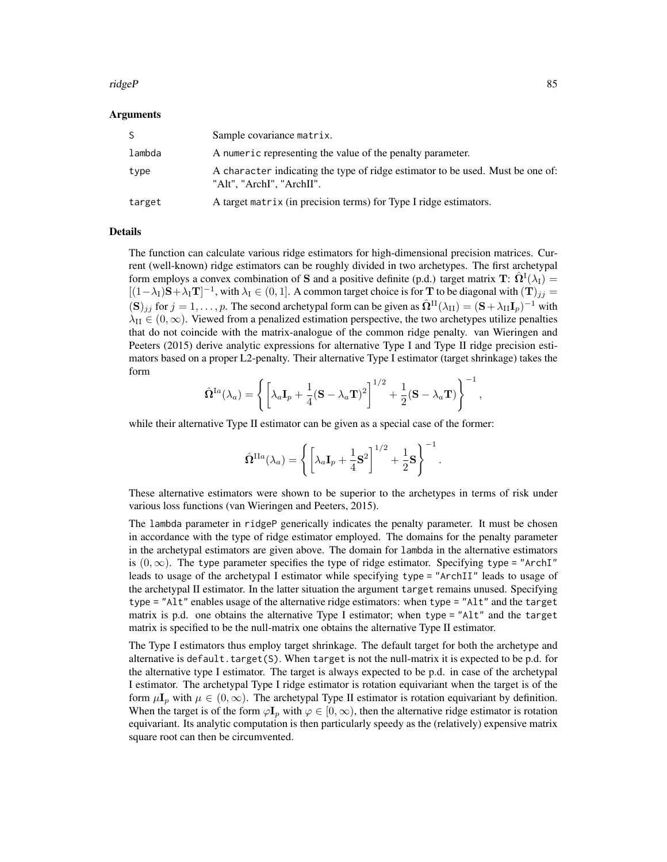#### ridgeP 85

#### Arguments

| S.     | Sample covariance matrix.                                                                                   |
|--------|-------------------------------------------------------------------------------------------------------------|
| lambda | A numeric representing the value of the penalty parameter.                                                  |
| type   | A character indicating the type of ridge estimator to be used. Must be one of:<br>"Alt", "ArchI", "ArchII". |
| target | A target matrix (in precision terms) for Type I ridge estimators.                                           |

#### Details

The function can calculate various ridge estimators for high-dimensional precision matrices. Current (well-known) ridge estimators can be roughly divided in two archetypes. The first archetypal form employs a convex combination of S and a positive definite (p.d.) target matrix  $\mathbf{T}$ :  $\hat{\mathbf{\Omega}}^{\text{I}}(\lambda_{\text{I}})$  =  $[(1-\lambda_I)\mathbf{S}+\lambda_I\mathbf{T}]^{-1}$ , with  $\lambda_I \in (0,1]$ . A common target choice is for T to be diagonal with  $(\mathbf{T})_{jj} =$  $(\mathbf{S})_{jj}$  for  $j = 1, \ldots, p$ . The second archetypal form can be given as  $\hat{\mathbf{\Omega}}^{II}(\lambda_{II}) = (\mathbf{S} + \lambda_{II} \mathbf{I}_p)^{-1}$  with  $\lambda_{II} \in (0,\infty)$ . Viewed from a penalized estimation perspective, the two archetypes utilize penalties that do not coincide with the matrix-analogue of the common ridge penalty. van Wieringen and Peeters (2015) derive analytic expressions for alternative Type I and Type II ridge precision estimators based on a proper L2-penalty. Their alternative Type I estimator (target shrinkage) takes the form

$$
\hat{\mathbf{\Omega}}^{Ia}(\lambda_a)=\left\{\left[\lambda_a\mathbf{I}_p+\frac{1}{4}(\mathbf{S}-\lambda_a\mathbf{T})^2\right]^{1/2}+\frac{1}{2}(\mathbf{S}-\lambda_a\mathbf{T})\right\}^{-1},
$$

while their alternative Type II estimator can be given as a special case of the former:

$$
\hat{\mathbf{\Omega}}^{\text{II}a}(\lambda_a)=\left\{\left[\lambda_a\mathbf{I}_p+\frac{1}{4}\mathbf{S}^2\right]^{1/2}+\frac{1}{2}\mathbf{S}\right\}^{-1}
$$

.

These alternative estimators were shown to be superior to the archetypes in terms of risk under various loss functions (van Wieringen and Peeters, 2015).

The lambda parameter in ridgeP generically indicates the penalty parameter. It must be chosen in accordance with the type of ridge estimator employed. The domains for the penalty parameter in the archetypal estimators are given above. The domain for lambda in the alternative estimators is  $(0, \infty)$ . The type parameter specifies the type of ridge estimator. Specifying type = "ArchI" leads to usage of the archetypal I estimator while specifying type = "ArchII" leads to usage of the archetypal II estimator. In the latter situation the argument target remains unused. Specifying type = "Alt" enables usage of the alternative ridge estimators: when type = "Alt" and the target matrix is p.d. one obtains the alternative Type I estimator; when type = "Alt" and the target matrix is specified to be the null-matrix one obtains the alternative Type II estimator.

The Type I estimators thus employ target shrinkage. The default target for both the archetype and alternative is default.target(S). When target is not the null-matrix it is expected to be p.d. for the alternative type I estimator. The target is always expected to be p.d. in case of the archetypal I estimator. The archetypal Type I ridge estimator is rotation equivariant when the target is of the form  $\mu I_p$  with  $\mu \in (0,\infty)$ . The archetypal Type II estimator is rotation equivariant by definition. When the target is of the form  $\varphi I_p$  with  $\varphi \in [0, \infty)$ , then the alternative ridge estimator is rotation equivariant. Its analytic computation is then particularly speedy as the (relatively) expensive matrix square root can then be circumvented.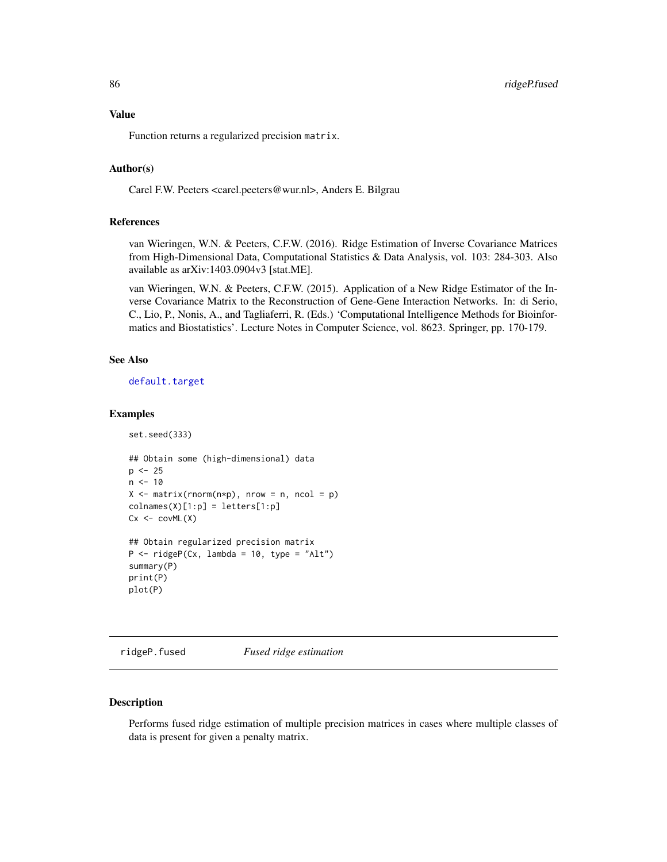#### <span id="page-85-0"></span>Value

Function returns a regularized precision matrix.

### Author(s)

Carel F.W. Peeters <carel.peeters@wur.nl>, Anders E. Bilgrau

# References

van Wieringen, W.N. & Peeters, C.F.W. (2016). Ridge Estimation of Inverse Covariance Matrices from High-Dimensional Data, Computational Statistics & Data Analysis, vol. 103: 284-303. Also available as arXiv:1403.0904v3 [stat.ME].

van Wieringen, W.N. & Peeters, C.F.W. (2015). Application of a New Ridge Estimator of the Inverse Covariance Matrix to the Reconstruction of Gene-Gene Interaction Networks. In: di Serio, C., Lio, P., Nonis, A., and Tagliaferri, R. (Eds.) 'Computational Intelligence Methods for Bioinformatics and Biostatistics'. Lecture Notes in Computer Science, vol. 8623. Springer, pp. 170-179.

# See Also

[default.target](#page-21-0)

#### Examples

set.seed(333)

```
## Obtain some (high-dimensional) data
p \le -25n < -10X \le - matrix(rnorm(n*p), nrow = n, ncol = p)
colnames(X)[1:p] = letters[1:p]Cx \leftarrow covML(X)## Obtain regularized precision matrix
P \le - ridgeP(Cx, lambda = 10, type = "Alt")
summary(P)
print(P)
plot(P)
```
ridgeP.fused *Fused ridge estimation*

#### Description

Performs fused ridge estimation of multiple precision matrices in cases where multiple classes of data is present for given a penalty matrix.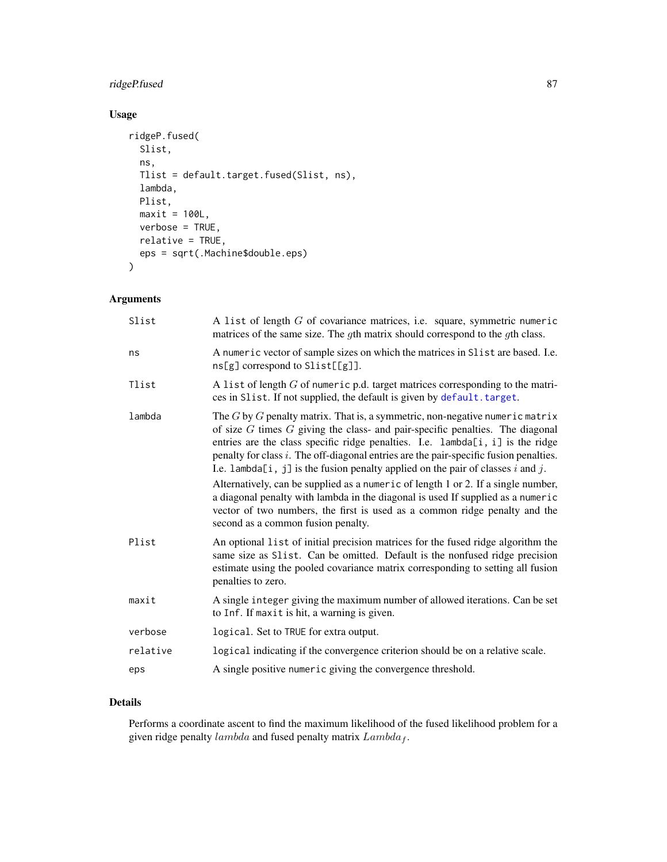# <span id="page-86-0"></span>ridgeP.fused 87

# Usage

```
ridgeP.fused(
  Slist,
  ns,
 Tlist = default.target.fused(Slist, ns),
 lambda,
 Plist,
 maxit = 100L,verbose = TRUE,
 relative = TRUE,
 eps = sqrt(.Machine$double.eps)
\mathcal{L}
```
# Arguments

| Slist    | A list of length $G$ of covariance matrices, i.e. square, symmetric numeric<br>matrices of the same size. The gth matrix should correspond to the gth class.                                                                                                                                                                                                                                                                           |
|----------|----------------------------------------------------------------------------------------------------------------------------------------------------------------------------------------------------------------------------------------------------------------------------------------------------------------------------------------------------------------------------------------------------------------------------------------|
| ns       | A numeric vector of sample sizes on which the matrices in Slist are based. I.e.<br>ns[g] correspond to Slist[[g]].                                                                                                                                                                                                                                                                                                                     |
| Tlist    | A list of length $G$ of numeric p.d. target matrices corresponding to the matri-<br>ces in Slist. If not supplied, the default is given by default. target.                                                                                                                                                                                                                                                                            |
| lambda   | The $G$ by $G$ penalty matrix. That is, a symmetric, non-negative numeric matrix<br>of size $G$ times $G$ giving the class- and pair-specific penalties. The diagonal<br>entries are the class specific ridge penalties. I.e. lambda[i, i] is the ridge<br>penalty for class $i$ . The off-diagonal entries are the pair-specific fusion penalties.<br>I.e. lambda[i, j] is the fusion penalty applied on the pair of classes i and j. |
|          | Alternatively, can be supplied as a numeric of length 1 or 2. If a single number,<br>a diagonal penalty with lambda in the diagonal is used If supplied as a numeric<br>vector of two numbers, the first is used as a common ridge penalty and the<br>second as a common fusion penalty.                                                                                                                                               |
| Plist    | An optional list of initial precision matrices for the fused ridge algorithm the<br>same size as Slist. Can be omitted. Default is the nonfused ridge precision<br>estimate using the pooled covariance matrix corresponding to setting all fusion<br>penalties to zero.                                                                                                                                                               |
| maxit    | A single integer giving the maximum number of allowed iterations. Can be set<br>to Inf. If maxit is hit, a warning is given.                                                                                                                                                                                                                                                                                                           |
| verbose  | logical. Set to TRUE for extra output.                                                                                                                                                                                                                                                                                                                                                                                                 |
| relative | logical indicating if the convergence criterion should be on a relative scale.                                                                                                                                                                                                                                                                                                                                                         |
| eps      | A single positive numeric giving the convergence threshold.                                                                                                                                                                                                                                                                                                                                                                            |

# Details

Performs a coordinate ascent to find the maximum likelihood of the fused likelihood problem for a given ridge penalty  $lambda$  and fused penalty matrix  $Lambda_f$ .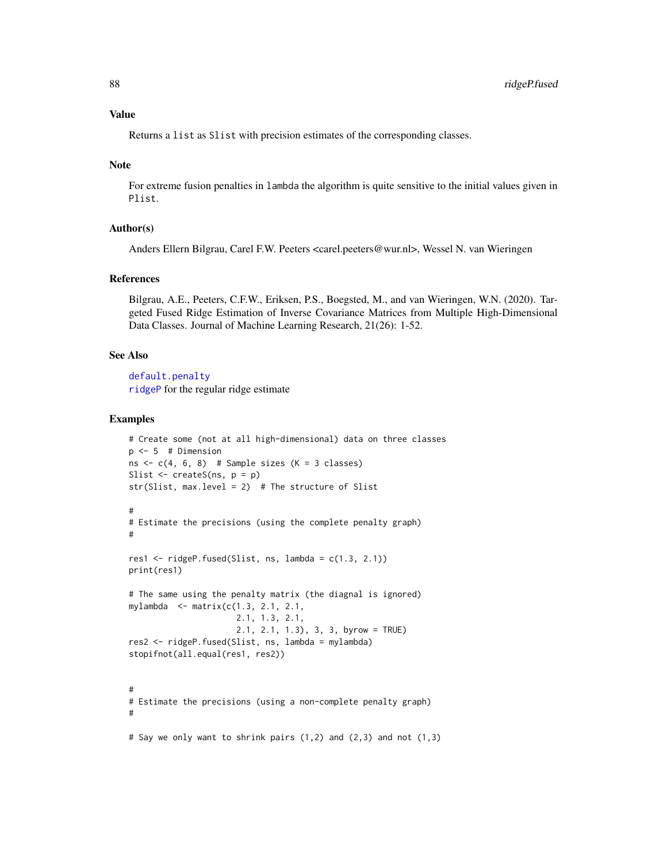# <span id="page-87-0"></span>Value

Returns a list as Slist with precision estimates of the corresponding classes.

#### Note

For extreme fusion penalties in lambda the algorithm is quite sensitive to the initial values given in Plist.

#### Author(s)

Anders Ellern Bilgrau, Carel F.W. Peeters <carel.peeters@wur.nl>, Wessel N. van Wieringen

#### References

Bilgrau, A.E., Peeters, C.F.W., Eriksen, P.S., Boegsted, M., and van Wieringen, W.N. (2020). Targeted Fused Ridge Estimation of Inverse Covariance Matrices from Multiple High-Dimensional Data Classes. Journal of Machine Learning Research, 21(26): 1-52.

#### See Also

[default.penalty](#page-19-0) [ridgeP](#page-83-0) for the regular ridge estimate

```
# Create some (not at all high-dimensional) data on three classes
p \le -5 # Dimension
ns \leq c(4, 6, 8) # Sample sizes (K = 3 classes)
Slist <- createS(ns, p = p)
str(Slist, max.level = 2) # The structure of Slist
#
# Estimate the precisions (using the complete penalty graph)
#
res1 <- ridgeP.fused(Slist, ns, lambda = c(1.3, 2.1))
print(res1)
# The same using the penalty matrix (the diagnal is ignored)
mylambda <- matrix(c(1.3, 2.1, 2.1,
                      2.1, 1.3, 2.1,
                      2.1, 2.1, 1.3), 3, 3, byrow = TRUE)
res2 <- ridgeP.fused(Slist, ns, lambda = mylambda)
stopifnot(all.equal(res1, res2))
#
# Estimate the precisions (using a non-complete penalty graph)
#
# Say we only want to shrink pairs (1,2) and (2,3) and not (1,3)
```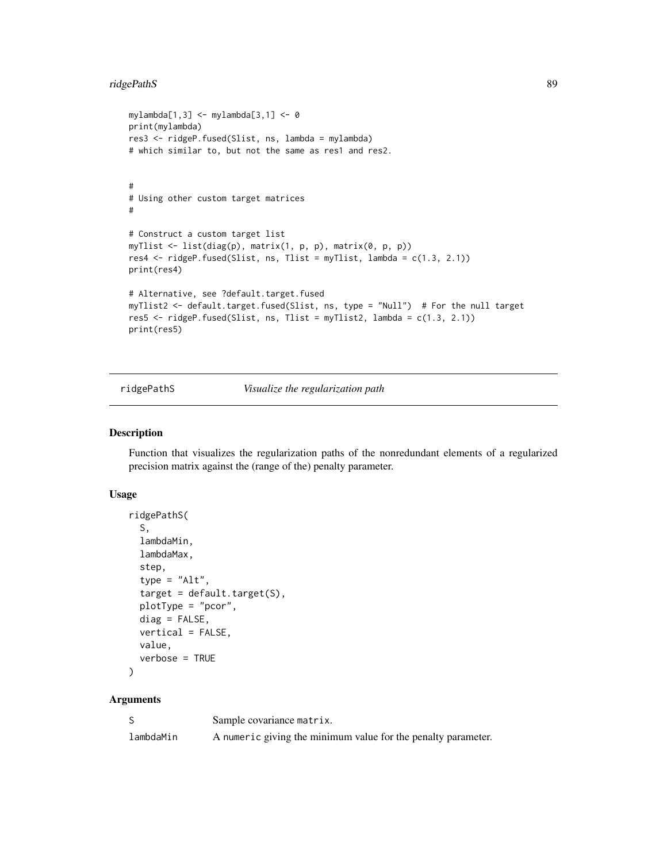# ridgePathS 89

```
mylambda[1,3] <- mylambda[3,1] <- 0
print(mylambda)
res3 <- ridgeP.fused(Slist, ns, lambda = mylambda)
# which similar to, but not the same as res1 and res2.
#
# Using other custom target matrices
#
# Construct a custom target list
myTlist <- list(diag(p), matrix(1, p, p), matrix(0, p, p))
res4 \le ridgeP.fused(Slist, ns, Tlist = myTlist, lambda = c(1.3, 2.1))
print(res4)
# Alternative, see ?default.target.fused
myTlist2 <- default.target.fused(Slist, ns, type = "Null") # For the null target
res5 <- ridgeP.fused(Slist, ns, Tlist = myTlist2, lambda = c(1.3, 2.1))
print(res5)
```
ridgePathS *Visualize the regularization path*

# Description

Function that visualizes the regularization paths of the nonredundant elements of a regularized precision matrix against the (range of the) penalty parameter.

#### Usage

```
ridgePathS(
  S,
  lambdaMin,
  lambdaMax,
  step,
  type = "Alt",
  target = default.taget(S),
 plotType = "pcor",
 diag = FALSE,vertical = FALSE,value,
  verbose = TRUE
```

```
)
```
# Arguments

|           | Sample covariance matrix.                                     |
|-----------|---------------------------------------------------------------|
| lambdaMin | A numeric giving the minimum value for the penalty parameter. |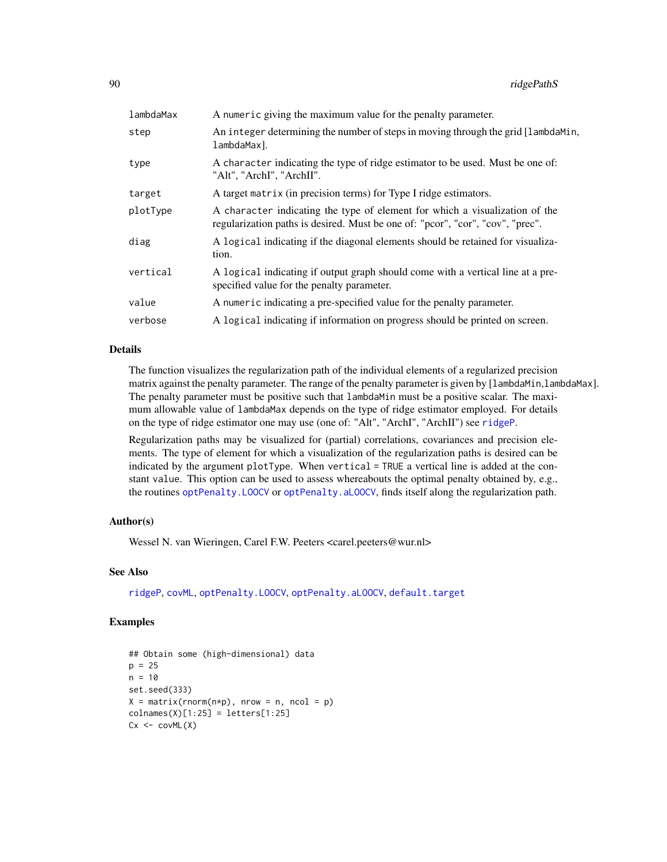<span id="page-89-0"></span>

| lambdaMax | A numeric giving the maximum value for the penalty parameter.                                                                                                 |
|-----------|---------------------------------------------------------------------------------------------------------------------------------------------------------------|
| step      | An integer determining the number of steps in moving through the grid [lambdaMin,<br>lambdaMax].                                                              |
| type      | A character indicating the type of ridge estimator to be used. Must be one of:<br>"Alt", "ArchI", "ArchII".                                                   |
| target    | A target matrix (in precision terms) for Type I ridge estimators.                                                                                             |
| plotType  | A character indicating the type of element for which a visualization of the<br>regularization paths is desired. Must be one of: "pcor", "cor", "cov", "prec". |
| diag      | A logical indicating if the diagonal elements should be retained for visualiza-<br>tion.                                                                      |
| vertical  | A logical indicating if output graph should come with a vertical line at a pre-<br>specified value for the penalty parameter.                                 |
| value     | A numeric indicating a pre-specified value for the penalty parameter.                                                                                         |
| verbose   | A logical indicating if information on progress should be printed on screen.                                                                                  |

#### Details

The function visualizes the regularization path of the individual elements of a regularized precision matrix against the penalty parameter. The range of the penalty parameter is given by [lambdaMin,lambdaMax]. The penalty parameter must be positive such that lambdaMin must be a positive scalar. The maximum allowable value of lambdaMax depends on the type of ridge estimator employed. For details on the type of ridge estimator one may use (one of: "Alt", "ArchI", "ArchII") see [ridgeP](#page-83-0).

Regularization paths may be visualized for (partial) correlations, covariances and precision elements. The type of element for which a visualization of the regularization paths is desired can be indicated by the argument plotType. When vertical = TRUE a vertical line is added at the constant value. This option can be used to assess whereabouts the optimal penalty obtained by, e.g., the routines [optPenalty.LOOCV](#page-71-0) or [optPenalty.aLOOCV](#page-59-0), finds itself along the regularization path.

#### Author(s)

Wessel N. van Wieringen, Carel F.W. Peeters <carel.peeters@wur.nl>

# See Also

[ridgeP](#page-83-0), [covML](#page-14-0), [optPenalty.LOOCV](#page-71-0), [optPenalty.aLOOCV](#page-59-0), [default.target](#page-21-0)

```
## Obtain some (high-dimensional) data
p = 25n = 10set.seed(333)
X = matrix(rnorm(n*p), nrow = n, ncol = p)collnames(X)[1:25] = letters[1:25]Cx < -covML(X)
```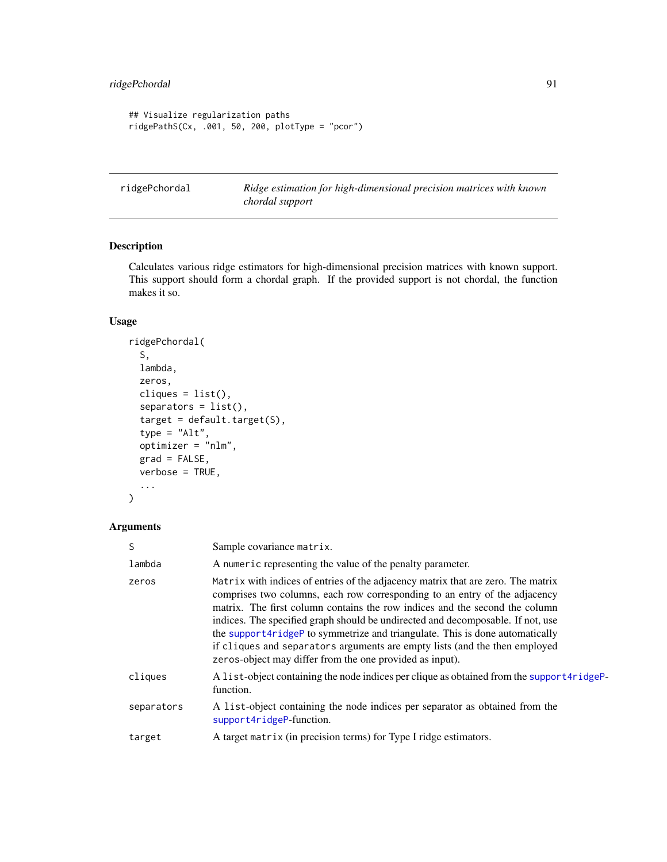```
## Visualize regularization paths
ridgePathS(Cx, .001, 50, 200, plotType = "pcor")
```
<span id="page-90-0"></span>ridgePchordal *Ridge estimation for high-dimensional precision matrices with known chordal support*

# Description

Calculates various ridge estimators for high-dimensional precision matrices with known support. This support should form a chordal graph. If the provided support is not chordal, the function makes it so.

#### Usage

```
ridgePchordal(
  S,
  lambda,
  zeros,
  cliques = list(),
  separators = list(),
  target = default.target(S),
  type = "Alt",
  optimizer = "nlm",
  grad = FALSE,
  verbose = TRUE,
  ...
\mathcal{L}
```
# Arguments

| S          | Sample covariance matrix.                                                                                                                                                                                                                                                                                                                                                                                                                                                                                                                                  |
|------------|------------------------------------------------------------------------------------------------------------------------------------------------------------------------------------------------------------------------------------------------------------------------------------------------------------------------------------------------------------------------------------------------------------------------------------------------------------------------------------------------------------------------------------------------------------|
| lambda     | A numeric representing the value of the penalty parameter.                                                                                                                                                                                                                                                                                                                                                                                                                                                                                                 |
| zeros      | Matrix with indices of entries of the adjacency matrix that are zero. The matrix<br>comprises two columns, each row corresponding to an entry of the adjacency<br>matrix. The first column contains the row indices and the second the column<br>indices. The specified graph should be undirected and decomposable. If not, use<br>the support4ridgeP to symmetrize and triangulate. This is done automatically<br>if cliques and separators arguments are empty lists (and the then employed<br>zeros-object may differ from the one provided as input). |
| cliques    | A list-object containing the node indices per clique as obtained from the support4ridgeP-<br>function.                                                                                                                                                                                                                                                                                                                                                                                                                                                     |
| separators | A list-object containing the node indices per separator as obtained from the<br>support4ridgeP-function.                                                                                                                                                                                                                                                                                                                                                                                                                                                   |
| target     | A target matrix (in precision terms) for Type I ridge estimators.                                                                                                                                                                                                                                                                                                                                                                                                                                                                                          |
|            |                                                                                                                                                                                                                                                                                                                                                                                                                                                                                                                                                            |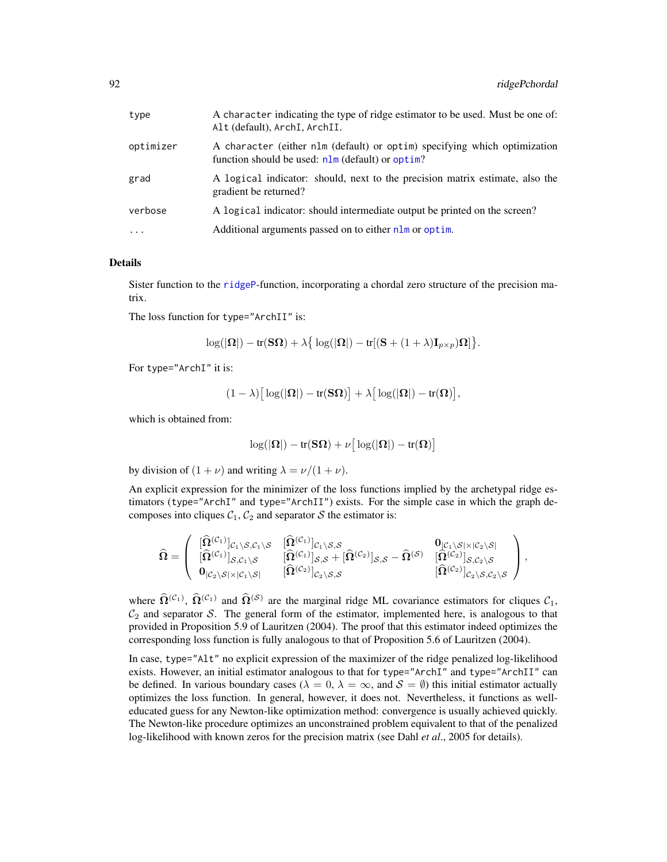<span id="page-91-0"></span>

| type      | A character indicating the type of ridge estimator to be used. Must be one of:<br>Alt (default), ArchI, ArchII.                 |
|-----------|---------------------------------------------------------------------------------------------------------------------------------|
| optimizer | A character (either nlm (default) or optim) specifying which optimization<br>function should be used: $nlm$ (default) or optim? |
| grad      | A logical indicator: should, next to the precision matrix estimate, also the<br>gradient be returned?                           |
| verbose   | A logical indicator: should intermediate output be printed on the screen?                                                       |
| $\cdots$  | Additional arguments passed on to either nlm or optim.                                                                          |

#### Details

Sister function to the [ridgeP](#page-83-0)-function, incorporating a chordal zero structure of the precision matrix.

The loss function for type="ArchII" is:

$$
\log(|\mathbf{\Omega}|) - \text{tr}(\mathbf{S}\mathbf{\Omega}) + \lambda \big\{ \log(|\mathbf{\Omega}|) - \text{tr}[(\mathbf{S} + (1 + \lambda)\mathbf{I}_{p \times p})\mathbf{\Omega}] \big\}.
$$

For type="ArchI" it is:

$$
(1 - \lambda) \big[ \log(|\mathbf{\Omega}|) - tr(\mathbf{S}\mathbf{\Omega}) \big] + \lambda \big[ \log(|\mathbf{\Omega}|) - tr(\mathbf{\Omega}) \big],
$$

which is obtained from:

$$
\log(|\Omega|) - \text{tr}(\mathbf{S}\Omega) + \nu \big[\log(|\Omega|) - \text{tr}(\Omega)\big]
$$

by division of  $(1 + \nu)$  and writing  $\lambda = \nu/(1 + \nu)$ .

An explicit expression for the minimizer of the loss functions implied by the archetypal ridge estimators (type="ArchI" and type="ArchII") exists. For the simple case in which the graph decomposes into cliques  $C_1$ ,  $C_2$  and separator S the estimator is:

$$
\widehat{\Omega} = \left( \begin{array}{cc} [\widehat{\Omega}^{(\mathcal{C}_1)}]_{\mathcal{C}_1 \backslash \mathcal{S}, \mathcal{C}_1 \backslash \mathcal{S}} & [\widehat{\Omega}^{(\mathcal{C}_1)}]_{\mathcal{C}_1 \backslash \mathcal{S}, \mathcal{S}} \\ [\widehat{\Omega}^{(\mathcal{C}_1)}]_{\mathcal{S}, \mathcal{C}_1 \backslash \mathcal{S}} & [\widehat{\Omega}^{(\mathcal{C}_1)}]_{\mathcal{S}, \mathcal{S}} + [\widehat{\Omega}^{(\mathcal{C}_2)}]_{\mathcal{S}, \mathcal{S}} - \widehat{\Omega}^{(\mathcal{S})} & [\widehat{\Omega}^{(\mathcal{C}_2)}]_{\mathcal{S}, \mathcal{C}_2 \backslash \mathcal{S}} \\ 0_{|\mathcal{C}_2 \backslash \mathcal{S} | \times |\mathcal{C}_1 \backslash \mathcal{S}|} & [\widehat{\Omega}^{(\mathcal{C}_2)}]_{\mathcal{C}_2 \backslash \mathcal{S}, \mathcal{S}} & [\widehat{\Omega}^{(\mathcal{C}_2)}]_{\mathcal{C}_2 \backslash \mathcal{S}, \mathcal{C}_2 \backslash \mathcal{S}} \end{array} \right),
$$

where  $\hat{\Omega}^{(\mathcal{C}_1)}$ ,  $\hat{\Omega}^{(\mathcal{C}_1)}$  and  $\hat{\Omega}^{(\mathcal{S})}$  are the marginal ridge ML covariance estimators for cliques  $\mathcal{C}_1$ ,  $C_2$  and separator S. The general form of the estimator, implemented here, is analogous to that provided in Proposition 5.9 of Lauritzen (2004). The proof that this estimator indeed optimizes the corresponding loss function is fully analogous to that of Proposition 5.6 of Lauritzen (2004).

In case, type="Alt" no explicit expression of the maximizer of the ridge penalized log-likelihood exists. However, an initial estimator analogous to that for type="ArchI" and type="ArchII" can be defined. In various boundary cases ( $\lambda = 0$ ,  $\lambda = \infty$ , and  $\mathcal{S} = \emptyset$ ) this initial estimator actually optimizes the loss function. In general, however, it does not. Nevertheless, it functions as welleducated guess for any Newton-like optimization method: convergence is usually achieved quickly. The Newton-like procedure optimizes an unconstrained problem equivalent to that of the penalized log-likelihood with known zeros for the precision matrix (see Dahl *et al*., 2005 for details).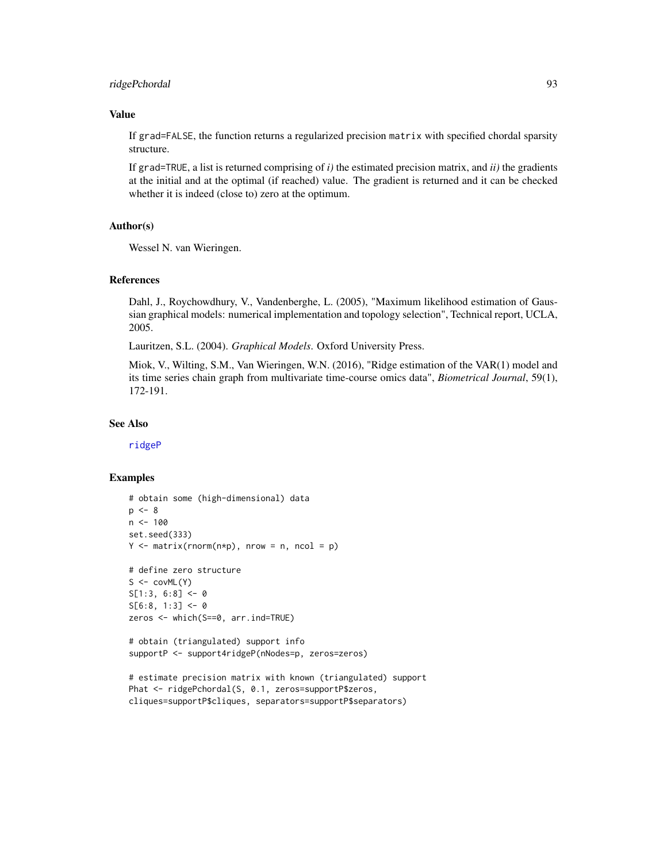# ridgePchordal 93

#### Value

If grad=FALSE, the function returns a regularized precision matrix with specified chordal sparsity structure.

If grad=TRUE, a list is returned comprising of *i)* the estimated precision matrix, and *ii)* the gradients at the initial and at the optimal (if reached) value. The gradient is returned and it can be checked whether it is indeed (close to) zero at the optimum.

#### Author(s)

Wessel N. van Wieringen.

#### References

Dahl, J., Roychowdhury, V., Vandenberghe, L. (2005), "Maximum likelihood estimation of Gaussian graphical models: numerical implementation and topology selection", Technical report, UCLA, 2005.

Lauritzen, S.L. (2004). *Graphical Models*. Oxford University Press.

Miok, V., Wilting, S.M., Van Wieringen, W.N. (2016), "Ridge estimation of the VAR(1) model and its time series chain graph from multivariate time-course omics data", *Biometrical Journal*, 59(1), 172-191.

#### See Also

[ridgeP](#page-83-0)

```
# obtain some (high-dimensional) data
p \le -8n < -100set.seed(333)
Y \le - matrix(rnorm(n \star p), nrow = n, ncol = p)
# define zero structure
S \leftarrow \text{covML}(Y)S[1:3, 6:8] <- 0
S[6:8, 1:3] < -0zeros <- which(S==0, arr.ind=TRUE)
# obtain (triangulated) support info
supportP <- support4ridgeP(nNodes=p, zeros=zeros)
```

```
# estimate precision matrix with known (triangulated) support
Phat <- ridgePchordal(S, 0.1, zeros=supportP$zeros,
cliques=supportP$cliques, separators=supportP$separators)
```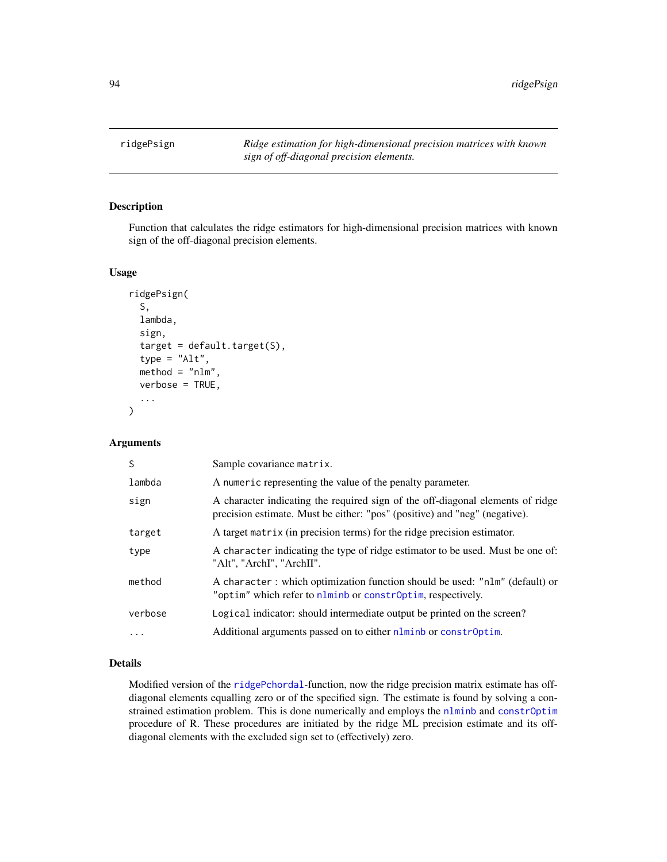<span id="page-93-0"></span>

#### Description

Function that calculates the ridge estimators for high-dimensional precision matrices with known sign of the off-diagonal precision elements.

#### Usage

```
ridgePsign(
  S,
 lambda,
  sign,
  target = default.target(S),
  type = "Alt",method = "nlm",verbose = TRUE,
  ...
)
```
# Arguments

| S       | Sample covariance matrix.                                                                                                                                    |
|---------|--------------------------------------------------------------------------------------------------------------------------------------------------------------|
| lambda  | A numeric representing the value of the penalty parameter.                                                                                                   |
| sign    | A character indicating the required sign of the off-diagonal elements of ridge<br>precision estimate. Must be either: "pos" (positive) and "neg" (negative). |
| target  | A target matrix (in precision terms) for the ridge precision estimator.                                                                                      |
| type    | A character indicating the type of ridge estimator to be used. Must be one of:<br>"Alt", "ArchI", "ArchII".                                                  |
| method  | A character: which optimization function should be used: "n1m" (default) or<br>"optim" which refer to nlminb or constrOptim, respectively.                   |
| verbose | Logical indicator: should intermediate output be printed on the screen?                                                                                      |
| $\cdot$ | Additional arguments passed on to either nlminb or constrOptim.                                                                                              |

# Details

Modified version of the [ridgePchordal](#page-90-0)-function, now the ridge precision matrix estimate has offdiagonal elements equalling zero or of the specified sign. The estimate is found by solving a constrained estimation problem. This is done numerically and employs the [nlminb](#page-0-0) and [constrOptim](#page-0-0) procedure of R. These procedures are initiated by the ridge ML precision estimate and its offdiagonal elements with the excluded sign set to (effectively) zero.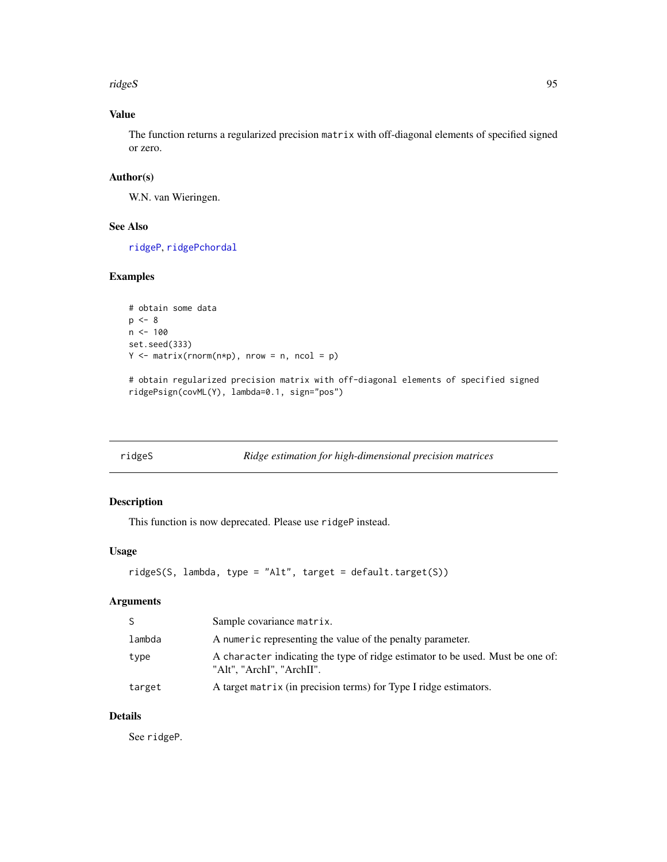ridgeS 95

# Value

The function returns a regularized precision matrix with off-diagonal elements of specified signed or zero.

# Author(s)

W.N. van Wieringen.

# See Also

[ridgeP](#page-83-0), [ridgePchordal](#page-90-0)

# Examples

```
# obtain some data
p \le -8n < - 100set.seed(333)
Y \le - matrix(rnorm(n*p), nrow = n, ncol = p)
# obtain regularized precision matrix with off-diagonal elements of specified signed
ridgePsign(covML(Y), lambda=0.1, sign="pos")
```
ridgeS *Ridge estimation for high-dimensional precision matrices*

# Description

This function is now deprecated. Please use ridgeP instead.

#### Usage

```
ridgeS(S, lambda, type = "Alt", target = default.target(S))
```
# Arguments

| <sub>S</sub> | Sample covariance matrix.                                                                                   |
|--------------|-------------------------------------------------------------------------------------------------------------|
| lambda       | A numeric representing the value of the penalty parameter.                                                  |
| type         | A character indicating the type of ridge estimator to be used. Must be one of:<br>"Alt". "ArchI". "ArchII". |
| target       | A target matrix (in precision terms) for Type I ridge estimators.                                           |

# Details

See ridgeP.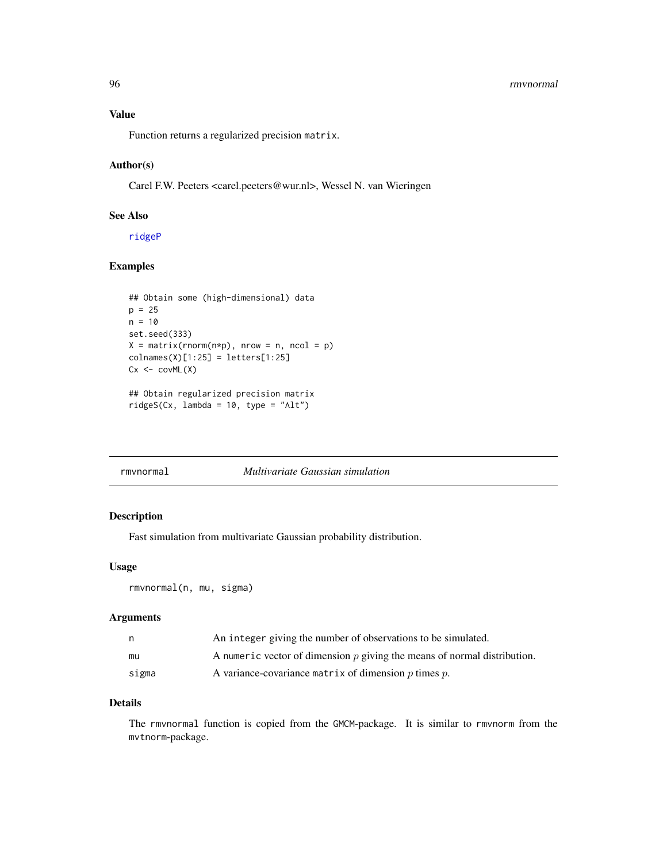#### 96 rmvnormal

# Value

Function returns a regularized precision matrix.

# Author(s)

Carel F.W. Peeters <carel.peeters@wur.nl>, Wessel N. van Wieringen

# See Also

[ridgeP](#page-83-0)

# Examples

```
## Obtain some (high-dimensional) data
p = 25n = 10set.seed(333)
X = matrix(rnorm(n*p), nrow = n, ncol = p)colnames(X)[1:25] = letters[1:25]Cx < -covML(X)## Obtain regularized precision matrix
ridgeS(Cx, lambda = 10, type = "Alt")
```

| rmynormal | Multivariate Gaussian simulation |  |
|-----------|----------------------------------|--|

# Description

Fast simulation from multivariate Gaussian probability distribution.

#### Usage

```
rmvnormal(n, mu, sigma)
```
#### Arguments

| n     | An integer giving the number of observations to be simulated.              |
|-------|----------------------------------------------------------------------------|
| mu    | A numeric vector of dimension $p$ giving the means of normal distribution. |
| sigma | A variance-covariance matrix of dimension $p$ times $p$ .                  |

### Details

The rmvnormal function is copied from the GMCM-package. It is similar to rmvnorm from the mvtnorm-package.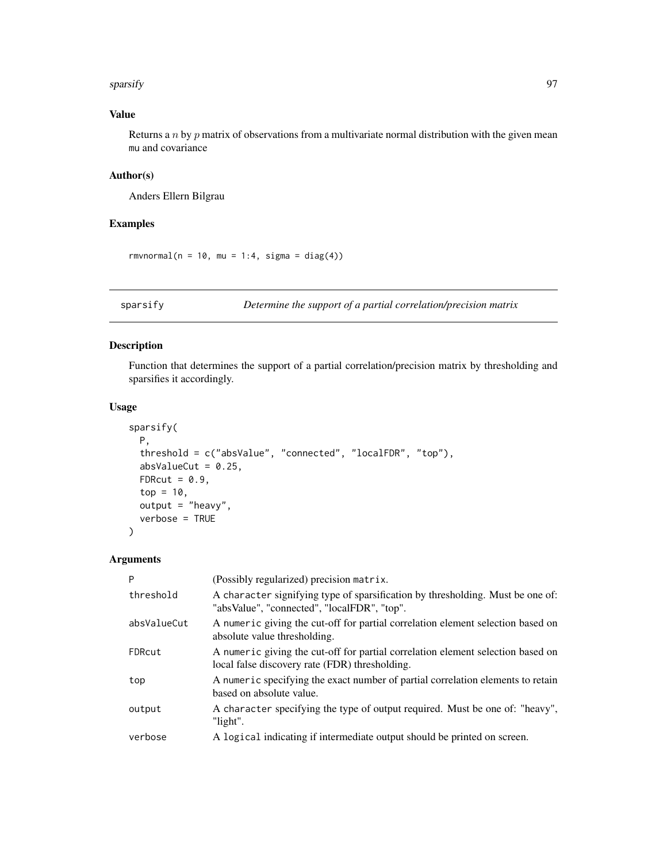#### sparsify 97

# Value

Returns a  $n$  by  $p$  matrix of observations from a multivariate normal distribution with the given mean mu and covariance

# Author(s)

Anders Ellern Bilgrau

#### Examples

rmvnormal( $n = 10$ , mu = 1:4, sigma = diag(4))

<span id="page-96-0"></span>sparsify *Determine the support of a partial correlation/precision matrix*

# Description

Function that determines the support of a partial correlation/precision matrix by thresholding and sparsifies it accordingly.

#### Usage

```
sparsify(
 P,
  threshold = c("absValue", "connected", "localFDR", "top"),
  absValueCut = 0.25,
 FDRcut = 0.9,
  top = 10,
 output = "heavy",
  verbose = TRUE
)
```
#### Arguments

| P           | (Possibly regularized) precision matrix.                                                                                          |
|-------------|-----------------------------------------------------------------------------------------------------------------------------------|
| threshold   | A character signifying type of sparsification by thresholding. Must be one of:<br>"absValue", "connected", "localFDR", "top".     |
| absValueCut | A numeric giving the cut-off for partial correlation element selection based on<br>absolute value thresholding.                   |
| FDRcut      | A numeric giving the cut-off for partial correlation element selection based on<br>local false discovery rate (FDR) thresholding. |
| top         | A numeric specifying the exact number of partial correlation elements to retain<br>based on absolute value.                       |
| output      | A character specifying the type of output required. Must be one of: "heavy",<br>"light".                                          |
| verbose     | A logical indicating if intermediate output should be printed on screen.                                                          |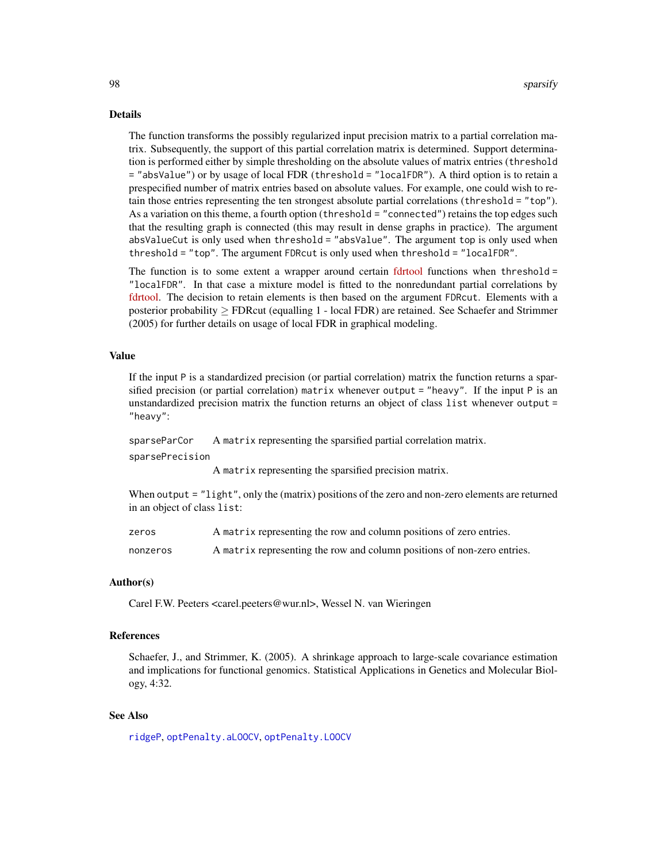#### <span id="page-97-0"></span>Details

The function transforms the possibly regularized input precision matrix to a partial correlation matrix. Subsequently, the support of this partial correlation matrix is determined. Support determination is performed either by simple thresholding on the absolute values of matrix entries (threshold = "absValue") or by usage of local FDR (threshold = "localFDR"). A third option is to retain a prespecified number of matrix entries based on absolute values. For example, one could wish to retain those entries representing the ten strongest absolute partial correlations (threshold = "top"). As a variation on this theme, a fourth option (threshold = "connected") retains the top edges such that the resulting graph is connected (this may result in dense graphs in practice). The argument absValueCut is only used when threshold = "absValue". The argument top is only used when threshold = "top". The argument FDRcut is only used when threshold = "localFDR".

The function is to some extent a wrapper around certain [fdrtool](https://cran.r-project.org/package=fdrtool) functions when threshold = "localFDR". In that case a mixture model is fitted to the nonredundant partial correlations by [fdrtool.](https://cran.r-project.org/package=fdrtool) The decision to retain elements is then based on the argument FDRcut. Elements with a posterior probability ≥ FDRcut (equalling 1 - local FDR) are retained. See Schaefer and Strimmer (2005) for further details on usage of local FDR in graphical modeling.

#### Value

If the input P is a standardized precision (or partial correlation) matrix the function returns a sparsified precision (or partial correlation) matrix whenever output = "heavy". If the input P is an unstandardized precision matrix the function returns an object of class list whenever output = "heavy":

sparseParCor A matrix representing the sparsified partial correlation matrix. sparsePrecision

A matrix representing the sparsified precision matrix.

When output = "light", only the (matrix) positions of the zero and non-zero elements are returned in an object of class list:

| zeros    | A matrix representing the row and column positions of zero entries.     |
|----------|-------------------------------------------------------------------------|
| nonzeros | A matrix representing the row and column positions of non-zero entries. |

#### Author(s)

Carel F.W. Peeters <carel.peeters@wur.nl>, Wessel N. van Wieringen

#### References

Schaefer, J., and Strimmer, K. (2005). A shrinkage approach to large-scale covariance estimation and implications for functional genomics. Statistical Applications in Genetics and Molecular Biology, 4:32.

#### See Also

[ridgeP](#page-83-0), [optPenalty.aLOOCV](#page-59-0), [optPenalty.LOOCV](#page-71-0)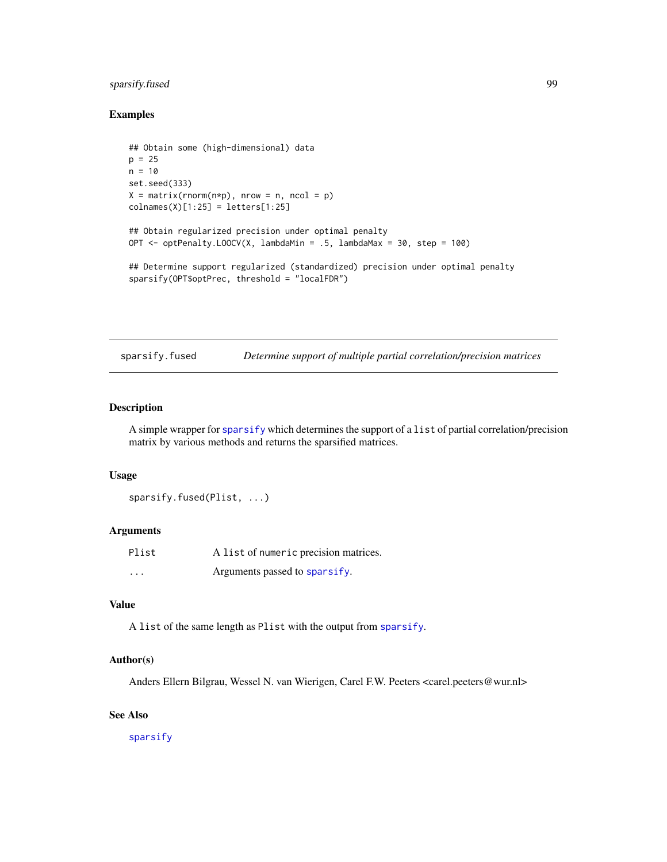# sparsify.fused 99

#### Examples

```
## Obtain some (high-dimensional) data
p = 25n = 10set.seed(333)
X = matrix(rnorm(n*p), nrow = n, ncol = p)collnames(X)[1:25] = letters[1:25]## Obtain regularized precision under optimal penalty
OPT <- optPenalty.LOOCV(X, lambdaMin = .5, lambdaMax = 30, step = 100)
## Determine support regularized (standardized) precision under optimal penalty
sparsify(OPT$optPrec, threshold = "localFDR")
```
sparsify.fused *Determine support of multiple partial correlation/precision matrices*

# Description

A simple wrapper for [sparsify](#page-96-0) which determines the support of a list of partial correlation/precision matrix by various methods and returns the sparsified matrices.

#### Usage

```
sparsify.fused(Plist, ...)
```
#### Arguments

| Plist    | A list of numeric precision matrices. |
|----------|---------------------------------------|
| $\cdots$ | Arguments passed to sparsify.         |

# Value

A list of the same length as Plist with the output from [sparsify](#page-96-0).

#### Author(s)

Anders Ellern Bilgrau, Wessel N. van Wierigen, Carel F.W. Peeters <carel.peeters@wur.nl>

# See Also

[sparsify](#page-96-0)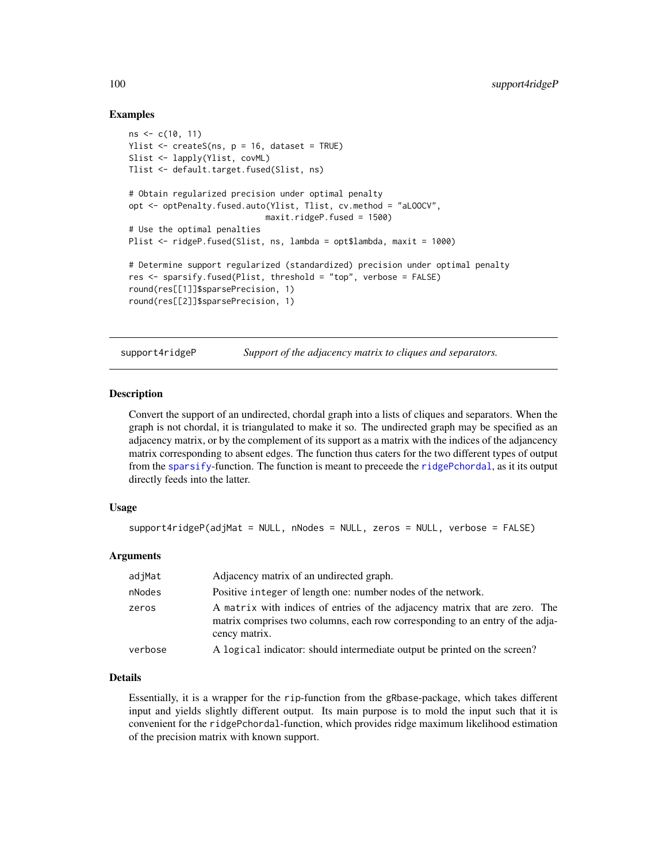#### Examples

```
ns <- c(10, 11)
Ylist \leq createS(ns, p = 16, dataset = TRUE)
Slist <- lapply(Ylist, covML)
Tlist <- default.target.fused(Slist, ns)
# Obtain regularized precision under optimal penalty
opt <- optPenalty.fused.auto(Ylist, Tlist, cv.method = "aLOOCV",
                            maxit.ridgeP.fused = 1500)
# Use the optimal penalties
Plist <- ridgeP.fused(Slist, ns, lambda = opt$lambda, maxit = 1000)
# Determine support regularized (standardized) precision under optimal penalty
res <- sparsify.fused(Plist, threshold = "top", verbose = FALSE)
round(res[[1]]$sparsePrecision, 1)
round(res[[2]]$sparsePrecision, 1)
```
support4ridgeP *Support of the adjacency matrix to cliques and separators.*

#### Description

Convert the support of an undirected, chordal graph into a lists of cliques and separators. When the graph is not chordal, it is triangulated to make it so. The undirected graph may be specified as an adjacency matrix, or by the complement of its support as a matrix with the indices of the adjancency matrix corresponding to absent edges. The function thus caters for the two different types of output from the [sparsify](#page-96-0)-function. The function is meant to preceede the [ridgePchordal](#page-90-0), as it its output directly feeds into the latter.

#### Usage

```
support4ridgeP(adjMat = NULL, nNodes = NULL, zeros = NULL, verbose = FALSE)
```
# Arguments

| adjMat  | Adjacency matrix of an undirected graph.                                                                                                                                      |
|---------|-------------------------------------------------------------------------------------------------------------------------------------------------------------------------------|
| nNodes  | Positive integer of length one: number nodes of the network.                                                                                                                  |
| zeros   | A matrix with indices of entries of the adjacency matrix that are zero. The<br>matrix comprises two columns, each row corresponding to an entry of the adja-<br>cency matrix. |
| verbose | A logical indicator: should intermediate output be printed on the screen?                                                                                                     |
|         |                                                                                                                                                                               |

### Details

Essentially, it is a wrapper for the rip-function from the gRbase-package, which takes different input and yields slightly different output. Its main purpose is to mold the input such that it is convenient for the ridgePchordal-function, which provides ridge maximum likelihood estimation of the precision matrix with known support.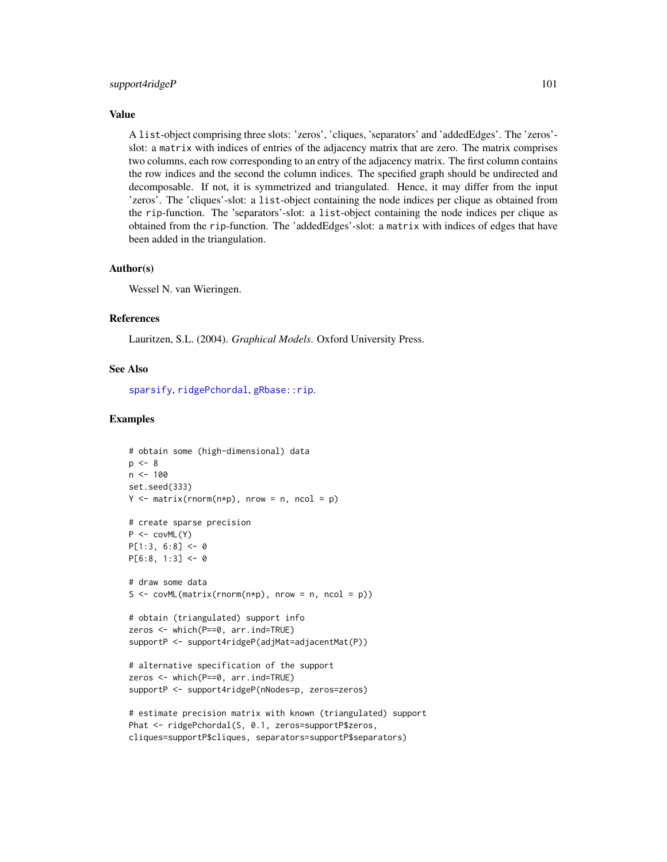#### <span id="page-100-0"></span>support4ridgeP 101

#### Value

A list-object comprising three slots: 'zeros', 'cliques, 'separators' and 'addedEdges'. The 'zeros' slot: a matrix with indices of entries of the adjacency matrix that are zero. The matrix comprises two columns, each row corresponding to an entry of the adjacency matrix. The first column contains the row indices and the second the column indices. The specified graph should be undirected and decomposable. If not, it is symmetrized and triangulated. Hence, it may differ from the input 'zeros'. The 'cliques'-slot: a list-object containing the node indices per clique as obtained from the rip-function. The 'separators'-slot: a list-object containing the node indices per clique as obtained from the rip-function. The 'addedEdges'-slot: a matrix with indices of edges that have been added in the triangulation.

#### Author(s)

Wessel N. van Wieringen.

#### References

Lauritzen, S.L. (2004). *Graphical Models*. Oxford University Press.

#### See Also

[sparsify](#page-96-0), [ridgePchordal](#page-90-0), gRbase:: rip.

```
# obtain some (high-dimensional) data
p \le -8n < -100set.seed(333)
Y \le - matrix(rnorm(n \times p), nrow = n, ncol = p)
# create sparse precision
P \leftarrow \text{covML}(Y)P[1:3, 6:8] <- 0
P[6:8, 1:3] < -0# draw some data
S \leq covML(matrix(rnorm(n*p), nrow = n, ncol = p))
# obtain (triangulated) support info
zeros <- which(P==0, arr.ind=TRUE)
supportP <- support4ridgeP(adjMat=adjacentMat(P))
# alternative specification of the support
zeros <- which(P==0, arr.ind=TRUE)
supportP <- support4ridgeP(nNodes=p, zeros=zeros)
# estimate precision matrix with known (triangulated) support
Phat <- ridgePchordal(S, 0.1, zeros=supportP$zeros,
```

```
cliques=supportP$cliques, separators=supportP$separators)
```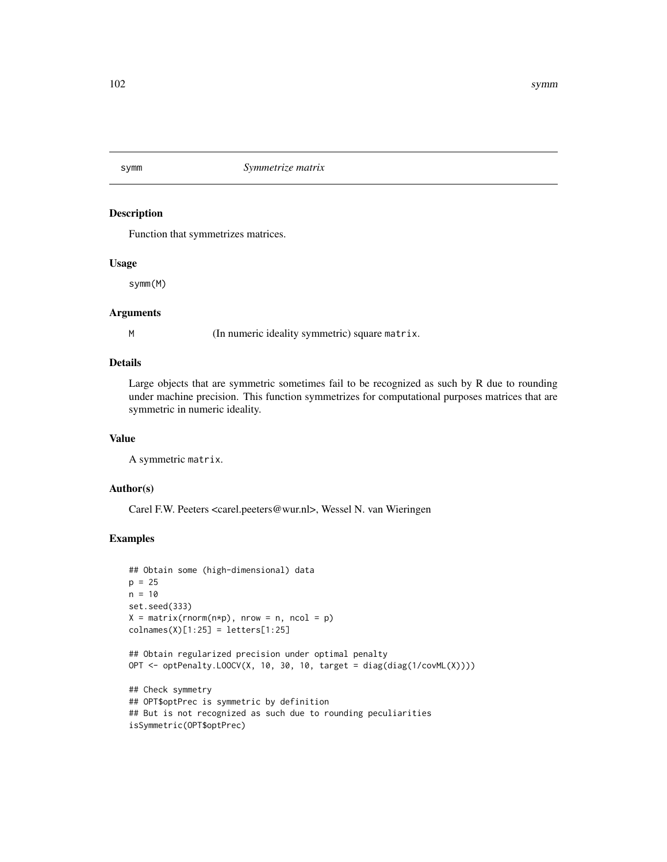#### Description

Function that symmetrizes matrices.

# Usage

symm(M)

#### **Arguments**

M (In numeric ideality symmetric) square matrix.

# Details

Large objects that are symmetric sometimes fail to be recognized as such by R due to rounding under machine precision. This function symmetrizes for computational purposes matrices that are symmetric in numeric ideality.

#### Value

A symmetric matrix.

### Author(s)

Carel F.W. Peeters <carel.peeters@wur.nl>, Wessel N. van Wieringen

```
## Obtain some (high-dimensional) data
p = 25n = 10set.seed(333)
X = matrix(rnorm(n*p), nrow = n, ncol = p)collnames(X)[1:25] = letters[1:25]## Obtain regularized precision under optimal penalty
OPT \leq optPenalty.LOOCV(X, 10, 30, 10, target = diag(diag(1/covML(X))))
## Check symmetry
## OPT$optPrec is symmetric by definition
## But is not recognized as such due to rounding peculiarities
isSymmetric(OPT$optPrec)
```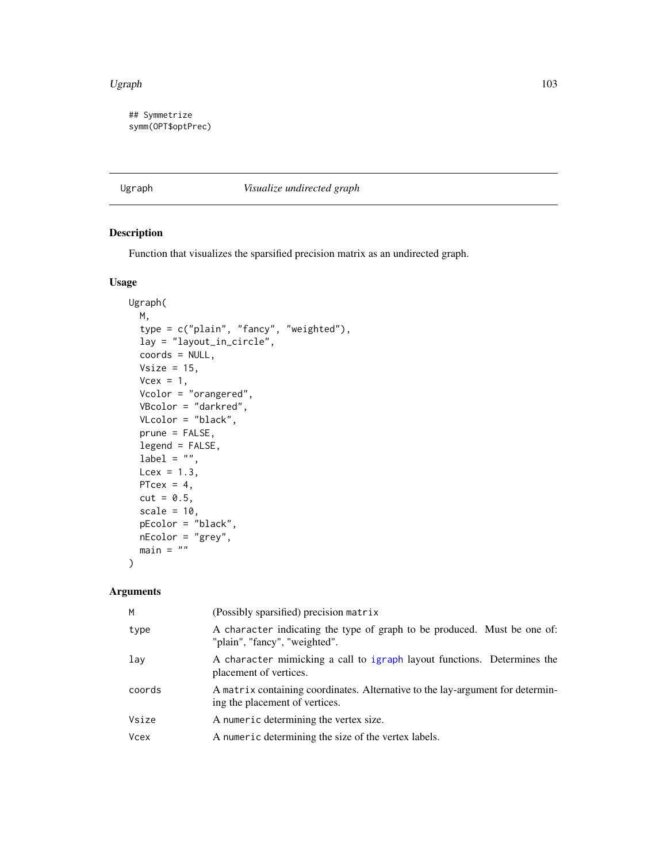#### <span id="page-102-1"></span>Ugraph 103

## Symmetrize symm(OPT\$optPrec)

<span id="page-102-0"></span>Ugraph *Visualize undirected graph*

# Description

Function that visualizes the sparsified precision matrix as an undirected graph.

# Usage

```
Ugraph(
  M,
  type = c("plain", "fancy", "weighted"),
  lay = "layout_in_circle",
  coords = NULL,
  Vsize = 15,
  Vcex = 1,
  Vcolor = "orangered",
  VBcolor = "darkred",
 VLcolor = "black",
 prune = FALSE,
  legend = FALSE,
  label = "",
 Lcex = 1.3,
 PTcex = 4,
 cut = 0.5,
  scale = 10,
 pEcolor = "black",
  nEcolor = "grey",
 main = "")
```
# Arguments

| M           | (Possibly sparsified) precision matrix                                                                           |
|-------------|------------------------------------------------------------------------------------------------------------------|
| type        | A character indicating the type of graph to be produced. Must be one of:<br>"plain", "fancy", "weighted".        |
| lay         | A character mimicking a call to igraph layout functions. Determines the<br>placement of vertices.                |
| coords      | A matrix containing coordinates. Alternative to the lay-argument for determin-<br>ing the placement of vertices. |
| Vsize       | A numeric determining the vertex size.                                                                           |
| <b>Vcex</b> | A numeric determining the size of the vertex labels.                                                             |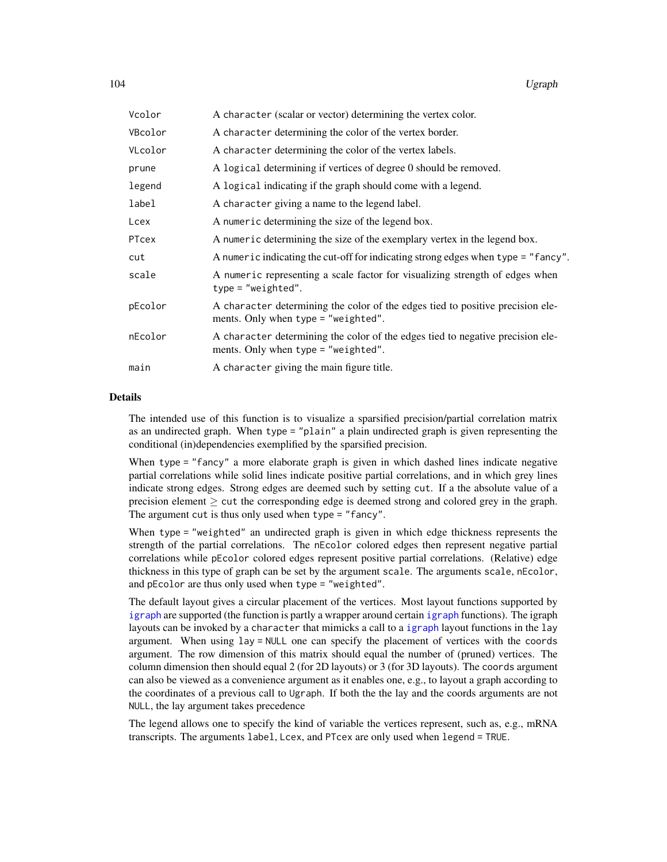<span id="page-103-0"></span>

| Vcolor  | A character (scalar or vector) determining the vertex color.                                                            |  |
|---------|-------------------------------------------------------------------------------------------------------------------------|--|
| VBcolor | A character determining the color of the vertex border.                                                                 |  |
| VLcolor | A character determining the color of the vertex labels.                                                                 |  |
| prune   | A logical determining if vertices of degree 0 should be removed.                                                        |  |
| legend  | A logical indicating if the graph should come with a legend.                                                            |  |
| label   | A character giving a name to the legend label.                                                                          |  |
| Lcex    | A numeric determining the size of the legend box.                                                                       |  |
| PTcex   | A numeric determining the size of the exemplary vertex in the legend box.                                               |  |
| cut     | A numeric indicating the cut-off for indicating strong edges when type = "fancy".                                       |  |
| scale   | A numeric representing a scale factor for visualizing strength of edges when<br>$type = "weighted".$                    |  |
| pEcolor | A character determining the color of the edges tied to positive precision ele-<br>ments. Only when type $=$ "weighted". |  |
| nEcolor | A character determining the color of the edges tied to negative precision ele-<br>ments. Only when type $=$ "weighted". |  |
| main    | A character giving the main figure title.                                                                               |  |

# Details

The intended use of this function is to visualize a sparsified precision/partial correlation matrix as an undirected graph. When type = "plain" a plain undirected graph is given representing the conditional (in)dependencies exemplified by the sparsified precision.

When type = "fancy" a more elaborate graph is given in which dashed lines indicate negative partial correlations while solid lines indicate positive partial correlations, and in which grey lines indicate strong edges. Strong edges are deemed such by setting cut. If a the absolute value of a precision element  $\geq$  cut the corresponding edge is deemed strong and colored grey in the graph. The argument cut is thus only used when type = "fancy".

When type = "weighted" an undirected graph is given in which edge thickness represents the strength of the partial correlations. The nEcolor colored edges then represent negative partial correlations while pEcolor colored edges represent positive partial correlations. (Relative) edge thickness in this type of graph can be set by the argument scale. The arguments scale, nEcolor, and pEcolor are thus only used when type = "weighted".

The default layout gives a circular placement of the vertices. Most layout functions supported by [igraph](#page-0-0) are supported (the function is partly a wrapper around certain [igraph](#page-0-0) functions). The igraph layouts can be invoked by a character that mimicks a call to a [igraph](#page-0-0) layout functions in the lay argument. When using lay = NULL one can specify the placement of vertices with the coords argument. The row dimension of this matrix should equal the number of (pruned) vertices. The column dimension then should equal 2 (for 2D layouts) or 3 (for 3D layouts). The coords argument can also be viewed as a convenience argument as it enables one, e.g., to layout a graph according to the coordinates of a previous call to Ugraph. If both the the lay and the coords arguments are not NULL, the lay argument takes precedence

The legend allows one to specify the kind of variable the vertices represent, such as, e.g., mRNA transcripts. The arguments label, Lcex, and PTcex are only used when legend = TRUE.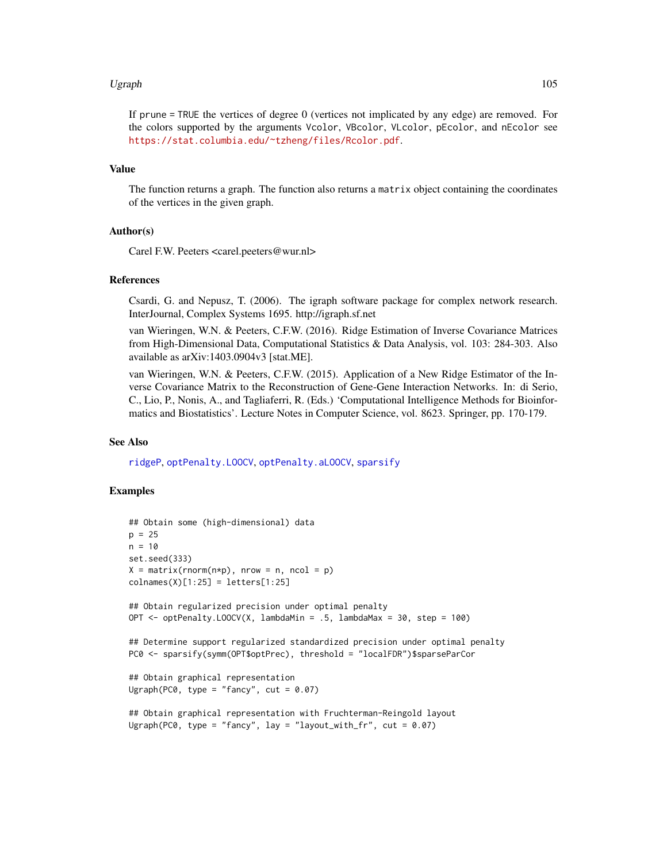#### <span id="page-104-0"></span>Ugraph 105

If prune = TRUE the vertices of degree 0 (vertices not implicated by any edge) are removed. For the colors supported by the arguments Vcolor, VBcolor, VLcolor, pEcolor, and nEcolor see <https://stat.columbia.edu/~tzheng/files/Rcolor.pdf>.

#### Value

The function returns a graph. The function also returns a matrix object containing the coordinates of the vertices in the given graph.

#### Author(s)

Carel F.W. Peeters <carel.peeters@wur.nl>

#### References

Csardi, G. and Nepusz, T. (2006). The igraph software package for complex network research. InterJournal, Complex Systems 1695. http://igraph.sf.net

van Wieringen, W.N. & Peeters, C.F.W. (2016). Ridge Estimation of Inverse Covariance Matrices from High-Dimensional Data, Computational Statistics & Data Analysis, vol. 103: 284-303. Also available as arXiv:1403.0904v3 [stat.ME].

van Wieringen, W.N. & Peeters, C.F.W. (2015). Application of a New Ridge Estimator of the Inverse Covariance Matrix to the Reconstruction of Gene-Gene Interaction Networks. In: di Serio, C., Lio, P., Nonis, A., and Tagliaferri, R. (Eds.) 'Computational Intelligence Methods for Bioinformatics and Biostatistics'. Lecture Notes in Computer Science, vol. 8623. Springer, pp. 170-179.

#### See Also

[ridgeP](#page-83-0), [optPenalty.LOOCV](#page-71-0), [optPenalty.aLOOCV](#page-59-0), [sparsify](#page-96-0)

```
## Obtain some (high-dimensional) data
p = 25n = 10set.seed(333)
X = matrix(rnorm(n*p), nrow = n, ncol = p)collnames(X)[1:25] = letters[1:25]## Obtain regularized precision under optimal penalty
OPT \leq optPenalty.LOOCV(X, lambdaMin = .5, lambdaMax = 30, step = 100)
## Determine support regularized standardized precision under optimal penalty
PC0 <- sparsify(symm(OPT$optPrec), threshold = "localFDR")$sparseParCor
## Obtain graphical representation
Ugraph(PC0, type = "fancy", cut = 0.07)
## Obtain graphical representation with Fruchterman-Reingold layout
Ugraph(PC0, type = "fancy", lay = "layout_with_fr", cut = 0.07)
```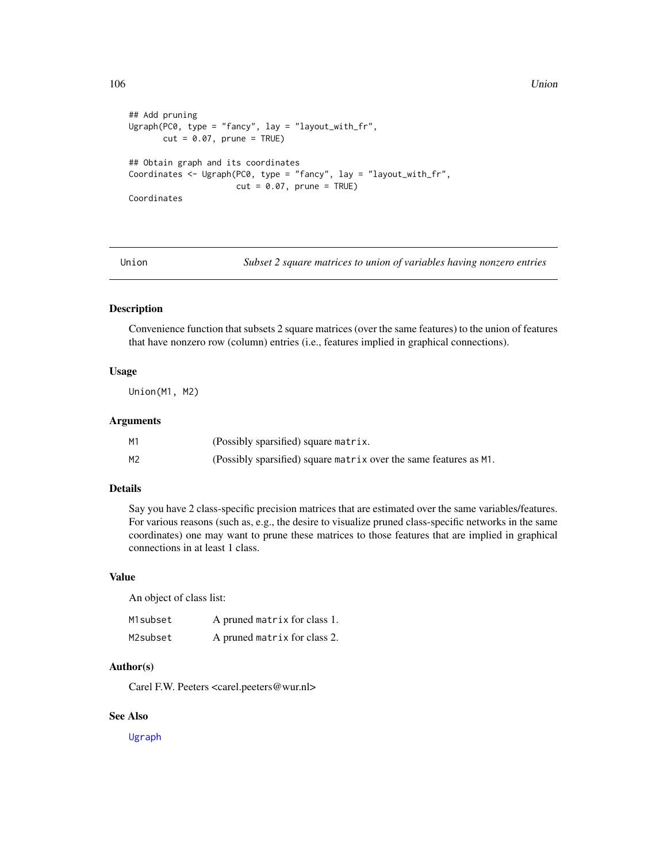```
## Add pruning
Ugraph(PC0, type = "fancy", lay = "layout_with_fr",
      cut = 0.07, prune = TRUE)
## Obtain graph and its coordinates
Coordinates <- Ugraph(PC0, type = "fancy", lay = "layout_with_fr",
                      cut = 0.07, prune = TRUE)
Coordinates
```
Union *Subset 2 square matrices to union of variables having nonzero entries*

# Description

Convenience function that subsets 2 square matrices (over the same features) to the union of features that have nonzero row (column) entries (i.e., features implied in graphical connections).

# Usage

Union(M1, M2)

#### Arguments

| М1 | (Possibly sparsified) square matrix.                              |
|----|-------------------------------------------------------------------|
| М2 | (Possibly sparsified) square matrix over the same features as M1. |

#### Details

Say you have 2 class-specific precision matrices that are estimated over the same variables/features. For various reasons (such as, e.g., the desire to visualize pruned class-specific networks in the same coordinates) one may want to prune these matrices to those features that are implied in graphical connections in at least 1 class.

#### Value

An object of class list:

| M1subset | A pruned matrix for class 1. |
|----------|------------------------------|
| M2subset | A pruned matrix for class 2. |

# Author(s)

Carel F.W. Peeters <carel.peeters@wur.nl>

# See Also

[Ugraph](#page-102-0)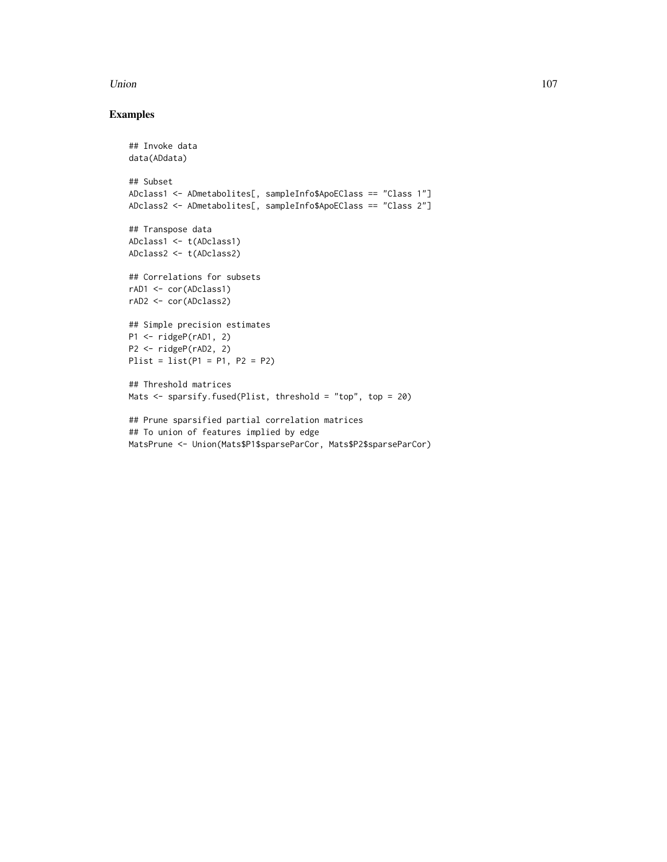#### Union 107

```
## Invoke data
data(ADdata)
## Subset
ADclass1 <- ADmetabolites[, sampleInfo$ApoEClass == "Class 1"]
ADclass2 <- ADmetabolites[, sampleInfo$ApoEClass == "Class 2"]
## Transpose data
ADclass1 <- t(ADclass1)
ADclass2 <- t(ADclass2)
## Correlations for subsets
rAD1 <- cor(ADclass1)
rAD2 <- cor(ADclass2)
## Simple precision estimates
P1 <- ridgeP(rAD1, 2)
P2 <- ridgeP(rAD2, 2)
Plist = list(P1 = P1, P2 = P2)## Threshold matrices
Mats <- sparsify.fused(Plist, threshold = "top", top = 20)
## Prune sparsified partial correlation matrices
## To union of features implied by edge
MatsPrune <- Union(Mats$P1$sparseParCor, Mats$P2$sparseParCor)
```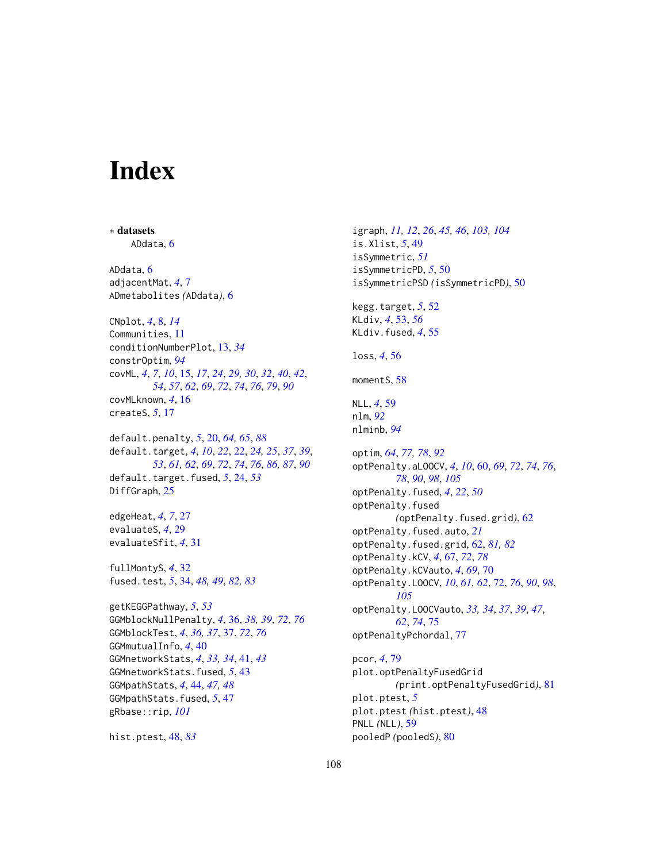# **Index**

∗ datasets ADdata, [6](#page-5-0) ADdata, [6](#page-5-0) adjacentMat, *[4](#page-3-0)*, [7](#page-6-0) ADmetabolites *(*ADdata*)*, [6](#page-5-0) CNplot, *[4](#page-3-0)*, [8,](#page-7-0) *[14](#page-13-0)* Communities, [11](#page-10-0) conditionNumberPlot, [13,](#page-12-0) *[34](#page-33-1)* constrOptim, *[94](#page-93-0)* covML, *[4](#page-3-0)*, *[7](#page-6-0)*, *[10](#page-9-0)*, [15,](#page-14-1) *[17](#page-16-0)*, *[24](#page-23-0)*, *[29,](#page-28-0) [30](#page-29-0)*, *[32](#page-31-0)*, *[40](#page-39-0)*, *[42](#page-41-0)*, *[54](#page-53-0)*, *[57](#page-56-0)*, *[62](#page-61-1)*, *[69](#page-68-0)*, *[72](#page-71-1)*, *[74](#page-73-0)*, *[76](#page-75-0)*, *[79](#page-78-0)*, *[90](#page-89-0)* covMLknown, *[4](#page-3-0)*, [16](#page-15-0) createS, *[5](#page-4-0)*, [17](#page-16-0) default.penalty, *[5](#page-4-0)*, [20,](#page-19-1) *[64,](#page-63-0) [65](#page-64-0)*, *[88](#page-87-0)* default.target, *[4](#page-3-0)*, *[10](#page-9-0)*, *[22](#page-21-1)*, [22,](#page-21-1) *[24,](#page-23-0) [25](#page-24-0)*, *[37](#page-36-1)*, *[39](#page-38-0)*, *[53](#page-52-0)*, *[61,](#page-60-0) [62](#page-61-1)*, *[69](#page-68-0)*, *[72](#page-71-1)*, *[74](#page-73-0)*, *[76](#page-75-0)*, *[86,](#page-85-0) [87](#page-86-0)*, *[90](#page-89-0)* default.target.fused, *[5](#page-4-0)*, [24,](#page-23-0) *[53](#page-52-0)* DiffGraph, [25](#page-24-0) edgeHeat, *[4](#page-3-0)*, *[7](#page-6-0)*, [27](#page-26-0) evaluateS, *[4](#page-3-0)*, [29](#page-28-0) evaluateSfit, *[4](#page-3-0)*, [31](#page-30-0) fullMontyS, *[4](#page-3-0)*, [32](#page-31-0) fused.test, *[5](#page-4-0)*, [34,](#page-33-1) *[48,](#page-47-1) [49](#page-48-0)*, *[82,](#page-81-0) [83](#page-82-0)* getKEGGPathway, *[5](#page-4-0)*, *[53](#page-52-0)* GGMblockNullPenalty, *[4](#page-3-0)*, [36,](#page-35-1) *[38,](#page-37-0) [39](#page-38-0)*, *[72](#page-71-1)*, *[76](#page-75-0)* GGMblockTest, *[4](#page-3-0)*, *[36,](#page-35-1) [37](#page-36-1)*, [37,](#page-36-1) *[72](#page-71-1)*, *[76](#page-75-0)* GGMmutualInfo, *[4](#page-3-0)*, [40](#page-39-0) GGMnetworkStats, *[4](#page-3-0)*, *[33,](#page-32-0) [34](#page-33-1)*, [41,](#page-40-0) *[43](#page-42-0)* GGMnetworkStats.fused, *[5](#page-4-0)*, [43](#page-42-0) GGMpathStats, *[4](#page-3-0)*, [44,](#page-43-0) *[47,](#page-46-0) [48](#page-47-1)* GGMpathStats.fused, *[5](#page-4-0)*, [47](#page-46-0) gRbase::rip, *[101](#page-100-0)*

hist.ptest, [48,](#page-47-1) *[83](#page-82-0)*

igraph, *[11,](#page-10-0) [12](#page-11-0)*, *[26](#page-25-0)*, *[45,](#page-44-0) [46](#page-45-0)*, *[103,](#page-102-1) [104](#page-103-0)* is.Xlist, *[5](#page-4-0)*, [49](#page-48-0) isSymmetric, *[51](#page-50-0)* isSymmetricPD, *[5](#page-4-0)*, [50](#page-49-0) isSymmetricPSD *(*isSymmetricPD*)*, [50](#page-49-0) kegg.target, *[5](#page-4-0)*, [52](#page-51-0) KLdiv, *[4](#page-3-0)*, [53,](#page-52-0) *[56](#page-55-0)* KLdiv.fused, *[4](#page-3-0)*, [55](#page-54-0) loss, *[4](#page-3-0)*, [56](#page-55-0) momentS, [58](#page-57-0) NLL, *[4](#page-3-0)*, [59](#page-58-0) nlm, *[92](#page-91-0)* nlminb, *[94](#page-93-0)* optim, *[64](#page-63-0)*, *[77,](#page-76-0) [78](#page-77-0)*, *[92](#page-91-0)* optPenalty.aLOOCV, *[4](#page-3-0)*, *[10](#page-9-0)*, [60,](#page-59-1) *[69](#page-68-0)*, *[72](#page-71-1)*, *[74](#page-73-0)*, *[76](#page-75-0)*, *[78](#page-77-0)*, *[90](#page-89-0)*, *[98](#page-97-0)*, *[105](#page-104-0)* optPenalty.fused, *[4](#page-3-0)*, *[22](#page-21-1)*, *[50](#page-49-0)* optPenalty.fused *(*optPenalty.fused.grid*)*, [62](#page-61-1) optPenalty.fused.auto, *[21](#page-20-0)* optPenalty.fused.grid, [62,](#page-61-1) *[81,](#page-80-0) [82](#page-81-0)* optPenalty.kCV, *[4](#page-3-0)*, [67,](#page-66-1) *[72](#page-71-1)*, *[78](#page-77-0)* optPenalty.kCVauto, *[4](#page-3-0)*, *[69](#page-68-0)*, [70](#page-69-0) optPenalty.LOOCV, *[10](#page-9-0)*, *[61,](#page-60-0) [62](#page-61-1)*, [72,](#page-71-1) *[76](#page-75-0)*, *[90](#page-89-0)*, *[98](#page-97-0)*, *[105](#page-104-0)* optPenalty.LOOCVauto, *[33,](#page-32-0) [34](#page-33-1)*, *[37](#page-36-1)*, *[39](#page-38-0)*, *[47](#page-46-0)*, *[62](#page-61-1)*, *[74](#page-73-0)*, [75](#page-74-1) optPenaltyPchordal, [77](#page-76-0) pcor, *[4](#page-3-0)*, [79](#page-78-0) plot.optPenaltyFusedGrid *(*print.optPenaltyFusedGrid*)*, [81](#page-80-0)

plot.ptest, *[5](#page-4-0)* plot.ptest *(*hist.ptest*)*, [48](#page-47-1) PNLL *(*NLL*)*, [59](#page-58-0) pooledP *(*pooledS*)*, [80](#page-79-0)